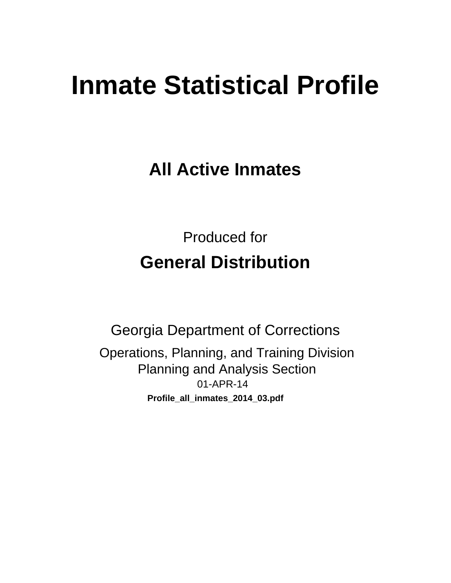# **Inmate Statistical Profile**

**All Active Inmates** 

**Produced for General Distribution** 

**Georgia Department of Corrections** Operations, Planning, and Training Division **Planning and Analysis Section** 01-APR-14 Profile\_all\_inmates\_2014\_03.pdf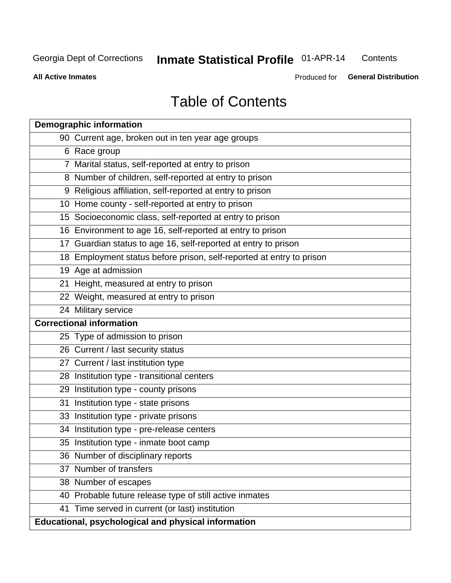#### **Inmate Statistical Profile 01-APR-14** Contents

**All Active Inmates** 

Produced for General Distribution

# **Table of Contents**

|    | <b>Demographic information</b>                                       |  |  |  |  |  |
|----|----------------------------------------------------------------------|--|--|--|--|--|
|    | 90 Current age, broken out in ten year age groups                    |  |  |  |  |  |
|    | 6 Race group                                                         |  |  |  |  |  |
|    | 7 Marital status, self-reported at entry to prison                   |  |  |  |  |  |
|    | 8 Number of children, self-reported at entry to prison               |  |  |  |  |  |
|    | 9 Religious affiliation, self-reported at entry to prison            |  |  |  |  |  |
|    | 10 Home county - self-reported at entry to prison                    |  |  |  |  |  |
|    | 15 Socioeconomic class, self-reported at entry to prison             |  |  |  |  |  |
|    | 16 Environment to age 16, self-reported at entry to prison           |  |  |  |  |  |
|    | 17 Guardian status to age 16, self-reported at entry to prison       |  |  |  |  |  |
|    | 18 Employment status before prison, self-reported at entry to prison |  |  |  |  |  |
|    | 19 Age at admission                                                  |  |  |  |  |  |
|    | 21 Height, measured at entry to prison                               |  |  |  |  |  |
|    | 22 Weight, measured at entry to prison                               |  |  |  |  |  |
|    | 24 Military service                                                  |  |  |  |  |  |
|    | <b>Correctional information</b>                                      |  |  |  |  |  |
|    | 25 Type of admission to prison                                       |  |  |  |  |  |
|    | 26 Current / last security status                                    |  |  |  |  |  |
|    | 27 Current / last institution type                                   |  |  |  |  |  |
|    | 28 Institution type - transitional centers                           |  |  |  |  |  |
|    | 29 Institution type - county prisons                                 |  |  |  |  |  |
| 31 | Institution type - state prisons                                     |  |  |  |  |  |
|    | 33 Institution type - private prisons                                |  |  |  |  |  |
|    | 34 Institution type - pre-release centers                            |  |  |  |  |  |
|    | 35 Institution type - inmate boot camp                               |  |  |  |  |  |
|    | 36 Number of disciplinary reports                                    |  |  |  |  |  |
|    | 37 Number of transfers                                               |  |  |  |  |  |
|    | 38 Number of escapes                                                 |  |  |  |  |  |
|    | 40 Probable future release type of still active inmates              |  |  |  |  |  |
|    | 41 Time served in current (or last) institution                      |  |  |  |  |  |
|    | Educational, psychological and physical information                  |  |  |  |  |  |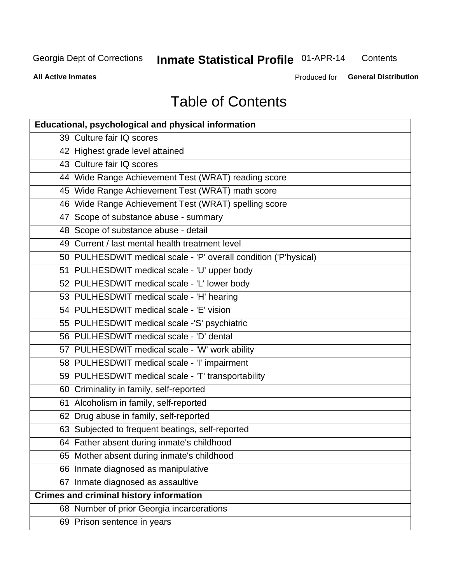# **Inmate Statistical Profile 01-APR-14**

Contents

**All Active Inmates** 

Produced for General Distribution

# **Table of Contents**

| <b>Educational, psychological and physical information</b>       |
|------------------------------------------------------------------|
| 39 Culture fair IQ scores                                        |
| 42 Highest grade level attained                                  |
| 43 Culture fair IQ scores                                        |
| 44 Wide Range Achievement Test (WRAT) reading score              |
| 45 Wide Range Achievement Test (WRAT) math score                 |
| 46 Wide Range Achievement Test (WRAT) spelling score             |
| 47 Scope of substance abuse - summary                            |
| 48 Scope of substance abuse - detail                             |
| 49 Current / last mental health treatment level                  |
| 50 PULHESDWIT medical scale - 'P' overall condition ('P'hysical) |
| 51 PULHESDWIT medical scale - 'U' upper body                     |
| 52 PULHESDWIT medical scale - 'L' lower body                     |
| 53 PULHESDWIT medical scale - 'H' hearing                        |
| 54 PULHESDWIT medical scale - 'E' vision                         |
| 55 PULHESDWIT medical scale -'S' psychiatric                     |
| 56 PULHESDWIT medical scale - 'D' dental                         |
| 57 PULHESDWIT medical scale - 'W' work ability                   |
| 58 PULHESDWIT medical scale - 'I' impairment                     |
| 59 PULHESDWIT medical scale - 'T' transportability               |
| 60 Criminality in family, self-reported                          |
| 61 Alcoholism in family, self-reported                           |
| 62 Drug abuse in family, self-reported                           |
| 63 Subjected to frequent beatings, self-reported                 |
| 64 Father absent during inmate's childhood                       |
| 65 Mother absent during inmate's childhood                       |
| 66 Inmate diagnosed as manipulative                              |
| 67 Inmate diagnosed as assaultive                                |
| <b>Crimes and criminal history information</b>                   |
| 68 Number of prior Georgia incarcerations                        |
| 69 Prison sentence in years                                      |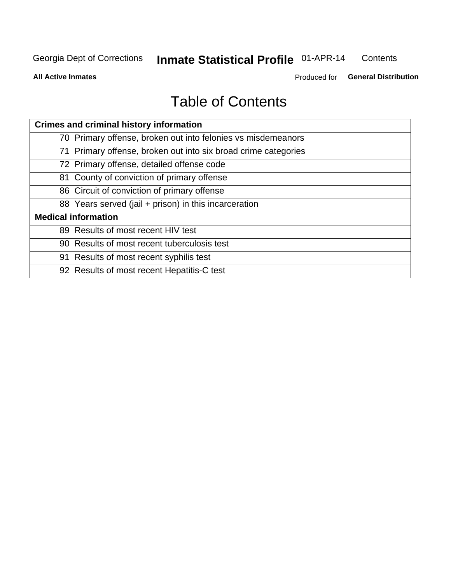#### **Inmate Statistical Profile 01-APR-14** Contents

**All Active Inmates** 

Produced for General Distribution

# **Table of Contents**

| <b>Crimes and criminal history information</b>                 |  |  |  |  |
|----------------------------------------------------------------|--|--|--|--|
| 70 Primary offense, broken out into felonies vs misdemeanors   |  |  |  |  |
| 71 Primary offense, broken out into six broad crime categories |  |  |  |  |
| 72 Primary offense, detailed offense code                      |  |  |  |  |
| 81 County of conviction of primary offense                     |  |  |  |  |
| 86 Circuit of conviction of primary offense                    |  |  |  |  |
| 88 Years served (jail + prison) in this incarceration          |  |  |  |  |
| <b>Medical information</b>                                     |  |  |  |  |
| 89 Results of most recent HIV test                             |  |  |  |  |
| 90 Results of most recent tuberculosis test                    |  |  |  |  |
| 91 Results of most recent syphilis test                        |  |  |  |  |
| 92 Results of most recent Hepatitis-C test                     |  |  |  |  |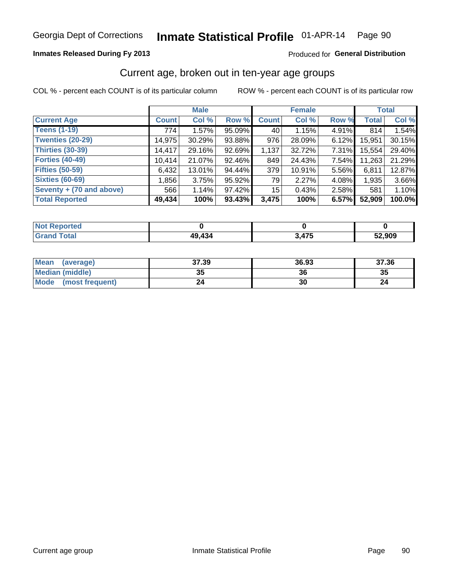#### Inmate Statistical Profile 01-APR-14 Page 90

### **Inmates Released During Fy 2013**

### Produced for General Distribution

### Current age, broken out in ten-year age groups

COL % - percent each COUNT is of its particular column

|                          |              | <b>Male</b> |        |                 | <b>Female</b> |       |        | <b>Total</b> |
|--------------------------|--------------|-------------|--------|-----------------|---------------|-------|--------|--------------|
| <b>Current Age</b>       | <b>Count</b> | Col %       | Row %  | <b>Count</b>    | Col %         | Row % | Total  | Col %        |
| <b>Teens (1-19)</b>      | 774          | 1.57%       | 95.09% | 40              | 1.15%         | 4.91% | 814    | 1.54%        |
| <b>Twenties (20-29)</b>  | 14,975       | 30.29%      | 93.88% | 976             | 28.09%        | 6.12% | 15,951 | 30.15%       |
| <b>Thirties (30-39)</b>  | 14,417       | 29.16%      | 92.69% | 1,137           | 32.72%        | 7.31% | 15,554 | 29.40%       |
| <b>Forties (40-49)</b>   | 10,414       | 21.07%      | 92.46% | 849             | 24.43%        | 7.54% | 11,263 | 21.29%       |
| <b>Fifties (50-59)</b>   | 6,432        | 13.01%      | 94.44% | 379             | 10.91%        | 5.56% | 6,811  | 12.87%       |
| <b>Sixties (60-69)</b>   | 1,856        | 3.75%       | 95.92% | 79              | 2.27%         | 4.08% | 1,935  | 3.66%        |
| Seventy + (70 and above) | 566          | 1.14%       | 97.42% | 15 <sup>1</sup> | 0.43%         | 2.58% | 581    | 1.10%        |
| <b>Total Reported</b>    | 49,434       | 100%        | 93.43% | 3,475           | 100%          | 6.57% | 52,909 | 100.0%       |

| <b>Anorted</b><br><b>NOT REPO</b> |        |            |        |
|-----------------------------------|--------|------------|--------|
| Total                             | 49,434 | <b>A75</b> | 52,909 |

| <b>Mean</b><br>(average) | 37.39    | 36.93 | 37.36 |
|--------------------------|----------|-------|-------|
| Median (middle)          | つん<br>vu | 36    | 35    |
| Mode<br>(most frequent)  | 24       | 30    |       |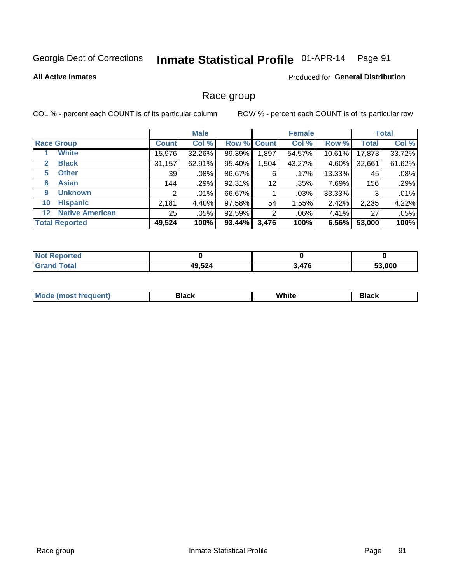#### Inmate Statistical Profile 01-APR-14 Page 91

#### **All Active Inmates**

### Produced for General Distribution

### Race group

COL % - percent each COUNT is of its particular column

|                   |                        |                 | <b>Male</b> |             |       | <b>Female</b> |           |              | <b>Total</b> |
|-------------------|------------------------|-----------------|-------------|-------------|-------|---------------|-----------|--------------|--------------|
| <b>Race Group</b> |                        | <b>Count</b>    | Col %       | Row % Count |       | Col %         | Row %     | <b>Total</b> | Col %        |
|                   | <b>White</b>           | 15,976          | 32.26%      | 89.39%      | ,897  | 54.57%        | $10.61\%$ | 17,873       | 33.72%       |
| $\mathbf{2}$      | <b>Black</b>           | 31,157          | 62.91%      | 95.40%      | .504  | 43.27%        | 4.60%     | 32,661       | 61.62%       |
| 5                 | <b>Other</b>           | 39              | .08%        | 86.67%      | 6     | $.17\%$       | 13.33%    | 45           | .08%         |
| 6                 | <b>Asian</b>           | 144             | .29%        | 92.31%      | 12    | .35%          | 7.69%     | 156          | .29%         |
| 9                 | <b>Unknown</b>         | 2               | .01%        | 66.67%      |       | .03%          | 33.33%    | 3            | .01%         |
| 10                | <b>Hispanic</b>        | 2,181           | 4.40%       | 97.58%      | 54    | 1.55%         | 2.42%     | 2,235        | 4.22%        |
| $12 \,$           | <b>Native American</b> | 25 <sub>1</sub> | .05%        | 92.59%      | 2     | $.06\%$       | $7.41\%$  | 27           | .05%         |
|                   | <b>Total Reported</b>  | 49,524          | 100%        | 93.44%      | 3,476 | 100%          | 6.56%     | 53,000       | 100%         |

| <b>ported</b><br>'NO.  |        |       |        |
|------------------------|--------|-------|--------|
| <b>Total</b><br>'Grano | 49,524 | 3,476 | 53,000 |

| M.<br>____ | . | ------- |
|------------|---|---------|
|            |   |         |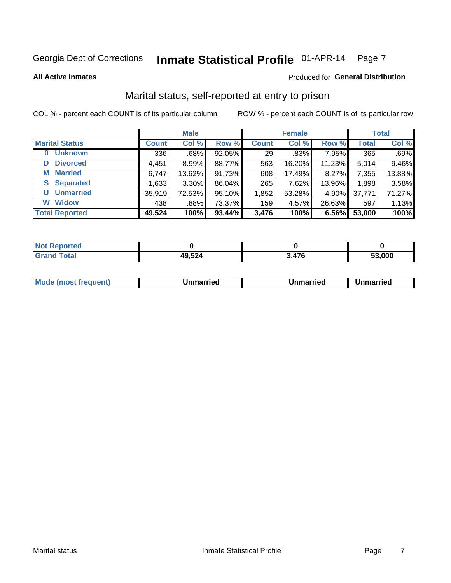#### Inmate Statistical Profile 01-APR-14 Page 7

**All Active Inmates** 

### **Produced for General Distribution**

### Marital status, self-reported at entry to prison

COL % - percent each COUNT is of its particular column

|                       | <b>Male</b>  |          |        | <b>Female</b> |        |        | <b>Total</b> |        |
|-----------------------|--------------|----------|--------|---------------|--------|--------|--------------|--------|
| <b>Marital Status</b> | <b>Count</b> | Col %    | Row %  | <b>Count</b>  | Col %  | Row %  | <b>Total</b> | Col %  |
| <b>Unknown</b><br>0   | 336          | $.68\%$  | 92.05% | 29            | .83%   | 7.95%  | 365          | .69%   |
| <b>Divorced</b><br>D  | 4,451        | $8.99\%$ | 88.77% | 563           | 16.20% | 11.23% | 5,014        | 9.46%  |
| <b>Married</b><br>M   | 6,747        | 13.62%   | 91.73% | 608           | 17.49% | 8.27%  | 7,355        | 13.88% |
| <b>Separated</b><br>S | 1,633        | 3.30%    | 86.04% | 265           | 7.62%  | 13.96% | 1,898        | 3.58%  |
| <b>Unmarried</b><br>U | 35,919       | 72.53%   | 95.10% | 1,852         | 53.28% | 4.90%  | 37,771       | 71.27% |
| <b>Widow</b><br>W     | 438          | .88%     | 73.37% | 159           | 4.57%  | 26.63% | 597          | 1.13%  |
| <b>Total Reported</b> | 49,524       | 100%     | 93.44% | 3,476         | 100%   | 6.56%  | 53,000       | 100%   |

| ----<br>rted<br>NO |       |               |        |
|--------------------|-------|---------------|--------|
| $\sim$ 10          | 9,524 | $\rightarrow$ | 53.000 |

|  | M | . | Unmarried | າmarried<br>_____ |
|--|---|---|-----------|-------------------|
|--|---|---|-----------|-------------------|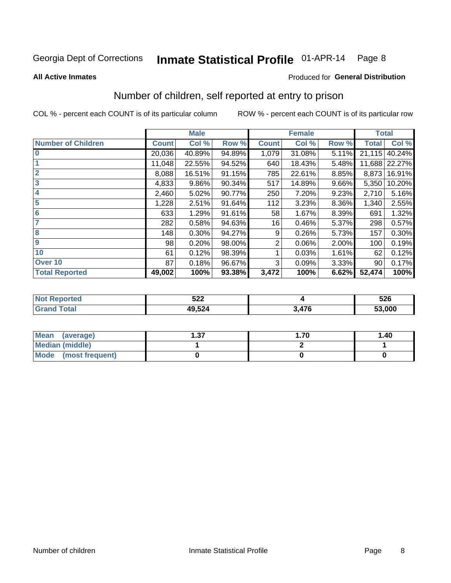#### Inmate Statistical Profile 01-APR-14 Page 8

#### **All Active Inmates**

### Produced for General Distribution

### Number of children, self reported at entry to prison

COL % - percent each COUNT is of its particular column

|                           |              | <b>Male</b> |        |              | <b>Female</b> |       | <b>Total</b> |               |
|---------------------------|--------------|-------------|--------|--------------|---------------|-------|--------------|---------------|
| <b>Number of Children</b> | <b>Count</b> | Col %       | Row %  | <b>Count</b> | Col %         | Row % | <b>Total</b> | Col %         |
| $\bf{0}$                  | 20,036       | 40.89%      | 94.89% | 1,079        | 31.08%        | 5.11% | 21,115       | 40.24%        |
|                           | 11,048       | 22.55%      | 94.52% | 640          | 18.43%        | 5.48% |              | 11,688 22.27% |
| $\overline{2}$            | 8,088        | 16.51%      | 91.15% | 785          | 22.61%        | 8.85% | 8,873        | 16.91%        |
| 3                         | 4,833        | 9.86%       | 90.34% | 517          | 14.89%        | 9.66% | 5,350        | 10.20%        |
| 4                         | 2,460        | 5.02%       | 90.77% | 250          | 7.20%         | 9.23% | 2,710        | 5.16%         |
| 5                         | 1,228        | 2.51%       | 91.64% | 112          | 3.23%         | 8.36% | 1,340        | 2.55%         |
| 6                         | 633          | 1.29%       | 91.61% | 58           | 1.67%         | 8.39% | 691          | 1.32%         |
|                           | 282          | 0.58%       | 94.63% | 16           | 0.46%         | 5.37% | 298          | 0.57%         |
| 8                         | 148          | 0.30%       | 94.27% | 9            | 0.26%         | 5.73% | 157          | 0.30%         |
| $\boldsymbol{9}$          | 98           | 0.20%       | 98.00% | 2            | 0.06%         | 2.00% | 100          | 0.19%         |
| 10                        | 61           | 0.12%       | 98.39% |              | 0.03%         | 1.61% | 62           | 0.12%         |
| Over 10                   | 87           | 0.18%       | 96.67% | 3            | 0.09%         | 3.33% | 90           | 0.17%         |
| <b>Total Reported</b>     | 49,002       | 100%        | 93.38% | 3,472        | 100%          | 6.62% | 52,474       | 100%          |

| ちつつ<br>JLL                                   |               | 526    |
|----------------------------------------------|---------------|--------|
| $\overline{10}$ $\overline{50}$<br>$-0.04$ . | $\rightarrow$ | 53,000 |

| <b>Mean</b><br>(average)       | דפ<br>I J J | .70 | 1.40 |
|--------------------------------|-------------|-----|------|
| <b>Median (middle)</b>         |             |     |      |
| <b>Mode</b><br>(most frequent) |             |     |      |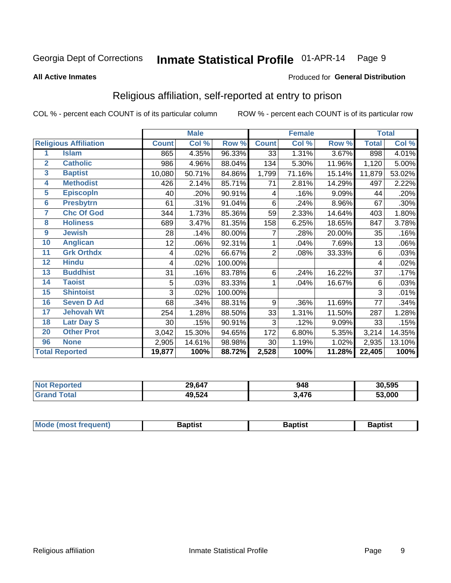#### Inmate Statistical Profile 01-APR-14 Page 9

#### **All Active Inmates**

### Produced for General Distribution

### Religious affiliation, self-reported at entry to prison

COL % - percent each COUNT is of its particular column

|                         |                              |              | <b>Male</b> |         |              | <b>Female</b> |        |              | <b>Total</b> |
|-------------------------|------------------------------|--------------|-------------|---------|--------------|---------------|--------|--------------|--------------|
|                         | <b>Religious Affiliation</b> | <b>Count</b> | Col %       | Row %   | <b>Count</b> | Col %         | Row %  | <b>Total</b> | Col %        |
| 1                       | <b>Islam</b>                 | 865          | 4.35%       | 96.33%  | 33           | 1.31%         | 3.67%  | 898          | 4.01%        |
| $\overline{2}$          | <b>Catholic</b>              | 986          | 4.96%       | 88.04%  | 134          | 5.30%         | 11.96% | 1,120        | 5.00%        |
| $\overline{\mathbf{3}}$ | <b>Baptist</b>               | 10,080       | 50.71%      | 84.86%  | 1,799        | 71.16%        | 15.14% | 11,879       | 53.02%       |
| $\overline{\mathbf{4}}$ | <b>Methodist</b>             | 426          | 2.14%       | 85.71%  | 71           | 2.81%         | 14.29% | 497          | 2.22%        |
| $\overline{5}$          | <b>EpiscopIn</b>             | 40           | .20%        | 90.91%  | 4            | .16%          | 9.09%  | 44           | .20%         |
| $6\overline{6}$         | <b>Presbytrn</b>             | 61           | .31%        | 91.04%  | 6            | .24%          | 8.96%  | 67           | .30%         |
| 7                       | <b>Chc Of God</b>            | 344          | 1.73%       | 85.36%  | 59           | 2.33%         | 14.64% | 403          | 1.80%        |
| 8                       | <b>Holiness</b>              | 689          | 3.47%       | 81.35%  | 158          | 6.25%         | 18.65% | 847          | 3.78%        |
| $\boldsymbol{9}$        | <b>Jewish</b>                | 28           | .14%        | 80.00%  | 7            | .28%          | 20.00% | 35           | .16%         |
| 10                      | <b>Anglican</b>              | 12           | .06%        | 92.31%  |              | .04%          | 7.69%  | 13           | .06%         |
| 11                      | <b>Grk Orthdx</b>            | 4            | .02%        | 66.67%  | 2            | .08%          | 33.33% | 6            | .03%         |
| 12                      | <b>Hindu</b>                 | 4            | .02%        | 100.00% |              |               |        | 4            | .02%         |
| 13                      | <b>Buddhist</b>              | 31           | .16%        | 83.78%  | 6            | .24%          | 16.22% | 37           | .17%         |
| 14                      | <b>Taoist</b>                | 5            | .03%        | 83.33%  | 1            | .04%          | 16.67% | 6            | .03%         |
| 15                      | <b>Shintoist</b>             | 3            | .02%        | 100.00% |              |               |        | 3            | .01%         |
| 16                      | <b>Seven D Ad</b>            | 68           | .34%        | 88.31%  | 9            | .36%          | 11.69% | 77           | .34%         |
| 17                      | <b>Jehovah Wt</b>            | 254          | 1.28%       | 88.50%  | 33           | 1.31%         | 11.50% | 287          | 1.28%        |
| 18                      | <b>Latr Day S</b>            | 30           | .15%        | 90.91%  | 3            | .12%          | 9.09%  | 33           | .15%         |
| 20                      | <b>Other Prot</b>            | 3,042        | 15.30%      | 94.65%  | 172          | 6.80%         | 5.35%  | 3,214        | 14.35%       |
| 96                      | <b>None</b>                  | 2,905        | 14.61%      | 98.98%  | 30           | 1.19%         | 1.02%  | 2,935        | 13.10%       |
|                         | <b>Total Reported</b>        | 19,877       | 100%        | 88.72%  | 2,528        | 100%          | 11.28% | 22,405       | 100%         |

| 29,647 | 948  | 30,595 |
|--------|------|--------|
| 49,524 | .476 | .000   |

|  | Mode (most frequent) | 3aptist | 3aptist | Baptist |
|--|----------------------|---------|---------|---------|
|--|----------------------|---------|---------|---------|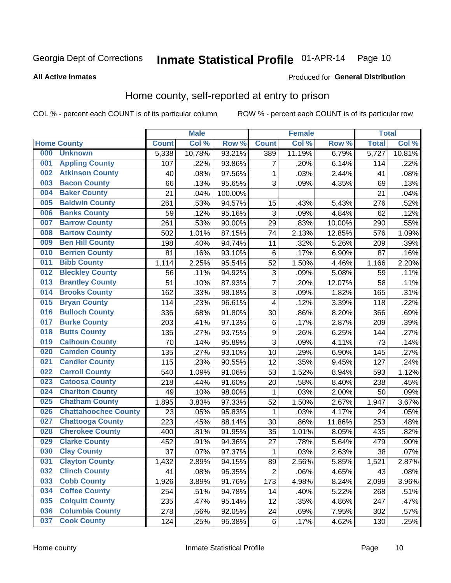### Inmate Statistical Profile 01-APR-14 Page 10

Produced for General Distribution

### **All Active Inmates**

### Home county, self-reported at entry to prison

COL % - percent each COUNT is of its particular column

|     |                             |              | <b>Male</b> |                  |                  | <b>Female</b> |        | <b>Total</b> |        |
|-----|-----------------------------|--------------|-------------|------------------|------------------|---------------|--------|--------------|--------|
|     | <b>Home County</b>          | <b>Count</b> | Col %       | Row <sup>%</sup> | <b>Count</b>     | Col %         | Row %  | <b>Total</b> | Col %  |
| 000 | <b>Unknown</b>              | 5,338        | 10.78%      | 93.21%           | 389              | 11.19%        | 6.79%  | 5,727        | 10.81% |
| 001 | <b>Appling County</b>       | 107          | .22%        | 93.86%           | 7                | .20%          | 6.14%  | 114          | .22%   |
| 002 | <b>Atkinson County</b>      | 40           | .08%        | 97.56%           | 1                | .03%          | 2.44%  | 41           | .08%   |
| 003 | <b>Bacon County</b>         | 66           | .13%        | 95.65%           | 3                | .09%          | 4.35%  | 69           | .13%   |
| 004 | <b>Baker County</b>         | 21           | .04%        | 100.00%          |                  |               |        | 21           | .04%   |
| 005 | <b>Baldwin County</b>       | 261          | .53%        | 94.57%           | 15               | .43%          | 5.43%  | 276          | .52%   |
| 006 | <b>Banks County</b>         | 59           | .12%        | 95.16%           | $\mathbf{3}$     | .09%          | 4.84%  | 62           | .12%   |
| 007 | <b>Barrow County</b>        | 261          | .53%        | 90.00%           | 29               | .83%          | 10.00% | 290          | .55%   |
| 008 | <b>Bartow County</b>        | 502          | 1.01%       | 87.15%           | 74               | 2.13%         | 12.85% | 576          | 1.09%  |
| 009 | <b>Ben Hill County</b>      | 198          | .40%        | 94.74%           | 11               | .32%          | 5.26%  | 209          | .39%   |
| 010 | <b>Berrien County</b>       | 81           | .16%        | 93.10%           | $\,6$            | .17%          | 6.90%  | 87           | .16%   |
| 011 | <b>Bibb County</b>          | 1,114        | 2.25%       | 95.54%           | 52               | 1.50%         | 4.46%  | 1,166        | 2.20%  |
| 012 | <b>Bleckley County</b>      | 56           | .11%        | 94.92%           | 3                | .09%          | 5.08%  | 59           | .11%   |
| 013 | <b>Brantley County</b>      | 51           | .10%        | 87.93%           | $\overline{7}$   | .20%          | 12.07% | 58           | .11%   |
| 014 | <b>Brooks County</b>        | 162          | .33%        | 98.18%           | $\overline{3}$   | .09%          | 1.82%  | 165          | .31%   |
| 015 | <b>Bryan County</b>         | 114          | .23%        | 96.61%           | 4                | .12%          | 3.39%  | 118          | .22%   |
| 016 | <b>Bulloch County</b>       | 336          | .68%        | 91.80%           | 30               | .86%          | 8.20%  | 366          | .69%   |
| 017 | <b>Burke County</b>         | 203          | .41%        | 97.13%           | $\,6$            | .17%          | 2.87%  | 209          | .39%   |
| 018 | <b>Butts County</b>         | 135          | .27%        | 93.75%           | $\boldsymbol{9}$ | .26%          | 6.25%  | 144          | .27%   |
| 019 | <b>Calhoun County</b>       | 70           | .14%        | 95.89%           | 3                | .09%          | 4.11%  | 73           | .14%   |
| 020 | <b>Camden County</b>        | 135          | .27%        | 93.10%           | 10               | .29%          | 6.90%  | 145          | .27%   |
| 021 | <b>Candler County</b>       | 115          | .23%        | 90.55%           | 12               | .35%          | 9.45%  | 127          | .24%   |
| 022 | <b>Carroll County</b>       | 540          | 1.09%       | 91.06%           | 53               | 1.52%         | 8.94%  | 593          | 1.12%  |
| 023 | <b>Catoosa County</b>       | 218          | .44%        | 91.60%           | 20               | .58%          | 8.40%  | 238          | .45%   |
| 024 | <b>Charlton County</b>      | 49           | .10%        | 98.00%           | $\mathbf{1}$     | .03%          | 2.00%  | 50           | .09%   |
| 025 | <b>Chatham County</b>       | 1,895        | 3.83%       | 97.33%           | 52               | 1.50%         | 2.67%  | 1,947        | 3.67%  |
| 026 | <b>Chattahoochee County</b> | 23           | .05%        | 95.83%           | 1                | .03%          | 4.17%  | 24           | .05%   |
| 027 | <b>Chattooga County</b>     | 223          | .45%        | 88.14%           | 30               | .86%          | 11.86% | 253          | .48%   |
| 028 | <b>Cherokee County</b>      | 400          | .81%        | 91.95%           | 35               | 1.01%         | 8.05%  | 435          | .82%   |
| 029 | <b>Clarke County</b>        | 452          | .91%        | 94.36%           | 27               | .78%          | 5.64%  | 479          | .90%   |
| 030 | <b>Clay County</b>          | 37           | .07%        | 97.37%           | 1                | .03%          | 2.63%  | 38           | .07%   |
| 031 | <b>Clayton County</b>       | 1,432        | 2.89%       | 94.15%           | 89               | 2.56%         | 5.85%  | 1,521        | 2.87%  |
| 032 | <b>Clinch County</b>        | 41           | .08%        | 95.35%           | $\overline{2}$   | .06%          | 4.65%  | 43           | .08%   |
| 033 | <b>Cobb County</b>          | 1,926        | 3.89%       | 91.76%           | 173              | 4.98%         | 8.24%  | 2,099        | 3.96%  |
| 034 | <b>Coffee County</b>        | 254          | .51%        | 94.78%           | 14               | .40%          | 5.22%  | 268          | .51%   |
| 035 | <b>Colquitt County</b>      | 235          | .47%        | 95.14%           | 12               | .35%          | 4.86%  | 247          | .47%   |
| 036 | <b>Columbia County</b>      | 278          | .56%        | 92.05%           | 24               | .69%          | 7.95%  | 302          | .57%   |
| 037 | <b>Cook County</b>          | 124          | .25%        | 95.38%           | $\,6$            | .17%          | 4.62%  | 130          | .25%   |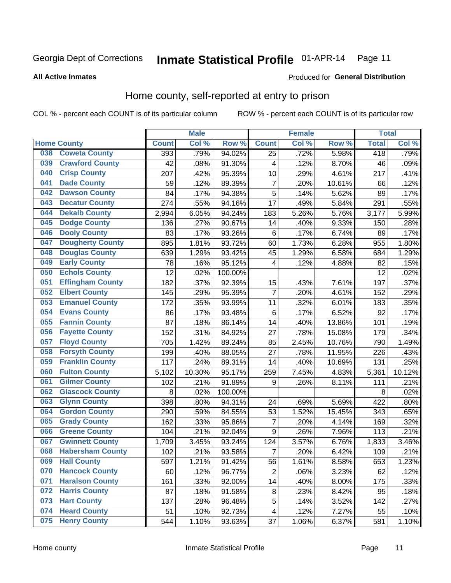### Inmate Statistical Profile 01-APR-14 Page 11

**All Active Inmates** 

#### Produced for General Distribution

### Home county, self-reported at entry to prison

COL % - percent each COUNT is of its particular column

|     |                         |              | <b>Male</b> |                  |                | <b>Female</b> |        | <b>Total</b> |        |
|-----|-------------------------|--------------|-------------|------------------|----------------|---------------|--------|--------------|--------|
|     | <b>Home County</b>      | <b>Count</b> | Col%        | Row <sup>%</sup> | <b>Count</b>   | Col %         | Row %  | <b>Total</b> | Col %  |
| 038 | <b>Coweta County</b>    | 393          | .79%        | 94.02%           | 25             | .72%          | 5.98%  | 418          | .79%   |
| 039 | <b>Crawford County</b>  | 42           | .08%        | 91.30%           | 4              | .12%          | 8.70%  | 46           | .09%   |
| 040 | <b>Crisp County</b>     | 207          | .42%        | 95.39%           | 10             | .29%          | 4.61%  | 217          | .41%   |
| 041 | <b>Dade County</b>      | 59           | .12%        | 89.39%           | $\overline{7}$ | .20%          | 10.61% | 66           | .12%   |
| 042 | <b>Dawson County</b>    | 84           | .17%        | 94.38%           | 5              | .14%          | 5.62%  | 89           | .17%   |
| 043 | <b>Decatur County</b>   | 274          | .55%        | 94.16%           | 17             | .49%          | 5.84%  | 291          | .55%   |
| 044 | <b>Dekalb County</b>    | 2,994        | 6.05%       | 94.24%           | 183            | 5.26%         | 5.76%  | 3,177        | 5.99%  |
| 045 | <b>Dodge County</b>     | 136          | .27%        | 90.67%           | 14             | .40%          | 9.33%  | 150          | .28%   |
| 046 | <b>Dooly County</b>     | 83           | .17%        | 93.26%           | 6              | .17%          | 6.74%  | 89           | .17%   |
| 047 | <b>Dougherty County</b> | 895          | 1.81%       | 93.72%           | 60             | 1.73%         | 6.28%  | 955          | 1.80%  |
| 048 | <b>Douglas County</b>   | 639          | 1.29%       | 93.42%           | 45             | 1.29%         | 6.58%  | 684          | 1.29%  |
| 049 | <b>Early County</b>     | 78           | .16%        | 95.12%           | 4              | .12%          | 4.88%  | 82           | .15%   |
| 050 | <b>Echols County</b>    | 12           | .02%        | 100.00%          |                |               |        | 12           | .02%   |
| 051 | <b>Effingham County</b> | 182          | .37%        | 92.39%           | 15             | .43%          | 7.61%  | 197          | .37%   |
| 052 | <b>Elbert County</b>    | 145          | .29%        | 95.39%           | $\overline{7}$ | .20%          | 4.61%  | 152          | .29%   |
| 053 | <b>Emanuel County</b>   | 172          | .35%        | 93.99%           | 11             | .32%          | 6.01%  | 183          | .35%   |
| 054 | <b>Evans County</b>     | 86           | .17%        | 93.48%           | 6              | .17%          | 6.52%  | 92           | .17%   |
| 055 | <b>Fannin County</b>    | 87           | .18%        | 86.14%           | 14             | .40%          | 13.86% | 101          | .19%   |
| 056 | <b>Fayette County</b>   | 152          | .31%        | 84.92%           | 27             | .78%          | 15.08% | 179          | .34%   |
| 057 | <b>Floyd County</b>     | 705          | 1.42%       | 89.24%           | 85             | 2.45%         | 10.76% | 790          | 1.49%  |
| 058 | <b>Forsyth County</b>   | 199          | .40%        | 88.05%           | 27             | .78%          | 11.95% | 226          | .43%   |
| 059 | <b>Franklin County</b>  | 117          | .24%        | 89.31%           | 14             | .40%          | 10.69% | 131          | .25%   |
| 060 | <b>Fulton County</b>    | 5,102        | 10.30%      | 95.17%           | 259            | 7.45%         | 4.83%  | 5,361        | 10.12% |
| 061 | <b>Gilmer County</b>    | 102          | .21%        | 91.89%           | 9              | .26%          | 8.11%  | 111          | .21%   |
| 062 | <b>Glascock County</b>  | 8            | .02%        | 100.00%          |                |               |        | 8            | .02%   |
| 063 | <b>Glynn County</b>     | 398          | .80%        | 94.31%           | 24             | .69%          | 5.69%  | 422          | .80%   |
| 064 | <b>Gordon County</b>    | 290          | .59%        | 84.55%           | 53             | 1.52%         | 15.45% | 343          | .65%   |
| 065 | <b>Grady County</b>     | 162          | .33%        | 95.86%           | $\overline{7}$ | .20%          | 4.14%  | 169          | .32%   |
| 066 | <b>Greene County</b>    | 104          | .21%        | 92.04%           | 9              | .26%          | 7.96%  | 113          | .21%   |
| 067 | <b>Gwinnett County</b>  | 1,709        | 3.45%       | 93.24%           | 124            | 3.57%         | 6.76%  | 1,833        | 3.46%  |
| 068 | <b>Habersham County</b> | 102          | .21%        | 93.58%           | 7              | .20%          | 6.42%  | 109          | .21%   |
| 069 | <b>Hall County</b>      | 597          | 1.21%       | 91.42%           | 56             | 1.61%         | 8.58%  | 653          | 1.23%  |
| 070 | <b>Hancock County</b>   | 60           | .12%        | 96.77%           | $\overline{2}$ | .06%          | 3.23%  | 62           | .12%   |
| 071 | <b>Haralson County</b>  | 161          | .33%        | 92.00%           | 14             | .40%          | 8.00%  | 175          | .33%   |
| 072 | <b>Harris County</b>    | 87           | .18%        | 91.58%           | $\bf 8$        | .23%          | 8.42%  | 95           | .18%   |
| 073 | <b>Hart County</b>      | 137          | .28%        | 96.48%           | 5              | .14%          | 3.52%  | 142          | .27%   |
| 074 | <b>Heard County</b>     | 51           | .10%        | 92.73%           | 4              | .12%          | 7.27%  | 55           | .10%   |
| 075 | <b>Henry County</b>     | 544          | 1.10%       | 93.63%           | 37             | 1.06%         | 6.37%  | 581          | 1.10%  |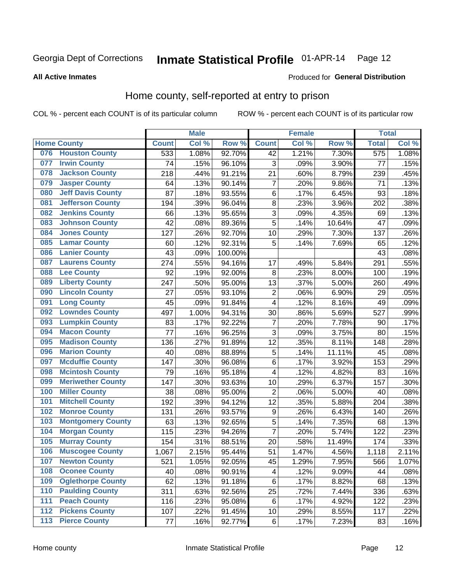#### Inmate Statistical Profile 01-APR-14 Page 12

**All Active Inmates** 

### **Produced for General Distribution**

### Home county, self-reported at entry to prison

COL % - percent each COUNT is of its particular column

|     |                          |              | <b>Male</b> |         |                         | <b>Female</b> |        | <b>Total</b>     |       |
|-----|--------------------------|--------------|-------------|---------|-------------------------|---------------|--------|------------------|-------|
|     | <b>Home County</b>       | <b>Count</b> | Col %       | Row %   | <b>Count</b>            | Col %         | Row %  | <b>Total</b>     | Col % |
| 076 | <b>Houston County</b>    | 533          | 1.08%       | 92.70%  | 42                      | 1.21%         | 7.30%  | $\overline{575}$ | 1.08% |
| 077 | <b>Irwin County</b>      | 74           | .15%        | 96.10%  | 3                       | .09%          | 3.90%  | 77               | .15%  |
| 078 | <b>Jackson County</b>    | 218          | .44%        | 91.21%  | 21                      | .60%          | 8.79%  | 239              | .45%  |
| 079 | <b>Jasper County</b>     | 64           | .13%        | 90.14%  | $\overline{7}$          | .20%          | 9.86%  | 71               | .13%  |
| 080 | <b>Jeff Davis County</b> | 87           | .18%        | 93.55%  | 6                       | .17%          | 6.45%  | 93               | .18%  |
| 081 | <b>Jefferson County</b>  | 194          | .39%        | 96.04%  | $\bf 8$                 | .23%          | 3.96%  | 202              | .38%  |
| 082 | <b>Jenkins County</b>    | 66           | .13%        | 95.65%  | 3                       | .09%          | 4.35%  | 69               | .13%  |
| 083 | <b>Johnson County</b>    | 42           | .08%        | 89.36%  | 5                       | .14%          | 10.64% | 47               | .09%  |
| 084 | <b>Jones County</b>      | 127          | .26%        | 92.70%  | 10                      | .29%          | 7.30%  | 137              | .26%  |
| 085 | <b>Lamar County</b>      | 60           | .12%        | 92.31%  | 5                       | .14%          | 7.69%  | 65               | .12%  |
| 086 | <b>Lanier County</b>     | 43           | .09%        | 100.00% |                         |               |        | 43               | .08%  |
| 087 | <b>Laurens County</b>    | 274          | .55%        | 94.16%  | 17                      | .49%          | 5.84%  | 291              | .55%  |
| 088 | <b>Lee County</b>        | 92           | .19%        | 92.00%  | 8                       | .23%          | 8.00%  | 100              | .19%  |
| 089 | <b>Liberty County</b>    | 247          | .50%        | 95.00%  | 13                      | .37%          | 5.00%  | 260              | .49%  |
| 090 | <b>Lincoln County</b>    | 27           | .05%        | 93.10%  | $\mathbf 2$             | .06%          | 6.90%  | 29               | .05%  |
| 091 | <b>Long County</b>       | 45           | .09%        | 91.84%  | 4                       | .12%          | 8.16%  | 49               | .09%  |
| 092 | <b>Lowndes County</b>    | 497          | 1.00%       | 94.31%  | 30                      | .86%          | 5.69%  | 527              | .99%  |
| 093 | <b>Lumpkin County</b>    | 83           | .17%        | 92.22%  | $\overline{7}$          | .20%          | 7.78%  | 90               | .17%  |
| 094 | <b>Macon County</b>      | 77           | .16%        | 96.25%  | $\overline{3}$          | .09%          | 3.75%  | 80               | .15%  |
| 095 | <b>Madison County</b>    | 136          | .27%        | 91.89%  | 12                      | .35%          | 8.11%  | 148              | .28%  |
| 096 | <b>Marion County</b>     | 40           | .08%        | 88.89%  | 5                       | .14%          | 11.11% | 45               | .08%  |
| 097 | <b>Mcduffie County</b>   | 147          | .30%        | 96.08%  | 6                       | .17%          | 3.92%  | 153              | .29%  |
| 098 | <b>Mcintosh County</b>   | 79           | .16%        | 95.18%  | $\overline{\mathbf{4}}$ | .12%          | 4.82%  | 83               | .16%  |
| 099 | <b>Meriwether County</b> | 147          | .30%        | 93.63%  | 10                      | .29%          | 6.37%  | 157              | .30%  |
| 100 | <b>Miller County</b>     | 38           | .08%        | 95.00%  | $\overline{2}$          | .06%          | 5.00%  | 40               | .08%  |
| 101 | <b>Mitchell County</b>   | 192          | .39%        | 94.12%  | 12                      | .35%          | 5.88%  | 204              | .38%  |
| 102 | <b>Monroe County</b>     | 131          | .26%        | 93.57%  | $\boldsymbol{9}$        | .26%          | 6.43%  | 140              | .26%  |
| 103 | <b>Montgomery County</b> | 63           | .13%        | 92.65%  | 5                       | .14%          | 7.35%  | 68               | .13%  |
| 104 | <b>Morgan County</b>     | 115          | .23%        | 94.26%  | $\overline{7}$          | .20%          | 5.74%  | 122              | .23%  |
| 105 | <b>Murray County</b>     | 154          | .31%        | 88.51%  | 20                      | .58%          | 11.49% | 174              | .33%  |
| 106 | <b>Muscogee County</b>   | 1,067        | 2.15%       | 95.44%  | 51                      | 1.47%         | 4.56%  | 1,118            | 2.11% |
| 107 | <b>Newton County</b>     | 521          | 1.05%       | 92.05%  | 45                      | 1.29%         | 7.95%  | 566              | 1.07% |
| 108 | <b>Oconee County</b>     | 40           | .08%        | 90.91%  | 4                       | .12%          | 9.09%  | 44               | .08%  |
| 109 | <b>Oglethorpe County</b> | 62           | .13%        | 91.18%  | $\,6$                   | .17%          | 8.82%  | 68               | .13%  |
| 110 | <b>Paulding County</b>   | 311          | .63%        | 92.56%  | 25                      | .72%          | 7.44%  | 336              | .63%  |
| 111 | <b>Peach County</b>      | 116          | .23%        | 95.08%  | $\,6$                   | .17%          | 4.92%  | 122              | .23%  |
| 112 | <b>Pickens County</b>    | 107          | .22%        | 91.45%  | 10                      | .29%          | 8.55%  | 117              | .22%  |
| 113 | <b>Pierce County</b>     | 77           | .16%        | 92.77%  | $\,6$                   | .17%          | 7.23%  | 83               | .16%  |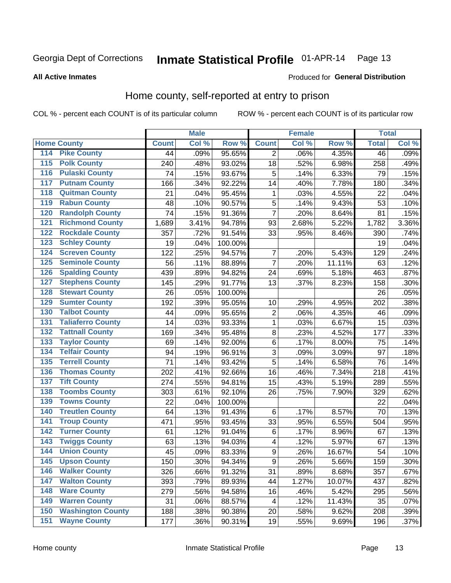# Inmate Statistical Profile 01-APR-14 Page 13

### **All Active Inmates**

#### Produced for General Distribution

### Home county, self-reported at entry to prison

COL % - percent each COUNT is of its particular column

|                                          |                          |              | <b>Male</b> |         |                  | <b>Female</b> |        | <b>Total</b>    |       |
|------------------------------------------|--------------------------|--------------|-------------|---------|------------------|---------------|--------|-----------------|-------|
| <b>Home County</b>                       |                          | <b>Count</b> | Col %       | Row %   | <b>Count</b>     | Col %         | Row %  | <b>Total</b>    | Col % |
| 114<br><b>Pike County</b>                |                          | 44           | .09%        | 95.65%  | 2                | .06%          | 4.35%  | $\overline{46}$ | .09%  |
| <b>Polk County</b><br>115                |                          | 240          | .48%        | 93.02%  | 18               | .52%          | 6.98%  | 258             | .49%  |
| <b>Pulaski County</b><br>116             |                          | 74           | .15%        | 93.67%  | 5                | .14%          | 6.33%  | 79              | .15%  |
| 117                                      | <b>Putnam County</b>     | 166          | .34%        | 92.22%  | 14               | .40%          | 7.78%  | 180             | .34%  |
| 118                                      | <b>Quitman County</b>    | 21           | .04%        | 95.45%  | 1                | .03%          | 4.55%  | 22              | .04%  |
| <b>Rabun County</b><br>119               |                          | 48           | .10%        | 90.57%  | 5                | .14%          | 9.43%  | 53              | .10%  |
| 120                                      | <b>Randolph County</b>   | 74           | .15%        | 91.36%  | $\overline{7}$   | .20%          | 8.64%  | 81              | .15%  |
| 121                                      | <b>Richmond County</b>   | 1,689        | 3.41%       | 94.78%  | 93               | 2.68%         | 5.22%  | 1,782           | 3.36% |
| 122                                      | <b>Rockdale County</b>   | 357          | .72%        | 91.54%  | 33               | .95%          | 8.46%  | 390             | .74%  |
| <b>Schley County</b><br>123              |                          | 19           | .04%        | 100.00% |                  |               |        | 19              | .04%  |
| 124                                      | <b>Screven County</b>    | 122          | .25%        | 94.57%  | 7                | .20%          | 5.43%  | 129             | .24%  |
| 125                                      | <b>Seminole County</b>   | 56           | .11%        | 88.89%  | $\overline{7}$   | .20%          | 11.11% | 63              | .12%  |
| 126                                      | <b>Spalding County</b>   | 439          | .89%        | 94.82%  | 24               | .69%          | 5.18%  | 463             | .87%  |
| 127                                      | <b>Stephens County</b>   | 145          | .29%        | 91.77%  | 13               | .37%          | 8.23%  | 158             | .30%  |
| 128                                      | <b>Stewart County</b>    | 26           | .05%        | 100.00% |                  |               |        | 26              | .05%  |
| <b>Sumter County</b><br>129              |                          | 192          | .39%        | 95.05%  | 10               | .29%          | 4.95%  | 202             | .38%  |
| <b>Talbot County</b><br>130              |                          | 44           | .09%        | 95.65%  | 2                | .06%          | 4.35%  | 46              | .09%  |
| 131                                      | <b>Taliaferro County</b> | 14           | .03%        | 93.33%  | 1                | .03%          | 6.67%  | 15              | .03%  |
| 132                                      | <b>Tattnall County</b>   | 169          | .34%        | 95.48%  | $\bf 8$          | .23%          | 4.52%  | 177             | .33%  |
| <b>Taylor County</b><br>133              |                          | 69           | .14%        | 92.00%  | 6                | .17%          | 8.00%  | 75              | .14%  |
| <b>Telfair County</b><br>134             |                          | 94           | .19%        | 96.91%  | $\overline{3}$   | .09%          | 3.09%  | 97              | .18%  |
| <b>Terrell County</b><br>135             |                          | 71           | .14%        | 93.42%  | 5                | .14%          | 6.58%  | 76              | .14%  |
| 136                                      | <b>Thomas County</b>     | 202          | .41%        | 92.66%  | 16               | .46%          | 7.34%  | 218             | .41%  |
| <b>Tift County</b><br>137                |                          | 274          | .55%        | 94.81%  | 15               | .43%          | 5.19%  | 289             | .55%  |
| 138                                      | <b>Toombs County</b>     | 303          | .61%        | 92.10%  | 26               | .75%          | 7.90%  | 329             | .62%  |
| <b>Towns County</b><br>139               |                          | 22           | .04%        | 100.00% |                  |               |        | 22              | .04%  |
| 140                                      | <b>Treutlen County</b>   | 64           | .13%        | 91.43%  | $\,6$            | .17%          | 8.57%  | 70              | .13%  |
| <b>Troup County</b><br>141               |                          | 471          | .95%        | 93.45%  | 33               | .95%          | 6.55%  | 504             | .95%  |
| <b>Turner County</b><br>$\overline{142}$ |                          | 61           | .12%        | 91.04%  | 6                | .17%          | 8.96%  | 67              | .13%  |
| <b>Twiggs County</b><br>143              |                          | 63           | .13%        | 94.03%  | 4                | .12%          | 5.97%  | 67              | .13%  |
| <b>Union County</b><br>144               |                          | 45           | .09%        | 83.33%  | $\boldsymbol{9}$ | .26%          | 16.67% | 54              | .10%  |
| 145<br><b>Upson County</b>               |                          | 150          | .30%        | 94.34%  | 9                | .26%          | 5.66%  | 159             | .30%  |
| <b>Walker County</b><br>146              |                          | 326          | .66%        | 91.32%  | 31               | .89%          | 8.68%  | 357             | .67%  |
| <b>Walton County</b><br>147              |                          | 393          | .79%        | 89.93%  | 44               | 1.27%         | 10.07% | 437             | .82%  |
| <b>Ware County</b><br>148                |                          | 279          | .56%        | 94.58%  | 16               | .46%          | 5.42%  | 295             | .56%  |
| <b>Warren County</b><br>149              |                          | 31           | .06%        | 88.57%  | 4                | .12%          | 11.43% | 35              | .07%  |
| 150                                      | <b>Washington County</b> | 188          | .38%        | 90.38%  | 20               | .58%          | 9.62%  | 208             | .39%  |
| <b>Wayne County</b><br>151               |                          | 177          | .36%        | 90.31%  | 19               | .55%          | 9.69%  | 196             | .37%  |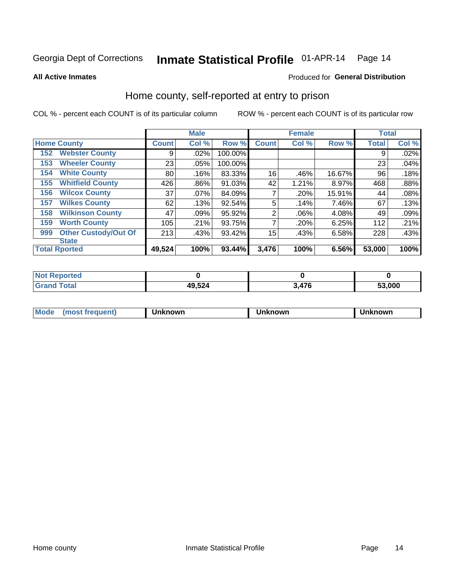# Inmate Statistical Profile 01-APR-14 Page 14

**All Active Inmates** 

### Produced for General Distribution

### Home county, self-reported at entry to prison

COL % - percent each COUNT is of its particular column

|     |                             |              | <b>Male</b> |         |              | <b>Female</b> |        | <b>Total</b> |       |
|-----|-----------------------------|--------------|-------------|---------|--------------|---------------|--------|--------------|-------|
|     | <b>Home County</b>          | <b>Count</b> | Col %       | Row %   | <b>Count</b> | Col %         | Row %  | <b>Total</b> | Col % |
| 152 | <b>Webster County</b>       | 9            | .02%        | 100.00% |              |               |        | 9            | .02%  |
| 153 | <b>Wheeler County</b>       | 23           | .05%        | 100.00% |              |               |        | 23           | .04%  |
| 154 | <b>White County</b>         | 80           | .16%        | 83.33%  | 16           | .46%          | 16.67% | 96           | .18%  |
| 155 | <b>Whitfield County</b>     | 426          | .86%        | 91.03%  | 42           | 1.21%         | 8.97%  | 468          | .88%  |
| 156 | <b>Wilcox County</b>        | 37           | .07%        | 84.09%  |              | .20%          | 15.91% | 44           | .08%  |
| 157 | <b>Wilkes County</b>        | 62           | .13%        | 92.54%  | 5            | .14%          | 7.46%  | 67           | .13%  |
| 158 | <b>Wilkinson County</b>     | 47           | .09%        | 95.92%  | 2            | .06%          | 4.08%  | 49           | .09%  |
| 159 | <b>Worth County</b>         | 105          | .21%        | 93.75%  | 7            | .20%          | 6.25%  | 112          | .21%  |
| 999 | <b>Other Custody/Out Of</b> | 213          | .43%        | 93.42%  | 15           | .43%          | 6.58%  | 228          | .43%  |
|     | <b>State</b>                |              |             |         |              |               |        |              |       |
|     | <b>Total Rported</b>        | 49,524       | 100%        | 93.44%  | 3,476        | 100%          | 6.56%  | 53,000       | 100%  |

| τeα |        |            |        |
|-----|--------|------------|--------|
|     | 49 524 | 170<br>. . | 53,000 |

| Mode<br><b>Tequent)</b><br>ns | nown | mown | เทown |
|-------------------------------|------|------|-------|
|                               |      |      |       |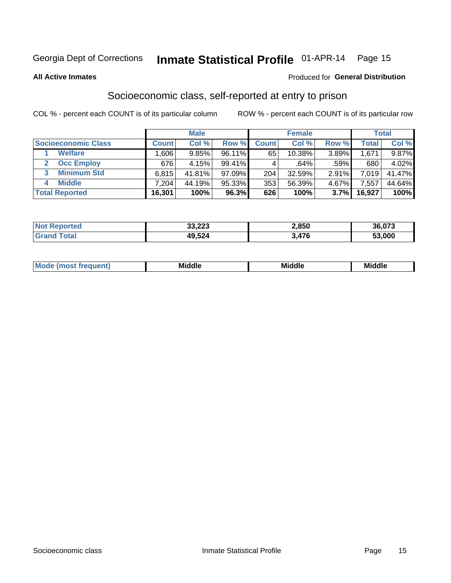### Inmate Statistical Profile 01-APR-14 Page 15

#### **All Active Inmates**

### Produced for General Distribution

### Socioeconomic class, self-reported at entry to prison

COL % - percent each COUNT is of its particular column

|                       |                | <b>Male</b> |           |              | <b>Female</b> |       |        | <b>Total</b> |
|-----------------------|----------------|-------------|-----------|--------------|---------------|-------|--------|--------------|
| Socioeconomic Class   | <b>Count</b> l | Col %       | Row %     | <b>Count</b> | Col %         | Row % | Total  | Col %        |
| <b>Welfare</b>        | .606           | 9.85%       | 96.11%    | 65           | 10.38%        | 3.89% | 1,671  | 9.87%        |
| <b>Occ Employ</b>     | 676            | 4.15%       | $99.41\%$ |              | .64%          | .59%  | 680    | 4.02%        |
| <b>Minimum Std</b>    | 6,815          | 41.81%      | 97.09%    | 204          | 32.59%        | 2.91% | 7.019  | 41.47%       |
| <b>Middle</b>         | 7.204          | 44.19%      | 95.33%    | 353          | 56.39%        | 4.67% | .557   | 44.64%       |
| <b>Total Reported</b> | 16,301         | 100%        | 96.3%     | 626          | 100%          | 3.7%  | 16,927 | 100%         |

| <b>Not Reported</b> | 33,223 | 2,850 | 36,073 |
|---------------------|--------|-------|--------|
|                     | 49,524 | 476   | 53,000 |

| ____<br>____ |
|--------------|
|--------------|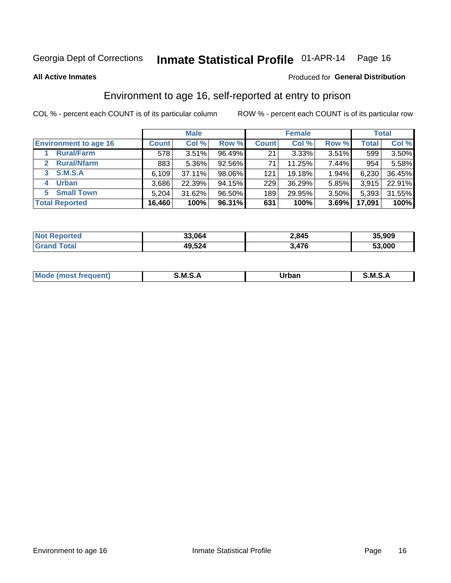### Inmate Statistical Profile 01-APR-14 Page 16

**All Active Inmates** 

### Produced for General Distribution

### Environment to age 16, self-reported at entry to prison

COL % - percent each COUNT is of its particular column

|                                    |              | <b>Male</b> |        |              | <b>Female</b> |       |              | <b>Total</b> |
|------------------------------------|--------------|-------------|--------|--------------|---------------|-------|--------------|--------------|
| <b>Environment to age 16</b>       | <b>Count</b> | Col %       | Row %  | <b>Count</b> | Col %         | Row % | <b>Total</b> | Col %        |
| <b>Rural/Farm</b>                  | 578          | 3.51%       | 96.49% | 21           | 3.33%         | 3.51% | 599          | 3.50%        |
| <b>Rural/Nfarm</b><br>$\mathbf{2}$ | 883          | 5.36%       | 92.56% | 71           | 11.25%        | 7.44% | 954          | 5.58%        |
| 3 S.M.S.A                          | 6,109        | 37.11%      | 98.06% | 121          | 19.18%        | 1.94% | 6,230        | 36.45%       |
| <b>Urban</b><br>4                  | 3,686        | 22.39%      | 94.15% | 229          | 36.29%        | 5.85% | 3,915        | 22.91%       |
| 5 Small Town                       | 5,204        | 31.62%      | 96.50% | 189          | 29.95%        | 3.50% | 5,393        | 31.55%       |
| <b>Total Reported</b>              | 16,460       | 100%        | 96.31% | 631          | 100%          | 3.69% | 17,091       | 100%         |

| <b>Not Reported</b> | 33,064 | 2,845 | 35,909 |
|---------------------|--------|-------|--------|
| <b>Grand Total</b>  | 49,524 | 3,476 | 53,000 |

| Mo | M | Irhan<br>rva<br>_____ | M<br>______ |
|----|---|-----------------------|-------------|
|    |   |                       |             |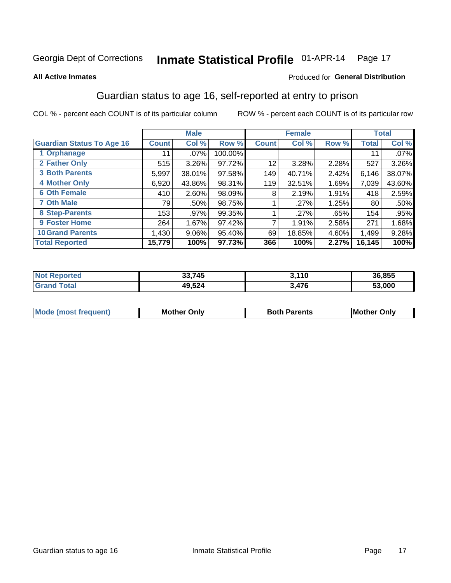# Inmate Statistical Profile 01-APR-14 Page 17

#### **All Active Inmates**

### Produced for General Distribution

### Guardian status to age 16, self-reported at entry to prison

COL % - percent each COUNT is of its particular column

|                                  |              | <b>Male</b> |         |              | <b>Female</b> |       |        | <b>Total</b> |
|----------------------------------|--------------|-------------|---------|--------------|---------------|-------|--------|--------------|
| <b>Guardian Status To Age 16</b> | <b>Count</b> | Col %       | Row %   | <b>Count</b> | Col %         | Row % | Total  | Col %        |
| 1 Orphanage                      | 11           | $.07\%$     | 100.00% |              |               |       | 11     | $.07\%$      |
| 2 Father Only                    | 515          | 3.26%       | 97.72%  | 12           | 3.28%         | 2.28% | 527    | 3.26%        |
| <b>3 Both Parents</b>            | 5,997        | 38.01%      | 97.58%  | 149          | 40.71%        | 2.42% | 6,146  | 38.07%       |
| <b>4 Mother Only</b>             | 6,920        | 43.86%      | 98.31%  | 119          | 32.51%        | 1.69% | 7,039  | 43.60%       |
| <b>6 Oth Female</b>              | 410          | 2.60%       | 98.09%  | 8            | 2.19%         | 1.91% | 418    | 2.59%        |
| <b>7 Oth Male</b>                | 79           | .50%        | 98.75%  |              | .27%          | 1.25% | 80     | .50%         |
| 8 Step-Parents                   | 153          | .97%        | 99.35%  |              | .27%          | .65%  | 154    | .95%         |
| 9 Foster Home                    | 264          | 1.67%       | 97.42%  | ⇁            | 1.91%         | 2.58% | 271    | 1.68%        |
| <b>10 Grand Parents</b>          | 1,430        | $9.06\%$    | 95.40%  | 69           | 18.85%        | 4.60% | 1,499  | 9.28%        |
| <b>Total Reported</b>            | 15,779       | 100%        | 97.73%  | 366          | 100%          | 2.27% | 16,145 | 100%         |

| Reported<br><b>Not</b> | 33,745 | 3,110 | 36,855 |
|------------------------|--------|-------|--------|
| ™ota⊾                  | 49,524 | 3,476 | 53.000 |

| Mode | วทIv<br>Mot | <b>Both Parents</b><br>Parents | lM.<br>Only<br>. |
|------|-------------|--------------------------------|------------------|
|      |             |                                |                  |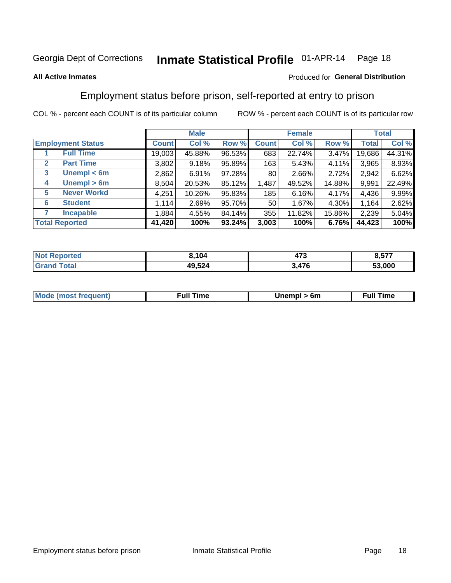#### Inmate Statistical Profile 01-APR-14 Page 18

#### **All Active Inmates**

### Produced for General Distribution

### Employment status before prison, self-reported at entry to prison

COL % - percent each COUNT is of its particular column

|                                  |              | <b>Male</b> |        |                 | <b>Female</b> |          |        | <b>Total</b> |
|----------------------------------|--------------|-------------|--------|-----------------|---------------|----------|--------|--------------|
| <b>Employment Status</b>         | <b>Count</b> | Col %       | Row %  | <b>Count</b>    | Col %         | Row %    | Total  | Col %        |
| <b>Full Time</b>                 | 19,003       | 45.88%      | 96.53% | 683             | 22.74%        | $3.47\%$ | 19,686 | 44.31%       |
| <b>Part Time</b><br>$\mathbf{2}$ | 3,802        | 9.18%       | 95.89% | 163             | 5.43%         | $4.11\%$ | 3,965  | 8.93%        |
| Unempl $<$ 6m<br>3               | 2,862        | 6.91%       | 97.28% | 80 <sup>1</sup> | 2.66%         | 2.72%    | 2,942  | 6.62%        |
| Unempl > 6m<br>4                 | 8,504        | 20.53%      | 85.12% | 1,487           | 49.52%        | 14.88%   | 9,991  | 22.49%       |
| <b>Never Workd</b><br>5          | 4,251        | 10.26%      | 95.83% | 185             | 6.16%         | 4.17%    | 4,436  | 9.99%        |
| <b>Student</b><br>6              | 1,114        | 2.69%       | 95.70% | 50 <sub>1</sub> | 1.67%         | 4.30%    | 1,164  | 2.62%        |
| <b>Incapable</b>                 | 1,884        | 4.55%       | 84.14% | 355             | 11.82%        | 15.86%   | 2,239  | 5.04%        |
| <b>Total Reported</b>            | 41,420       | 100%        | 93.24% | 3,003           | 100%          | 6.76%    | 44,423 | 100%         |

| rted<br>NO | 3.104  | ,,,<br>41 J | ---    |
|------------|--------|-------------|--------|
| $\sim$     | 49,524 | 17C<br>' G  | 53,000 |

| <b>Moo.</b><br><b>THOST</b> | the contract of the contract of the contract of the contract of the contract of the contract of the contract of the contract of the contract of the contract of the contract of the contract of the contract of the contract o | 6m | ıme |
|-----------------------------|--------------------------------------------------------------------------------------------------------------------------------------------------------------------------------------------------------------------------------|----|-----|
|                             |                                                                                                                                                                                                                                |    |     |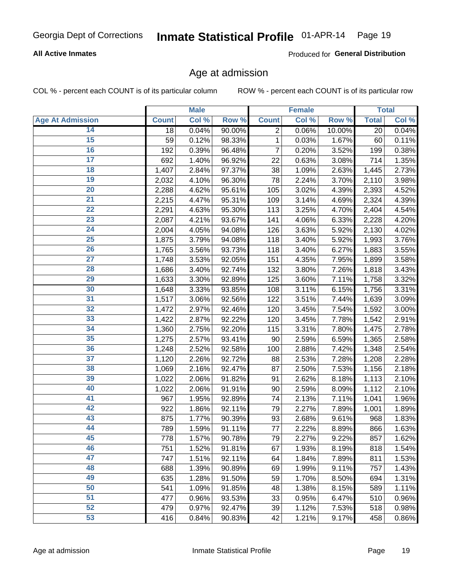#### Inmate Statistical Profile 01-APR-14 Page 19

### **All Active Inmates**

Produced for General Distribution

### Age at admission

COL % - percent each COUNT is of its particular column

|                         |              | <b>Male</b> |        |                | <b>Female</b> |        |              | <b>Total</b> |
|-------------------------|--------------|-------------|--------|----------------|---------------|--------|--------------|--------------|
| <b>Age At Admission</b> | <b>Count</b> | Col %       | Row %  | <b>Count</b>   | Col %         | Row %  | <b>Total</b> | Col %        |
| 14                      | 18           | 0.04%       | 90.00% | $\overline{2}$ | 0.06%         | 10.00% | 20           | 0.04%        |
| 15                      | 59           | 0.12%       | 98.33% | 1              | 0.03%         | 1.67%  | 60           | 0.11%        |
| 16                      | 192          | 0.39%       | 96.48% | 7              | 0.20%         | 3.52%  | 199          | 0.38%        |
| $\overline{17}$         | 692          | 1.40%       | 96.92% | 22             | 0.63%         | 3.08%  | 714          | 1.35%        |
| 18                      | 1,407        | 2.84%       | 97.37% | 38             | 1.09%         | 2.63%  | 1,445        | 2.73%        |
| 19                      | 2,032        | 4.10%       | 96.30% | 78             | 2.24%         | 3.70%  | 2,110        | 3.98%        |
| 20                      | 2,288        | 4.62%       | 95.61% | 105            | 3.02%         | 4.39%  | 2,393        | 4.52%        |
| $\overline{21}$         | 2,215        | 4.47%       | 95.31% | 109            | 3.14%         | 4.69%  | 2,324        | 4.39%        |
| $\overline{22}$         | 2,291        | 4.63%       | 95.30% | 113            | 3.25%         | 4.70%  | 2,404        | 4.54%        |
| 23                      | 2,087        | 4.21%       | 93.67% | 141            | 4.06%         | 6.33%  | 2,228        | 4.20%        |
| $\overline{24}$         | 2,004        | 4.05%       | 94.08% | 126            | 3.63%         | 5.92%  | 2,130        | 4.02%        |
| $\overline{25}$         | 1,875        | 3.79%       | 94.08% | 118            | 3.40%         | 5.92%  | 1,993        | 3.76%        |
| 26                      | 1,765        | 3.56%       | 93.73% | 118            | 3.40%         | 6.27%  | 1,883        | 3.55%        |
| $\overline{27}$         | 1,748        | 3.53%       | 92.05% | 151            | 4.35%         | 7.95%  | 1,899        | 3.58%        |
| 28                      | 1,686        | 3.40%       | 92.74% | 132            | 3.80%         | 7.26%  | 1,818        | 3.43%        |
| 29                      | 1,633        | 3.30%       | 92.89% | 125            | 3.60%         | 7.11%  | 1,758        | 3.32%        |
| 30                      | 1,648        | 3.33%       | 93.85% | 108            | 3.11%         | 6.15%  | 1,756        | 3.31%        |
| 31                      | 1,517        | 3.06%       | 92.56% | 122            | 3.51%         | 7.44%  | 1,639        | 3.09%        |
| 32                      | 1,472        | 2.97%       | 92.46% | 120            | 3.45%         | 7.54%  | 1,592        | 3.00%        |
| 33                      | 1,422        | 2.87%       | 92.22% | 120            | 3.45%         | 7.78%  | 1,542        | 2.91%        |
| 34                      | 1,360        | 2.75%       | 92.20% | 115            | 3.31%         | 7.80%  | 1,475        | 2.78%        |
| 35                      | 1,275        | 2.57%       | 93.41% | 90             | 2.59%         | 6.59%  | 1,365        | 2.58%        |
| 36                      | 1,248        | 2.52%       | 92.58% | 100            | 2.88%         | 7.42%  | 1,348        | 2.54%        |
| $\overline{37}$         | 1,120        | 2.26%       | 92.72% | 88             | 2.53%         | 7.28%  | 1,208        | 2.28%        |
| 38                      | 1,069        | 2.16%       | 92.47% | 87             | 2.50%         | 7.53%  | 1,156        | 2.18%        |
| 39                      | 1,022        | 2.06%       | 91.82% | 91             | 2.62%         | 8.18%  | 1,113        | 2.10%        |
| 40                      | 1,022        | 2.06%       | 91.91% | 90             | 2.59%         | 8.09%  | 1,112        | 2.10%        |
| 41                      | 967          | 1.95%       | 92.89% | 74             | 2.13%         | 7.11%  | 1,041        | 1.96%        |
| 42                      | 922          | 1.86%       | 92.11% | 79             | 2.27%         | 7.89%  | 1,001        | 1.89%        |
| 43                      | 875          | 1.77%       | 90.39% | 93             | 2.68%         | 9.61%  | 968          | 1.83%        |
| 44                      | 789          | 1.59%       | 91.11% | 77             | 2.22%         | 8.89%  | 866          | 1.63%        |
| 45                      | 778          | 1.57%       | 90.78% | 79             | 2.27%         | 9.22%  | 857          | 1.62%        |
| 46                      | 751          | 1.52%       | 91.81% | 67             | 1.93%         | 8.19%  | 818          | 1.54%        |
| 47                      | 747          | 1.51%       | 92.11% | 64             | 1.84%         | 7.89%  | 811          | 1.53%        |
| 48                      | 688          | 1.39%       | 90.89% | 69             | 1.99%         | 9.11%  | 757          | 1.43%        |
| 49                      | 635          | 1.28%       | 91.50% | 59             | 1.70%         | 8.50%  | 694          | 1.31%        |
| 50                      | 541          | 1.09%       | 91.85% | 48             | 1.38%         | 8.15%  | 589          | 1.11%        |
| 51                      | 477          | 0.96%       | 93.53% | 33             | 0.95%         | 6.47%  | 510          | 0.96%        |
| 52                      | 479          | 0.97%       | 92.47% | 39             | 1.12%         | 7.53%  | 518          | 0.98%        |
| 53                      | 416          | 0.84%       | 90.83% | 42             | 1.21%         | 9.17%  | 458          | 0.86%        |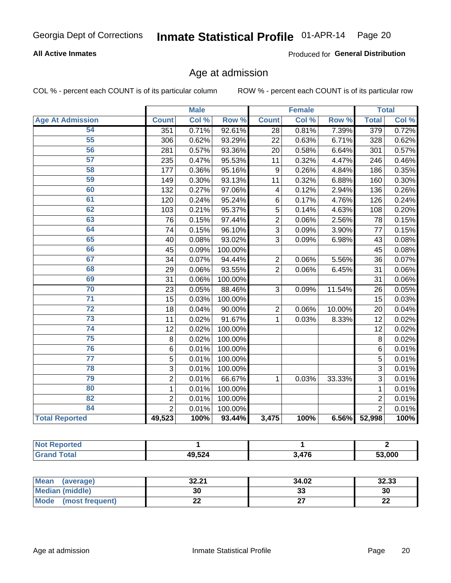# Inmate Statistical Profile 01-APR-14 Page 20

### **All Active Inmates**

Produced for General Distribution

### Age at admission

COL % - percent each COUNT is of its particular column

|                         | <b>Male</b>    |       | <b>Female</b> |                         |       | <b>Total</b> |                 |       |
|-------------------------|----------------|-------|---------------|-------------------------|-------|--------------|-----------------|-------|
| <b>Age At Admission</b> | <b>Count</b>   | Col % | Row %         | <b>Count</b>            | Col % | Row %        | <b>Total</b>    | Col % |
| 54                      | 351            | 0.71% | 92.61%        | 28                      | 0.81% | 7.39%        | 379             | 0.72% |
| 55                      | 306            | 0.62% | 93.29%        | 22                      | 0.63% | 6.71%        | 328             | 0.62% |
| 56                      | 281            | 0.57% | 93.36%        | 20                      | 0.58% | 6.64%        | 301             | 0.57% |
| 57                      | 235            | 0.47% | 95.53%        | 11                      | 0.32% | 4.47%        | 246             | 0.46% |
| 58                      | 177            | 0.36% | 95.16%        | 9                       | 0.26% | 4.84%        | 186             | 0.35% |
| 59                      | 149            | 0.30% | 93.13%        | 11                      | 0.32% | 6.88%        | 160             | 0.30% |
| 60                      | 132            | 0.27% | 97.06%        | $\overline{\mathbf{4}}$ | 0.12% | 2.94%        | 136             | 0.26% |
| 61                      | 120            | 0.24% | 95.24%        | 6                       | 0.17% | 4.76%        | 126             | 0.24% |
| 62                      | 103            | 0.21% | 95.37%        | 5                       | 0.14% | 4.63%        | 108             | 0.20% |
| 63                      | 76             | 0.15% | 97.44%        | $\overline{c}$          | 0.06% | 2.56%        | 78              | 0.15% |
| 64                      | 74             | 0.15% | 96.10%        | 3                       | 0.09% | 3.90%        | 77              | 0.15% |
| 65                      | 40             | 0.08% | 93.02%        | 3                       | 0.09% | 6.98%        | 43              | 0.08% |
| 66                      | 45             | 0.09% | 100.00%       |                         |       |              | 45              | 0.08% |
| 67                      | 34             | 0.07% | 94.44%        | $\overline{2}$          | 0.06% | 5.56%        | 36              | 0.07% |
| 68                      | 29             | 0.06% | 93.55%        | $\overline{2}$          | 0.06% | 6.45%        | 31              | 0.06% |
| 69                      | 31             | 0.06% | 100.00%       |                         |       |              | 31              | 0.06% |
| 70                      | 23             | 0.05% | 88.46%        | 3                       | 0.09% | 11.54%       | $\overline{26}$ | 0.05% |
| $\overline{71}$         | 15             | 0.03% | 100.00%       |                         |       |              | 15              | 0.03% |
| $\overline{72}$         | 18             | 0.04% | 90.00%        | $\overline{2}$          | 0.06% | 10.00%       | 20              | 0.04% |
| $\overline{73}$         | 11             | 0.02% | 91.67%        | 1                       | 0.03% | 8.33%        | 12              | 0.02% |
| $\overline{74}$         | 12             | 0.02% | 100.00%       |                         |       |              | 12              | 0.02% |
| 75                      | 8              | 0.02% | 100.00%       |                         |       |              | 8               | 0.02% |
| 76                      | $\,6$          | 0.01% | 100.00%       |                         |       |              | 6               | 0.01% |
| $\overline{77}$         | 5              | 0.01% | 100.00%       |                         |       |              | 5               | 0.01% |
| 78                      | $\overline{3}$ | 0.01% | 100.00%       |                         |       |              | 3               | 0.01% |
| 79                      | $\mathbf 2$    | 0.01% | 66.67%        | 1                       | 0.03% | 33.33%       | 3               | 0.01% |
| 80                      | $\mathbf{1}$   | 0.01% | 100.00%       |                         |       |              | $\mathbf{1}$    | 0.01% |
| 82                      | $\overline{2}$ | 0.01% | 100.00%       |                         |       |              | $\overline{2}$  | 0.01% |
| 84                      | $\overline{2}$ | 0.01% | 100.00%       |                         |       |              | $\overline{2}$  | 0.01% |
| <b>Total Reported</b>   | 49,523         | 100%  | 93.44%        | 3,475                   | 100%  | 6.56%        | 52,998          | 100%  |

| : Reported<br><b>NOT</b> F |        |      |        |
|----------------------------|--------|------|--------|
| 'otal                      | 49,524 | .476 | 53.000 |

| Mean (average)         | 32.21 | 34.02   | 32.33   |
|------------------------|-------|---------|---------|
| <b>Median (middle)</b> | 30    | ົ<br>აა | 30      |
| Mode (most frequent)   | LL    |         | ົ<br>LL |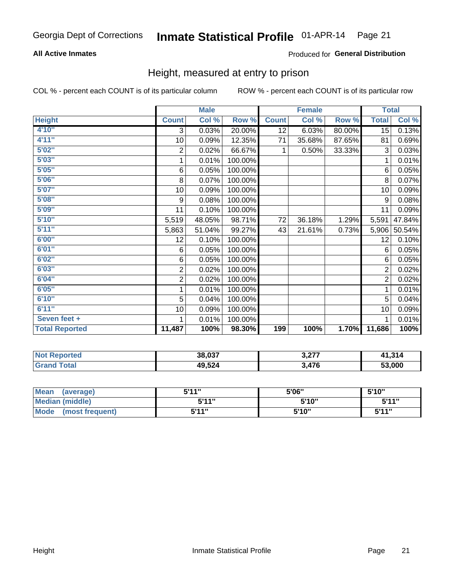# Inmate Statistical Profile 01-APR-14 Page 21

### **All Active Inmates**

### Produced for General Distribution

### Height, measured at entry to prison

COL % - percent each COUNT is of its particular column

|                       | <b>Male</b>    |        |         | <b>Female</b> |        |        | <b>Total</b>   |        |
|-----------------------|----------------|--------|---------|---------------|--------|--------|----------------|--------|
| <b>Height</b>         | <b>Count</b>   | Col %  | Row %   | <b>Count</b>  | Col %  | Row %  | <b>Total</b>   | Col %  |
| 4'10"                 | 3              | 0.03%  | 20.00%  | 12            | 6.03%  | 80.00% | 15             | 0.13%  |
| 4'11''                | 10             | 0.09%  | 12.35%  | 71            | 35.68% | 87.65% | 81             | 0.69%  |
| 5'02"                 | $\sqrt{2}$     | 0.02%  | 66.67%  | $\mathbf{1}$  | 0.50%  | 33.33% | 3              | 0.03%  |
| 5'03''                | 1              | 0.01%  | 100.00% |               |        |        | 1              | 0.01%  |
| 5'05''                | 6              | 0.05%  | 100.00% |               |        |        | 6              | 0.05%  |
| 5'06''                | 8              | 0.07%  | 100.00% |               |        |        | 8              | 0.07%  |
| 5'07''                | 10             | 0.09%  | 100.00% |               |        |        | 10             | 0.09%  |
| 5'08''                | 9              | 0.08%  | 100.00% |               |        |        | 9              | 0.08%  |
| 5'09''                | 11             | 0.10%  | 100.00% |               |        |        | 11             | 0.09%  |
| 5'10''                | 5,519          | 48.05% | 98.71%  | 72            | 36.18% | 1.29%  | 5,591          | 47.84% |
| 5'11''                | 5,863          | 51.04% | 99.27%  | 43            | 21.61% | 0.73%  | 5,906          | 50.54% |
| 6'00''                | 12             | 0.10%  | 100.00% |               |        |        | 12             | 0.10%  |
| 6'01''                | 6              | 0.05%  | 100.00% |               |        |        | 6              | 0.05%  |
| 6'02''                | 6              | 0.05%  | 100.00% |               |        |        | 6              | 0.05%  |
| 6'03''                | $\sqrt{2}$     | 0.02%  | 100.00% |               |        |        | $\overline{2}$ | 0.02%  |
| 6'04''                | $\overline{c}$ | 0.02%  | 100.00% |               |        |        | $\overline{2}$ | 0.02%  |
| 6'05''                | 1              | 0.01%  | 100.00% |               |        |        | 1              | 0.01%  |
| 6'10''                | 5              | 0.04%  | 100.00% |               |        |        | 5              | 0.04%  |
| 6'11''                | 10             | 0.09%  | 100.00% |               |        |        | 10             | 0.09%  |
| Seven feet +          | 1              | 0.01%  | 100.00% |               |        |        | 1              | 0.01%  |
| <b>Total Reported</b> | 11,487         | 100%   | 98.30%  | 199           | 100%   | 1.70%  | 11,686         | 100%   |

| <b>Not Reported</b> | 38,037 | רדה ה<br>J.H. | 41,31/ |
|---------------------|--------|---------------|--------|
| Гоtal               | 49,524 | ,476          | 53,000 |

| <b>Mean</b><br>(average) | <b>5'14"</b> | 5'06" | 5'10" |
|--------------------------|--------------|-------|-------|
| Median (middle)          | 544"         | 5'10" | 5'11" |
| Mode<br>(most frequent)  | 544 "        | 5'10" | 544"  |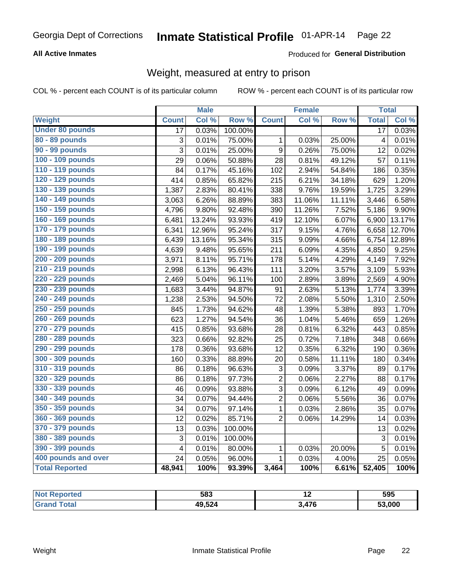#### Inmate Statistical Profile 01-APR-14 Page 22

### **All Active Inmates**

### Produced for General Distribution

### Weight, measured at entry to prison

COL % - percent each COUNT is of its particular column

|                        |                         | <b>Male</b> |                  |                  | <b>Female</b> |        | <b>Total</b>    |        |
|------------------------|-------------------------|-------------|------------------|------------------|---------------|--------|-----------------|--------|
| <b>Weight</b>          | <b>Count</b>            | Col %       | Row <sup>%</sup> | <b>Count</b>     | Col %         | Row %  | <b>Total</b>    | Col %  |
| <b>Under 80 pounds</b> | $\overline{17}$         | 0.03%       | 100.00%          |                  |               |        | $\overline{17}$ | 0.03%  |
| 80 - 89 pounds         | 3                       | 0.01%       | 75.00%           | 1                | 0.03%         | 25.00% | 4               | 0.01%  |
| 90 - 99 pounds         | 3                       | 0.01%       | 25.00%           | $\boldsymbol{9}$ | 0.26%         | 75.00% | 12              | 0.02%  |
| 100 - 109 pounds       | 29                      | 0.06%       | 50.88%           | 28               | 0.81%         | 49.12% | 57              | 0.11%  |
| 110 - 119 pounds       | 84                      | 0.17%       | 45.16%           | 102              | 2.94%         | 54.84% | 186             | 0.35%  |
| 120 - 129 pounds       | 414                     | 0.85%       | 65.82%           | 215              | 6.21%         | 34.18% | 629             | 1.20%  |
| 130 - 139 pounds       | 1,387                   | 2.83%       | 80.41%           | 338              | 9.76%         | 19.59% | 1,725           | 3.29%  |
| 140 - 149 pounds       | 3,063                   | 6.26%       | 88.89%           | 383              | 11.06%        | 11.11% | 3,446           | 6.58%  |
| 150 - 159 pounds       | 4,796                   | 9.80%       | 92.48%           | 390              | 11.26%        | 7.52%  | 5,186           | 9.90%  |
| 160 - 169 pounds       | 6,481                   | 13.24%      | 93.93%           | 419              | 12.10%        | 6.07%  | 6,900           | 13.17% |
| 170 - 179 pounds       | 6,341                   | 12.96%      | 95.24%           | $\overline{317}$ | 9.15%         | 4.76%  | 6,658           | 12.70% |
| 180 - 189 pounds       | 6,439                   | 13.16%      | 95.34%           | 315              | 9.09%         | 4.66%  | 6,754           | 12.89% |
| 190 - 199 pounds       | 4,639                   | 9.48%       | 95.65%           | 211              | 6.09%         | 4.35%  | 4,850           | 9.25%  |
| 200 - 209 pounds       | 3,971                   | 8.11%       | 95.71%           | 178              | 5.14%         | 4.29%  | 4,149           | 7.92%  |
| 210 - 219 pounds       | 2,998                   | 6.13%       | 96.43%           | 111              | 3.20%         | 3.57%  | 3,109           | 5.93%  |
| 220 - 229 pounds       | 2,469                   | 5.04%       | 96.11%           | 100              | 2.89%         | 3.89%  | 2,569           | 4.90%  |
| 230 - 239 pounds       | 1,683                   | 3.44%       | 94.87%           | 91               | 2.63%         | 5.13%  | 1,774           | 3.39%  |
| 240 - 249 pounds       | 1,238                   | 2.53%       | 94.50%           | 72               | 2.08%         | 5.50%  | 1,310           | 2.50%  |
| 250 - 259 pounds       | 845                     | 1.73%       | 94.62%           | 48               | 1.39%         | 5.38%  | 893             | 1.70%  |
| 260 - 269 pounds       | 623                     | 1.27%       | 94.54%           | 36               | 1.04%         | 5.46%  | 659             | 1.26%  |
| 270 - 279 pounds       | 415                     | 0.85%       | 93.68%           | 28               | 0.81%         | 6.32%  | 443             | 0.85%  |
| 280 - 289 pounds       | 323                     | 0.66%       | 92.82%           | 25               | 0.72%         | 7.18%  | 348             | 0.66%  |
| 290 - 299 pounds       | 178                     | 0.36%       | 93.68%           | 12               | 0.35%         | 6.32%  | 190             | 0.36%  |
| 300 - 309 pounds       | 160                     | 0.33%       | 88.89%           | 20               | 0.58%         | 11.11% | 180             | 0.34%  |
| 310 - 319 pounds       | 86                      | 0.18%       | 96.63%           | 3                | 0.09%         | 3.37%  | 89              | 0.17%  |
| 320 - 329 pounds       | 86                      | 0.18%       | 97.73%           | $\overline{c}$   | 0.06%         | 2.27%  | 88              | 0.17%  |
| 330 - 339 pounds       | 46                      | 0.09%       | 93.88%           | 3                | 0.09%         | 6.12%  | 49              | 0.09%  |
| 340 - 349 pounds       | 34                      | 0.07%       | 94.44%           | $\overline{c}$   | 0.06%         | 5.56%  | 36              | 0.07%  |
| 350 - 359 pounds       | 34                      | 0.07%       | 97.14%           | $\mathbf{1}$     | 0.03%         | 2.86%  | 35              | 0.07%  |
| 360 - 369 pounds       | 12                      | 0.02%       | 85.71%           | $\overline{2}$   | 0.06%         | 14.29% | 14              | 0.03%  |
| 370 - 379 pounds       | 13                      | 0.03%       | 100.00%          |                  |               |        | 13              | 0.02%  |
| 380 - 389 pounds       | 3                       | 0.01%       | 100.00%          |                  |               |        | $\mathbf{3}$    | 0.01%  |
| 390 - 399 pounds       | $\overline{\mathbf{4}}$ | 0.01%       | 80.00%           | $\mathbf{1}$     | 0.03%         | 20.00% | 5               | 0.01%  |
| 400 pounds and over    | 24                      | 0.05%       | 96.00%           | $\mathbf{1}$     | 0.03%         | 4.00%  | 25              | 0.05%  |
| <b>Total Reported</b>  | 48,941                  | 100%        | 93.39%           | 3,464            | 100%          | 6.61%  | 52,405          | 100%   |

| N<br>тео | 583    | . . | 595    |
|----------|--------|-----|--------|
|          | 49,524 | 17C | 53,000 |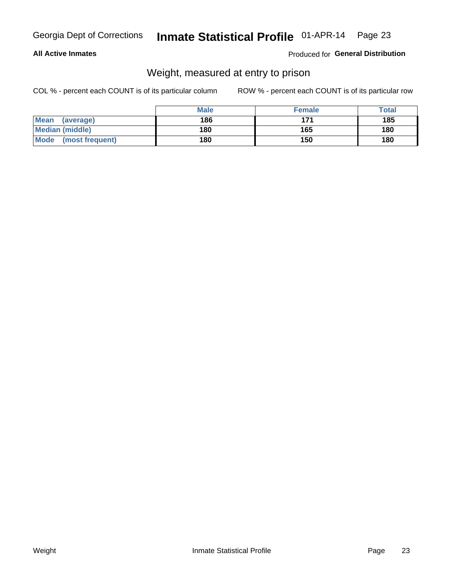#### Inmate Statistical Profile 01-APR-14 Page 23

### **All Active Inmates**

### Produced for General Distribution

### Weight, measured at entry to prison

COL % - percent each COUNT is of its particular column

|                          | <b>Male</b> | <b>Female</b> | Total |
|--------------------------|-------------|---------------|-------|
| <b>Mean</b><br>(average) | 186         | 171           | 185   |
| <b>Median (middle)</b>   | 180         | 165           | 180   |
| Mode<br>(most frequent)  | 180         | 150           | 180   |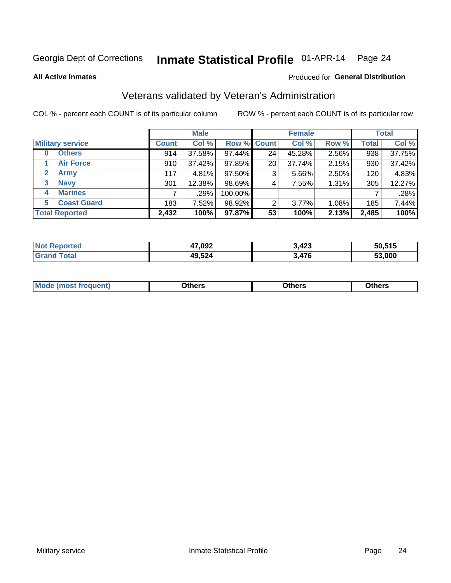#### Inmate Statistical Profile 01-APR-14 Page 24

**All Active Inmates** 

### Produced for General Distribution

### Veterans validated by Veteran's Administration

COL % - percent each COUNT is of its particular column

|                             | <b>Male</b>  |        |         | <b>Female</b>      |        |       | <b>Total</b> |        |
|-----------------------------|--------------|--------|---------|--------------------|--------|-------|--------------|--------|
| <b>Military service</b>     | <b>Count</b> | Col %  |         | <b>Row % Count</b> | Col %  | Row % | <b>Total</b> | Col %  |
| <b>Others</b><br>0          | 914          | 37.58% | 97.44%  | 24                 | 45.28% | 2.56% | 938          | 37.75% |
| <b>Air Force</b>            | 910          | 37.42% | 97.85%  | 20                 | 37.74% | 2.15% | 930          | 37.42% |
| <b>Army</b><br>$\mathbf{2}$ | 117          | 4.81%  | 97.50%  | 3                  | 5.66%  | 2.50% | 120          | 4.83%  |
| <b>Navy</b><br>3            | 301          | 12.38% | 98.69%  | 4                  | 7.55%  | 1.31% | 305          | 12.27% |
| <b>Marines</b><br>4         |              | .29%   | 100.00% |                    |        |       |              | .28%   |
| <b>Coast Guard</b><br>5.    | 183          | 7.52%  | 98.92%  | 2                  | 3.77%  | 1.08% | 185          | 7.44%  |
| <b>Total Reported</b>       | 2,432        | 100%   | 97.87%  | 53                 | 100%   | 2.13% | 2,485        | 100%   |

| <b>rted</b><br>NOT | 17,092 | <b>מרו</b> כ<br>J.46J | 50.515 |
|--------------------|--------|-----------------------|--------|
|                    | 49,524 | 476,                  | 53,000 |

|  |  | <b>Mode</b><br>quent)<br>most trea | <b>Dthers</b> | Others | Others |
|--|--|------------------------------------|---------------|--------|--------|
|--|--|------------------------------------|---------------|--------|--------|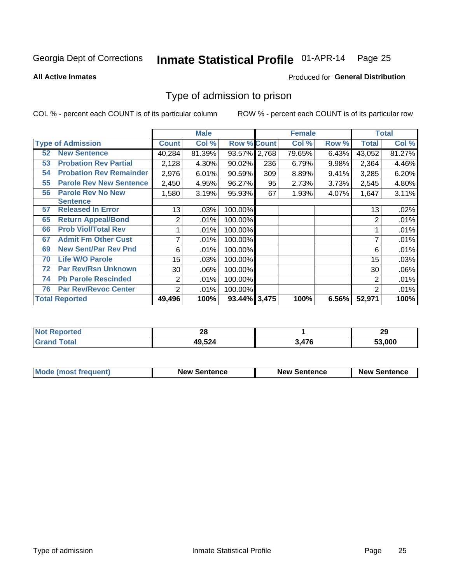# Inmate Statistical Profile 01-APR-14 Page 25

**All Active Inmates** 

### Produced for General Distribution

### Type of admission to prison

COL % - percent each COUNT is of its particular column

|    |                                |                 | <b>Male</b> |                    |     | <b>Female</b> |       |                | <b>Total</b> |
|----|--------------------------------|-----------------|-------------|--------------------|-----|---------------|-------|----------------|--------------|
|    | <b>Type of Admission</b>       | <b>Count</b>    | Col %       | <b>Row % Count</b> |     | Col %         | Row % | <b>Total</b>   | Col %        |
| 52 | <b>New Sentence</b>            | 40,284          | 81.39%      | 93.57% 2,768       |     | 79.65%        | 6.43% | 43,052         | 81.27%       |
| 53 | <b>Probation Rev Partial</b>   | 2,128           | 4.30%       | 90.02%             | 236 | 6.79%         | 9.98% | 2,364          | 4.46%        |
| 54 | <b>Probation Rev Remainder</b> | 2,976           | 6.01%       | 90.59%             | 309 | 8.89%         | 9.41% | 3,285          | 6.20%        |
| 55 | <b>Parole Rev New Sentence</b> | 2,450           | 4.95%       | 96.27%             | 95  | 2.73%         | 3.73% | 2,545          | 4.80%        |
| 56 | <b>Parole Rev No New</b>       | 1,580           | 3.19%       | 95.93%             | 67  | 1.93%         | 4.07% | 1,647          | 3.11%        |
|    | Sentence                       |                 |             |                    |     |               |       |                |              |
| 57 | <b>Released In Error</b>       | 13              | .03%        | 100.00%            |     |               |       | 13             | .02%         |
| 65 | <b>Return Appeal/Bond</b>      | $\overline{c}$  | .01%        | 100.00%            |     |               |       | 2              | .01%         |
| 66 | <b>Prob Viol/Total Rev</b>     |                 | .01%        | 100.00%            |     |               |       |                | .01%         |
| 67 | <b>Admit Fm Other Cust</b>     | 7               | .01%        | 100.00%            |     |               |       | 7              | .01%         |
| 69 | <b>New Sent/Par Rev Pnd</b>    | 6               | .01%        | 100.00%            |     |               |       | 6              | .01%         |
| 70 | <b>Life W/O Parole</b>         | 15 <sub>1</sub> | .03%        | 100.00%            |     |               |       | 15             | .03%         |
| 72 | <b>Par Rev/Rsn Unknown</b>     | 30 <sup>1</sup> | .06%        | 100.00%            |     |               |       | 30             | .06%         |
| 74 | <b>Pb Parole Rescinded</b>     | $\overline{2}$  | .01%        | 100.00%            |     |               |       | 2              | .01%         |
| 76 | <b>Par Rev/Revoc Center</b>    | 2               | .01%        | 100.00%            |     |               |       | $\overline{2}$ | .01%         |
|    | <b>Total Reported</b>          | 49,496          | 100%        | 93.44% 3,475       |     | 100%          | 6.56% | 52,971         | 100%         |

| <b>orted</b><br>' NO)   | ሳ<br>ŽΩ |     | 29     |
|-------------------------|---------|-----|--------|
| $f$ $f \circ f \circ f$ | 49,524  | 476 | 53.000 |

| Mode (most frequent) | <b>New Sentence</b> | <b>New Sentence</b> | <b>New Sentence</b> |
|----------------------|---------------------|---------------------|---------------------|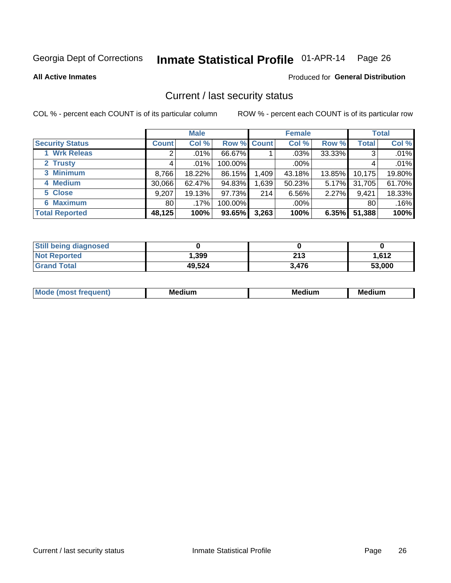# Inmate Statistical Profile 01-APR-14 Page 26

**All Active Inmates** 

### Produced for General Distribution

### Current / last security status

COL % - percent each COUNT is of its particular column

|                        |              | <b>Male</b> |             |       | <b>Female</b> |          |              | <b>Total</b> |
|------------------------|--------------|-------------|-------------|-------|---------------|----------|--------------|--------------|
| <b>Security Status</b> | <b>Count</b> | Col %       | Row % Count |       | Col %         | Row %    | <b>Total</b> | Col %        |
| <b>Wrk Releas</b>      | 2            | $.01\%$     | 66.67%      |       | $.03\%$       | 33.33%   | 3            | .01%         |
| 2 Trusty               |              | $.01\%$     | 100.00%     |       | .00%          |          |              | .01%         |
| 3 Minimum              | 8,766        | 18.22%      | 86.15%      | 1,409 | 43.18%        | 13.85%   | 10,175       | 19.80%       |
| 4 Medium               | 30,066       | 62.47%      | 94.83%      | .639  | 50.23%        | $5.17\%$ | 31,705       | 61.70%       |
| 5 Close                | 9,207        | 19.13%      | 97.73%      | 214   | 6.56%         | 2.27%    | 9,421        | 18.33%       |
| <b>6 Maximum</b>       | 80 l         | .17%        | 100.00%     |       | $.00\%$       |          | 80           | .16%         |
| <b>Total Reported</b>  | 48,125       | 100%        | 93.65%      | 3,263 | 100%          | 6.35%    | 51,388       | 100%         |

| <b>Still being diagnosed</b> |        |       |        |
|------------------------------|--------|-------|--------|
| <b>Not Reported</b>          | .399   | 213   | 1.612  |
| <b>Grand Total</b>           | 49,524 | 3.476 | 53,000 |

| <b>Mo</b><br>ети | M.<br>. .<br>dium | M٢<br>. | <br><b>Medium</b> |
|------------------|-------------------|---------|-------------------|
|                  |                   |         |                   |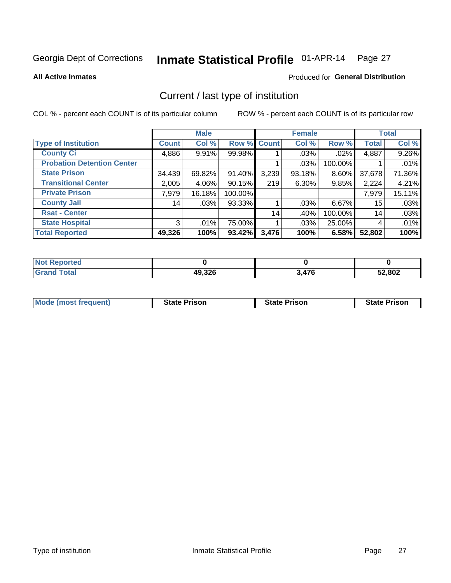# Inmate Statistical Profile 01-APR-14 Page 27

**All Active Inmates** 

### Produced for General Distribution

### Current / last type of institution

COL % - percent each COUNT is of its particular column

|                                   |                 | <b>Male</b> |           |             | <b>Female</b> |          |              | <b>Total</b> |
|-----------------------------------|-----------------|-------------|-----------|-------------|---------------|----------|--------------|--------------|
| <b>Type of Institution</b>        | <b>Count</b>    | Col %       |           | Row % Count | Col %         | Row %    | <b>Total</b> | Col %        |
| <b>County Ci</b>                  | 4,886           | 9.91%       | 99.98%    |             | $.03\%$       | $.02\%$  | 4,887        | 9.26%        |
| <b>Probation Detention Center</b> |                 |             |           |             | .03%          | 100.00%  |              | .01%         |
| <b>State Prison</b>               | 34,439          | 69.82%      | 91.40%    | 3,239       | 93.18%        | 8.60%    | 37,678       | 71.36%       |
| <b>Transitional Center</b>        | 2,005           | 4.06%       | $90.15\%$ | 219         | $6.30\%$      | 9.85%    | 2,224        | 4.21%        |
| <b>Private Prison</b>             | 7,979           | 16.18%      | 100.00%   |             |               |          | 7,979        | 15.11%       |
| <b>County Jail</b>                | 14 <sub>1</sub> | .03%        | 93.33%    |             | $.03\%$       | $6.67\%$ | 15           | .03%         |
| <b>Rsat - Center</b>              |                 |             |           | 14          | .40%          | 100.00%  | 14           | .03%         |
| <b>State Hospital</b>             | 3               | .01%        | 75.00%    |             | $.03\%$       | 25.00%   | 4            | .01%         |
| <b>Total Reported</b>             | 49,326          | 100%        | $93.42\%$ | 3,476       | 100%          | 6.58%    | 52,802       | 100%         |

| $^{\mathrm{H}}$ Not.<br>Reported |        |       |        |
|----------------------------------|--------|-------|--------|
| Total                            | 49,326 | 3,476 | 52,802 |

| Mode (most frequent) | <b>State Prison</b> | <b>State Prison</b> | <b>State Prison</b> |
|----------------------|---------------------|---------------------|---------------------|
|                      |                     |                     |                     |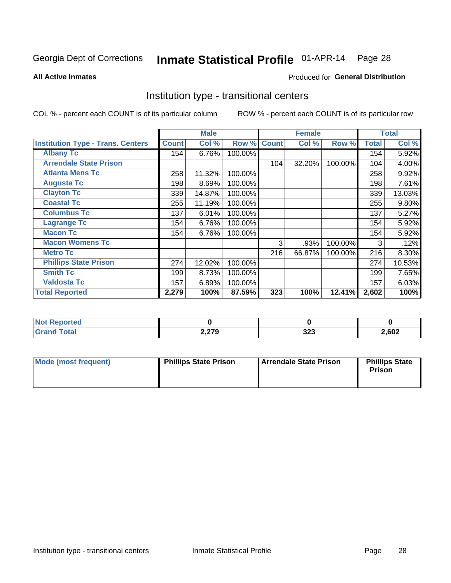#### Inmate Statistical Profile 01-APR-14 Page 28

**All Active Inmates** 

### Produced for General Distribution

### Institution type - transitional centers

COL % - percent each COUNT is of its particular column

|                                          |              | <b>Male</b> |         |              | <b>Female</b> |         |              | <b>Total</b> |
|------------------------------------------|--------------|-------------|---------|--------------|---------------|---------|--------------|--------------|
| <b>Institution Type - Trans. Centers</b> | <b>Count</b> | Col %       | Row %   | <b>Count</b> | Col %         | Row %   | <b>Total</b> | Col %        |
| <b>Albany Tc</b>                         | 154          | 6.76%       | 100.00% |              |               |         | 154          | 5.92%        |
| <b>Arrendale State Prison</b>            |              |             |         | 104          | 32.20%        | 100.00% | 104          | 4.00%        |
| <b>Atlanta Mens Tc</b>                   | 258          | 11.32%      | 100.00% |              |               |         | 258          | 9.92%        |
| <b>Augusta Tc</b>                        | 198          | 8.69%       | 100.00% |              |               |         | 198          | 7.61%        |
| <b>Clayton Tc</b>                        | 339          | 14.87%      | 100.00% |              |               |         | 339          | 13.03%       |
| <b>Coastal Tc</b>                        | 255          | 11.19%      | 100.00% |              |               |         | 255          | $9.80\%$     |
| <b>Columbus Tc</b>                       | 137          | 6.01%       | 100.00% |              |               |         | 137          | 5.27%        |
| <b>Lagrange Tc</b>                       | 154          | 6.76%       | 100.00% |              |               |         | 154          | 5.92%        |
| <b>Macon Tc</b>                          | 154          | 6.76%       | 100.00% |              |               |         | 154          | 5.92%        |
| <b>Macon Womens Tc</b>                   |              |             |         | 3            | .93%          | 100.00% | 3            | .12%         |
| <b>Metro Tc</b>                          |              |             |         | 216          | 66.87%        | 100.00% | 216          | 8.30%        |
| <b>Phillips State Prison</b>             | 274          | 12.02%      | 100.00% |              |               |         | 274          | 10.53%       |
| <b>Smith Tc</b>                          | 199          | 8.73%       | 100.00% |              |               |         | 199          | 7.65%        |
| <b>Valdosta Tc</b>                       | 157          | 6.89%       | 100.00% |              |               |         | 157          | 6.03%        |
| <b>Total Reported</b>                    | 2,279        | 100%        | 87.59%  | 323          | 100%          | 12.41%  | 2,602        | 100%         |

| <b>orted</b><br>$\sim$ |       |            |       |
|------------------------|-------|------------|-------|
| <b>ota</b>             | 2,279 | າາາ<br>JZJ | 2,602 |

| Mode (most frequent) | <b>Phillips State Prison</b> | Arrendale State Prison | <b>Phillips State</b><br>Prison |
|----------------------|------------------------------|------------------------|---------------------------------|
|                      |                              |                        |                                 |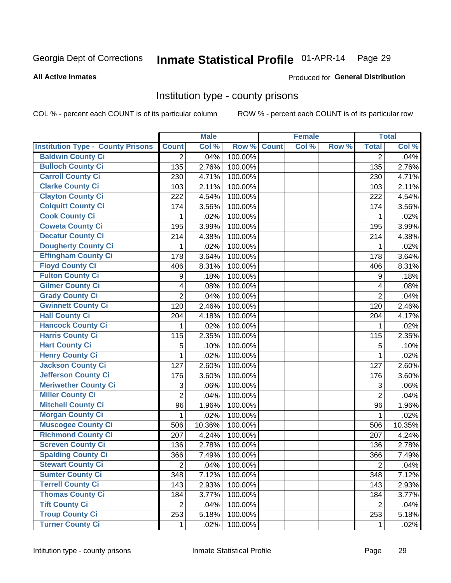# Inmate Statistical Profile 01-APR-14 Page 29

#### **All Active Inmates**

### **Produced for General Distribution**

### Institution type - county prisons

COL % - percent each COUNT is of its particular column

|                                          |                         | <b>Male</b> |         |              | <b>Female</b> |       |                          | <b>Total</b> |
|------------------------------------------|-------------------------|-------------|---------|--------------|---------------|-------|--------------------------|--------------|
| <b>Institution Type - County Prisons</b> | <b>Count</b>            | Col %       | Row %   | <b>Count</b> | Col %         | Row % | <b>Total</b>             | Col %        |
| <b>Baldwin County Ci</b>                 | $\overline{2}$          | .04%        | 100.00% |              |               |       | $\overline{2}$           | .04%         |
| <b>Bulloch County Ci</b>                 | 135                     | 2.76%       | 100.00% |              |               |       | 135                      | 2.76%        |
| <b>Carroll County Ci</b>                 | 230                     | 4.71%       | 100.00% |              |               |       | 230                      | 4.71%        |
| <b>Clarke County Ci</b>                  | 103                     | 2.11%       | 100.00% |              |               |       | 103                      | 2.11%        |
| <b>Clayton County Ci</b>                 | 222                     | 4.54%       | 100.00% |              |               |       | 222                      | 4.54%        |
| <b>Colquitt County Ci</b>                | 174                     | 3.56%       | 100.00% |              |               |       | 174                      | 3.56%        |
| <b>Cook County Ci</b>                    | 1                       | .02%        | 100.00% |              |               |       | 1                        | .02%         |
| <b>Coweta County Ci</b>                  | 195                     | 3.99%       | 100.00% |              |               |       | 195                      | 3.99%        |
| <b>Decatur County Ci</b>                 | 214                     | 4.38%       | 100.00% |              |               |       | 214                      | 4.38%        |
| <b>Dougherty County Ci</b>               | 1                       | .02%        | 100.00% |              |               |       | 1                        | .02%         |
| <b>Effingham County Ci</b>               | 178                     | 3.64%       | 100.00% |              |               |       | 178                      | 3.64%        |
| <b>Floyd County Ci</b>                   | 406                     | 8.31%       | 100.00% |              |               |       | 406                      | 8.31%        |
| <b>Fulton County Ci</b>                  | $\boldsymbol{9}$        | .18%        | 100.00% |              |               |       | 9                        | .18%         |
| <b>Gilmer County Ci</b>                  | $\overline{\mathbf{4}}$ | .08%        | 100.00% |              |               |       | $\overline{\mathcal{A}}$ | .08%         |
| <b>Grady County Ci</b>                   | $\overline{2}$          | .04%        | 100.00% |              |               |       | $\overline{2}$           | .04%         |
| <b>Gwinnett County Ci</b>                | 120                     | 2.46%       | 100.00% |              |               |       | 120                      | 2.46%        |
| <b>Hall County Ci</b>                    | 204                     | 4.18%       | 100.00% |              |               |       | 204                      | 4.17%        |
| <b>Hancock County Ci</b>                 | 1                       | .02%        | 100.00% |              |               |       | 1                        | .02%         |
| <b>Harris County Ci</b>                  | 115                     | 2.35%       | 100.00% |              |               |       | 115                      | 2.35%        |
| <b>Hart County Ci</b>                    | 5                       | .10%        | 100.00% |              |               |       | 5                        | .10%         |
| <b>Henry County Ci</b>                   | 1                       | .02%        | 100.00% |              |               |       | $\mathbf{1}$             | .02%         |
| <b>Jackson County Ci</b>                 | 127                     | 2.60%       | 100.00% |              |               |       | 127                      | 2.60%        |
| Jefferson County Ci                      | 176                     | 3.60%       | 100.00% |              |               |       | 176                      | 3.60%        |
| <b>Meriwether County Ci</b>              | 3                       | .06%        | 100.00% |              |               |       | 3                        | .06%         |
| <b>Miller County Ci</b>                  | $\overline{2}$          | .04%        | 100.00% |              |               |       | $\overline{2}$           | .04%         |
| <b>Mitchell County Ci</b>                | 96                      | 1.96%       | 100.00% |              |               |       | 96                       | 1.96%        |
| <b>Morgan County Ci</b>                  | 1                       | .02%        | 100.00% |              |               |       | 1                        | .02%         |
| <b>Muscogee County Ci</b>                | 506                     | 10.36%      | 100.00% |              |               |       | 506                      | 10.35%       |
| <b>Richmond County Ci</b>                | 207                     | 4.24%       | 100.00% |              |               |       | 207                      | 4.24%        |
| <b>Screven County Ci</b>                 | 136                     | 2.78%       | 100.00% |              |               |       | 136                      | 2.78%        |
| <b>Spalding County Ci</b>                | 366                     | 7.49%       | 100.00% |              |               |       | 366                      | 7.49%        |
| <b>Stewart County Ci</b>                 | $\overline{2}$          | .04%        | 100.00% |              |               |       | $\overline{c}$           | .04%         |
| <b>Sumter County Ci</b>                  | 348                     | 7.12%       | 100.00% |              |               |       | 348                      | 7.12%        |
| <b>Terrell County Ci</b>                 | 143                     | 2.93%       | 100.00% |              |               |       | 143                      | 2.93%        |
| <b>Thomas County Ci</b>                  | 184                     | 3.77%       | 100.00% |              |               |       | 184                      | 3.77%        |
| <b>Tift County Ci</b>                    | $\overline{2}$          | .04%        | 100.00% |              |               |       | $\overline{2}$           | .04%         |
| <b>Troup County Ci</b>                   | 253                     | 5.18%       | 100.00% |              |               |       | 253                      | 5.18%        |
| <b>Turner County Ci</b>                  | $\mathbf{1}$            | .02%        | 100.00% |              |               |       | 1                        | .02%         |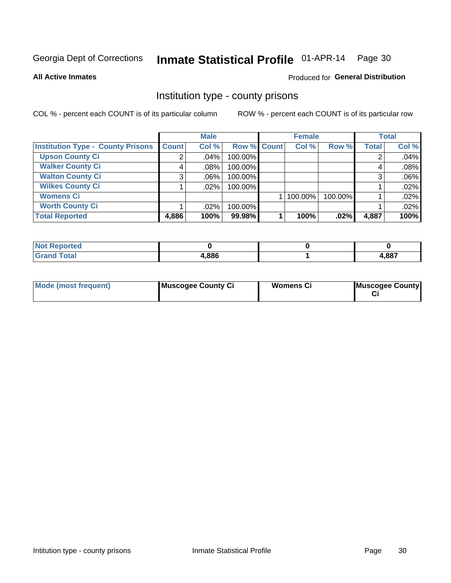# Inmate Statistical Profile 01-APR-14 Page 30

**All Active Inmates** 

### **Produced for General Distribution**

### Institution type - county prisons

COL % - percent each COUNT is of its particular column

|                                          |              | <b>Male</b> |             | <b>Female</b> |         |         | <b>Total</b> |       |
|------------------------------------------|--------------|-------------|-------------|---------------|---------|---------|--------------|-------|
| <b>Institution Type - County Prisons</b> | <b>Count</b> | Col %       | Row % Count |               | Col %   | Row %   | <b>Total</b> | Col % |
| <b>Upson County Ci</b>                   | 2            | $.04\%$     | 100.00%     |               |         |         |              | .04%  |
| <b>Walker County Ci</b>                  | 4            | $.08\%$     | 100.00%     |               |         |         |              | .08%  |
| <b>Walton County Ci</b>                  | 3            | $.06\%$     | 100.00%     |               |         |         |              | .06%  |
| <b>Wilkes County Ci</b>                  |              | $.02\%$     | 100.00%     |               |         |         |              | .02%  |
| <b>Womens Ci</b>                         |              |             |             |               | 100.00% | 100.00% |              | .02%  |
| <b>Worth County Ci</b>                   |              | $.02\%$     | 100.00%     |               |         |         |              | .02%  |
| <b>Total Reported</b>                    | 4,886        | 100%        | 99.98%      |               | 100%    | $.02\%$ | 4,887        | 100%  |

| oorted |       |       |
|--------|-------|-------|
| `otal  | 4.886 | 4,887 |

| <b>Mode (most frequent)</b> | Muscogee County Ci | <b>Womens Ci</b> | Muscogee County |
|-----------------------------|--------------------|------------------|-----------------|
|-----------------------------|--------------------|------------------|-----------------|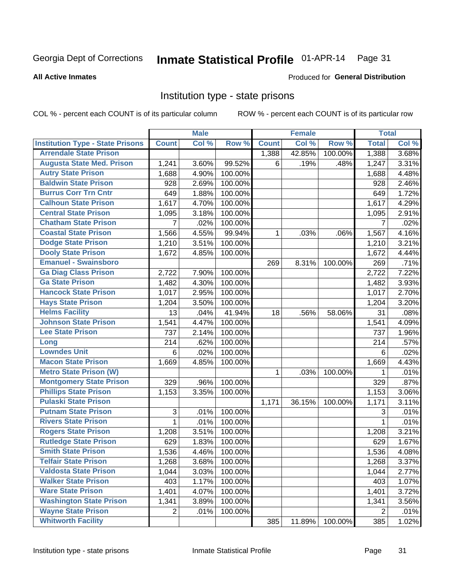#### Inmate Statistical Profile 01-APR-14 Page 31

#### **All Active Inmates**

### Produced for General Distribution

### Institution type - state prisons

COL % - percent each COUNT is of its particular column

|                                         |                | <b>Male</b> |         |              | <b>Female</b> |         | <b>Total</b>   |       |
|-----------------------------------------|----------------|-------------|---------|--------------|---------------|---------|----------------|-------|
| <b>Institution Type - State Prisons</b> | <b>Count</b>   | Col %       | Row %   | <b>Count</b> | Col %         | Row %   | <b>Total</b>   | Col % |
| <b>Arrendale State Prison</b>           |                |             |         | 1,388        | 42.85%        | 100.00% | 1,388          | 3.68% |
| <b>Augusta State Med. Prison</b>        | 1,241          | 3.60%       | 99.52%  | 6            | .19%          | .48%    | 1,247          | 3.31% |
| <b>Autry State Prison</b>               | 1,688          | 4.90%       | 100.00% |              |               |         | 1,688          | 4.48% |
| <b>Baldwin State Prison</b>             | 928            | 2.69%       | 100.00% |              |               |         | 928            | 2.46% |
| <b>Burrus Corr Trn Cntr</b>             | 649            | 1.88%       | 100.00% |              |               |         | 649            | 1.72% |
| <b>Calhoun State Prison</b>             | 1,617          | 4.70%       | 100.00% |              |               |         | 1,617          | 4.29% |
| <b>Central State Prison</b>             | 1,095          | 3.18%       | 100.00% |              |               |         | 1,095          | 2.91% |
| <b>Chatham State Prison</b>             | 7              | .02%        | 100.00% |              |               |         | 7              | .02%  |
| <b>Coastal State Prison</b>             | 1,566          | 4.55%       | 99.94%  | 1            | .03%          | .06%    | 1,567          | 4.16% |
| <b>Dodge State Prison</b>               | 1,210          | 3.51%       | 100.00% |              |               |         | 1,210          | 3.21% |
| <b>Dooly State Prison</b>               | 1,672          | 4.85%       | 100.00% |              |               |         | 1,672          | 4.44% |
| <b>Emanuel - Swainsboro</b>             |                |             |         | 269          | 8.31%         | 100.00% | 269            | .71%  |
| <b>Ga Diag Class Prison</b>             | 2,722          | 7.90%       | 100.00% |              |               |         | 2,722          | 7.22% |
| <b>Ga State Prison</b>                  | 1,482          | 4.30%       | 100.00% |              |               |         | 1,482          | 3.93% |
| <b>Hancock State Prison</b>             | 1,017          | 2.95%       | 100.00% |              |               |         | 1,017          | 2.70% |
| <b>Hays State Prison</b>                | 1,204          | 3.50%       | 100.00% |              |               |         | 1,204          | 3.20% |
| <b>Helms Facility</b>                   | 13             | .04%        | 41.94%  | 18           | .56%          | 58.06%  | 31             | .08%  |
| <b>Johnson State Prison</b>             | 1,541          | 4.47%       | 100.00% |              |               |         | 1,541          | 4.09% |
| <b>Lee State Prison</b>                 | 737            | 2.14%       | 100.00% |              |               |         | 737            | 1.96% |
| Long                                    | 214            | .62%        | 100.00% |              |               |         | 214            | .57%  |
| <b>Lowndes Unit</b>                     | 6              | .02%        | 100.00% |              |               |         | 6              | .02%  |
| <b>Macon State Prison</b>               | 1,669          | 4.85%       | 100.00% |              |               |         | 1,669          | 4.43% |
| <b>Metro State Prison (W)</b>           |                |             |         | 1            | .03%          | 100.00% | 1              | .01%  |
| <b>Montgomery State Prison</b>          | 329            | .96%        | 100.00% |              |               |         | 329            | .87%  |
| <b>Phillips State Prison</b>            | 1,153          | 3.35%       | 100.00% |              |               |         | 1,153          | 3.06% |
| <b>Pulaski State Prison</b>             |                |             |         | 1,171        | 36.15%        | 100.00% | 1,171          | 3.11% |
| <b>Putnam State Prison</b>              | $\sqrt{3}$     | .01%        | 100.00% |              |               |         | 3              | .01%  |
| <b>Rivers State Prison</b>              | 1              | .01%        | 100.00% |              |               |         | 1              | .01%  |
| <b>Rogers State Prison</b>              | 1,208          | 3.51%       | 100.00% |              |               |         | 1,208          | 3.21% |
| <b>Rutledge State Prison</b>            | 629            | 1.83%       | 100.00% |              |               |         | 629            | 1.67% |
| <b>Smith State Prison</b>               | 1,536          | 4.46%       | 100.00% |              |               |         | 1,536          | 4.08% |
| <b>Telfair State Prison</b>             | 1,268          | 3.68%       | 100.00% |              |               |         | 1,268          | 3.37% |
| <b>Valdosta State Prison</b>            | 1,044          | 3.03%       | 100.00% |              |               |         | 1,044          | 2.77% |
| <b>Walker State Prison</b>              | 403            | 1.17%       | 100.00% |              |               |         | 403            | 1.07% |
| <b>Ware State Prison</b>                | 1,401          | 4.07%       | 100.00% |              |               |         | 1,401          | 3.72% |
| <b>Washington State Prison</b>          | 1,341          | 3.89%       | 100.00% |              |               |         | 1,341          | 3.56% |
| <b>Wayne State Prison</b>               | $\overline{2}$ | .01%        | 100.00% |              |               |         | $\overline{2}$ | .01%  |
| <b>Whitworth Facility</b>               |                |             |         | 385          | 11.89%        | 100.00% | 385            | 1.02% |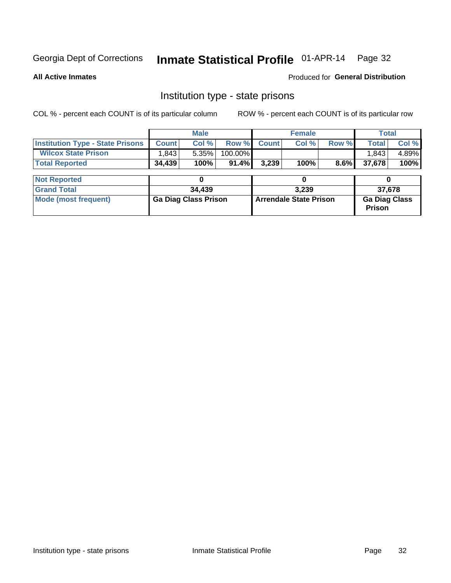# Inmate Statistical Profile 01-APR-14 Page 32

**All Active Inmates** 

Produced for General Distribution

### Institution type - state prisons

COL % - percent each COUNT is of its particular column

|                                         | <b>Male</b>                 |        |                               |              | <b>Female</b> |                                       | <b>Total</b> |        |  |
|-----------------------------------------|-----------------------------|--------|-------------------------------|--------------|---------------|---------------------------------------|--------------|--------|--|
| <b>Institution Type - State Prisons</b> | <b>Count</b>                | Col %  | Row %                         | <b>Count</b> | Col %         | Row %                                 | <b>Total</b> | Col %  |  |
| <b>Wilcox State Prison</b>              | 1,843                       | 5.35%  | 100.00%                       |              |               |                                       | 1,843        | 4.89%  |  |
| <b>Total Reported</b>                   | 34,439                      | 100%   | 91.4%                         | 3,239        | 100%          | $8.6\%$                               | 37,678       | 100%   |  |
|                                         |                             |        |                               |              |               |                                       |              |        |  |
| <b>Not Reported</b>                     |                             | 0      |                               | 0            |               |                                       |              |        |  |
| <b>Grand Total</b>                      |                             | 34,439 |                               |              | 3.239         |                                       |              | 37,678 |  |
| <b>Mode (most frequent)</b>             | <b>Ga Diag Class Prison</b> |        | <b>Arrendale State Prison</b> |              |               | <b>Ga Diag Class</b><br><b>Prison</b> |              |        |  |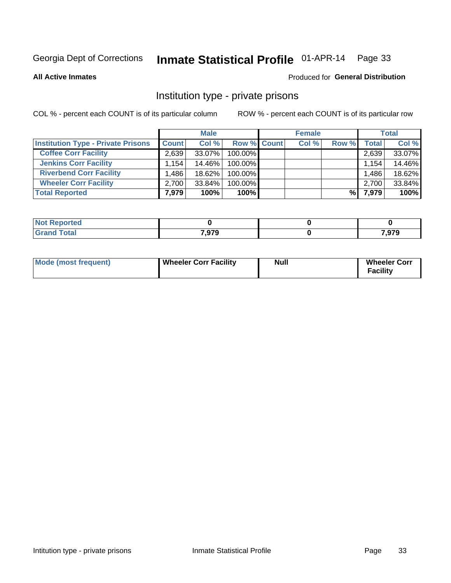# Inmate Statistical Profile 01-APR-14 Page 33

**All Active Inmates** 

### Produced for General Distribution

### Institution type - private prisons

COL % - percent each COUNT is of its particular column

|                                           | <b>Male</b>          |        | <b>Female</b>      |  |       | <b>Total</b> |       |        |
|-------------------------------------------|----------------------|--------|--------------------|--|-------|--------------|-------|--------|
| <b>Institution Type - Private Prisons</b> | <b>Count</b>         | Col %  | <b>Row % Count</b> |  | Col % | Row %        | Total | Col %  |
| <b>Coffee Corr Facility</b>               | 2.639                | 33.07% | 100.00%            |  |       |              | 2,639 | 33.07% |
| <b>Jenkins Corr Facility</b>              | $1.154$ <sup>1</sup> | 14.46% | 100.00%            |  |       |              | 1,154 | 14.46% |
| <b>Riverbend Corr Facility</b>            | .486                 | 18.62% | 100.00%            |  |       |              | 1,486 | 18.62% |
| <b>Wheeler Corr Facility</b>              | 2.700                | 33.84% | 100.00%            |  |       |              | 2,700 | 33.84% |
| <b>Total Reported</b>                     | 7,979                | 100%   | $100\%$            |  |       | %            | 7,979 | 100%   |

| Reported    |       |                |
|-------------|-------|----------------|
| <b>otal</b> | 7,979 | 070<br>, J I J |

| <b>Mode (most frequent)</b> | <b>Wheeler Corr Facility</b> | Null | <b>Wheeler Corr</b><br><b>Facility</b> |
|-----------------------------|------------------------------|------|----------------------------------------|
|-----------------------------|------------------------------|------|----------------------------------------|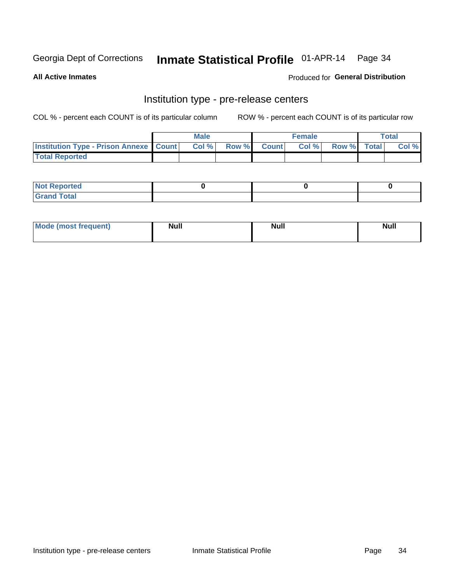### Inmate Statistical Profile 01-APR-14 Page 34

**All Active Inmates** 

Produced for General Distribution

### Institution type - pre-release centers

COL % - percent each COUNT is of its particular column

|                                                   | <b>Male</b> |      |  | <b>Female</b> |      |             | <b>Total</b> |       |
|---------------------------------------------------|-------------|------|--|---------------|------|-------------|--------------|-------|
| <b>Institution Type - Prison Annexe   Count  </b> |             | Col% |  | Row % Count   | Col% | Row % Total |              | Col % |
| <b>Total Reported</b>                             |             |      |  |               |      |             |              |       |

| <b>Reported</b><br>I NOT |  |  |
|--------------------------|--|--|
| <b>Total</b><br>$C$ ren  |  |  |

| Mor<br><b>ruent</b> )<br>rea<br>nos | <b>Null</b> | <b>Moll</b><br>_____ | . .<br><b>Null</b> |
|-------------------------------------|-------------|----------------------|--------------------|
|                                     |             |                      |                    |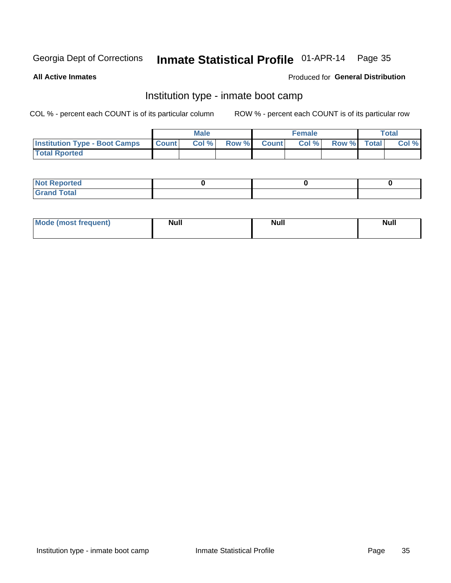### Inmate Statistical Profile 01-APR-14 Page 35

**All Active Inmates** 

### Produced for General Distribution

### Institution type - inmate boot camp

COL % - percent each COUNT is of its particular column

|                                      |                  | <b>Male</b> |              |              | <b>Female</b> |             | <b>Total</b> |
|--------------------------------------|------------------|-------------|--------------|--------------|---------------|-------------|--------------|
| <b>Institution Type - Boot Camps</b> | <b>I</b> Count I | Col %       | <b>Row %</b> | <b>Count</b> | Col %         | Row % Total | Col %        |
| <b>Total Rported</b>                 |                  |             |              |              |               |             |              |

| <b>Not Reported</b>            |  |  |
|--------------------------------|--|--|
| <b>Total</b><br>C <sub>r</sub> |  |  |

| <b>I Mode (most frequent)</b> | <b>Null</b> | <b>Null</b> | <b>Null</b> |
|-------------------------------|-------------|-------------|-------------|
|                               |             |             |             |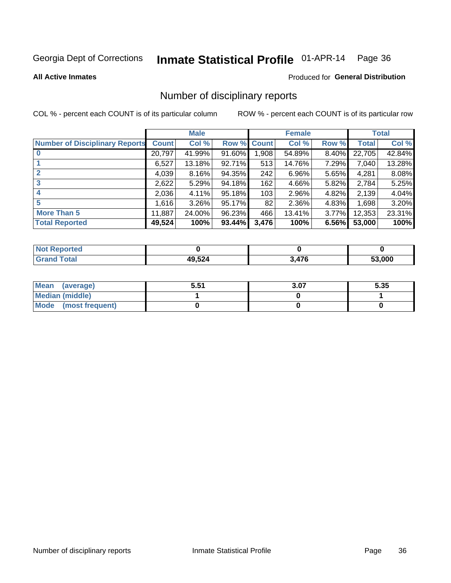# Inmate Statistical Profile 01-APR-14 Page 36

**All Active Inmates** 

#### Produced for General Distribution

### Number of disciplinary reports

COL % - percent each COUNT is of its particular column

|                                       |              | <b>Male</b> |                    |       | <b>Female</b> |          |              | <b>Total</b> |
|---------------------------------------|--------------|-------------|--------------------|-------|---------------|----------|--------------|--------------|
| <b>Number of Disciplinary Reports</b> | <b>Count</b> | Col %       | <b>Row % Count</b> |       | Col %         | Row %    | <b>Total</b> | Col %        |
|                                       | 20,797       | 41.99%      | $91.60\%$          | 1,908 | 54.89%        | $8.40\%$ | 22,705       | 42.84%       |
|                                       | 6,527        | 13.18%      | 92.71%             | 513   | 14.76%        | 7.29%    | 7,040        | 13.28%       |
|                                       | 4,039        | 8.16%       | 94.35%             | 242   | 6.96%         | 5.65%    | 4,281        | 8.08%        |
| 3                                     | 2,622        | 5.29%       | 94.18%             | 162   | 4.66%         | 5.82%    | 2,784        | 5.25%        |
|                                       | 2,036        | 4.11%       | 95.18%             | 103   | 2.96%         | 4.82%    | 2,139        | 4.04%        |
| 5                                     | 1,616        | 3.26%       | 95.17%             | 82    | 2.36%         | 4.83%    | 1,698        | 3.20%        |
| <b>More Than 5</b>                    | 11,887       | 24.00%      | 96.23%             | 466   | 13.41%        | 3.77%    | 12,353       | 23.31%       |
| <b>Total Reported</b>                 | 49,524       | 100%        | 93.44%             | 3,476 | 100%          | 6.56%    | 53,000       | 100%         |

| orted<br><b>NOT</b> |        |              |        |
|---------------------|--------|--------------|--------|
| <b>Total</b>        | 49,524 | 17C<br>$+10$ | 53.000 |

| Mean (average)         | 5.51 | 3.07 | 5.35 |
|------------------------|------|------|------|
| <b>Median (middle)</b> |      |      |      |
| Mode (most frequent)   |      |      |      |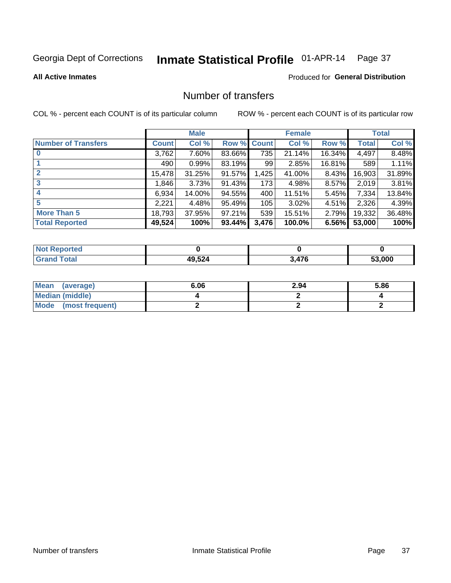# Inmate Statistical Profile 01-APR-14 Page 37

#### **All Active Inmates**

## **Produced for General Distribution**

# Number of transfers

COL % - percent each COUNT is of its particular column

|                            |         | <b>Male</b> |        |              | <b>Female</b> |          |              | <b>Total</b> |
|----------------------------|---------|-------------|--------|--------------|---------------|----------|--------------|--------------|
| <b>Number of Transfers</b> | Count l | Col %       | Row %  | <b>Count</b> | Col %         | Row %    | <b>Total</b> | Col %        |
|                            | 3,762   | 7.60%       | 83.66% | 735          | 21.14%        | 16.34%   | 4,497        | 8.48%        |
|                            | 490     | 0.99%       | 83.19% | 99           | 2.85%         | 16.81%   | 589          | 1.11%        |
| $\mathbf{2}$               | 15,478  | 31.25%      | 91.57% | 1,425        | 41.00%        | 8.43%    | 16,903       | 31.89%       |
| 3                          | 1,846   | 3.73%       | 91.43% | 173          | 4.98%         | $8.57\%$ | 2,019        | 3.81%        |
| 4                          | 6,934   | 14.00%      | 94.55% | 400          | 11.51%        | $5.45\%$ | 7.334        | 13.84%       |
| 5                          | 2,221   | 4.48%       | 95.49% | 105          | 3.02%         | $4.51\%$ | 2,326        | 4.39%        |
| <b>More Than 5</b>         | 18,793  | 37.95%      | 97.21% | 539          | 15.51%        | $2.79\%$ | 19,332       | 36.48%       |
| <b>Total Reported</b>      | 49,524  | 100%        | 93.44% | 3,476        | 100.0%        | 6.56%    | 53,000       | 100%         |

| orted<br><b>NOT</b> |        |              |        |
|---------------------|--------|--------------|--------|
| <b>Total</b>        | 49,524 | 17C<br>$+10$ | 53.000 |

| Mean (average)       | 6.06 | 2.94 | 5.86 |
|----------------------|------|------|------|
| Median (middle)      |      |      |      |
| Mode (most frequent) |      |      |      |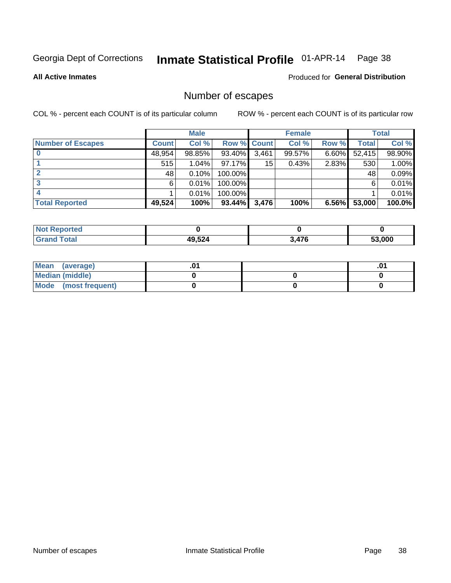# Inmate Statistical Profile 01-APR-14 Page 38

**All Active Inmates** 

#### Produced for General Distribution

# Number of escapes

COL % - percent each COUNT is of its particular column

|                          |              | <b>Male</b> |             |       | <b>Female</b> |          |        | <b>Total</b> |
|--------------------------|--------------|-------------|-------------|-------|---------------|----------|--------|--------------|
| <b>Number of Escapes</b> | <b>Count</b> | Col %       | Row % Count |       | Col %         | Row %    | Total  | Col %        |
|                          | 48,954       | 98.85%      | 93.40%      | 3,461 | 99.57%        | $6.60\%$ | 52,415 | 98.90%       |
|                          | 515          | 1.04%       | $97.17\%$   | 15    | 0.43%         | 2.83%    | 530    | 1.00%        |
|                          | 48           | 0.10%       | 100.00%     |       |               |          | 48     | 0.09%        |
|                          | 6.           | 0.01%       | 100.00%     |       |               |          | 6      | 0.01%        |
|                          |              | 0.01%       | $100.00\%$  |       |               |          |        | 0.01%        |
| <b>Total Reported</b>    | 49,524       | 100%        | $93.44\%$   | 3,476 | 100%          | 6.56%    | 53,000 | 100.0%       |

| <b>Not Reported</b> |        |     |        |
|---------------------|--------|-----|--------|
| <b>Grand Total</b>  | 49,524 | A7C | 53.000 |

| Mean (average)         |  | .0 |
|------------------------|--|----|
| <b>Median (middle)</b> |  |    |
| Mode (most frequent)   |  |    |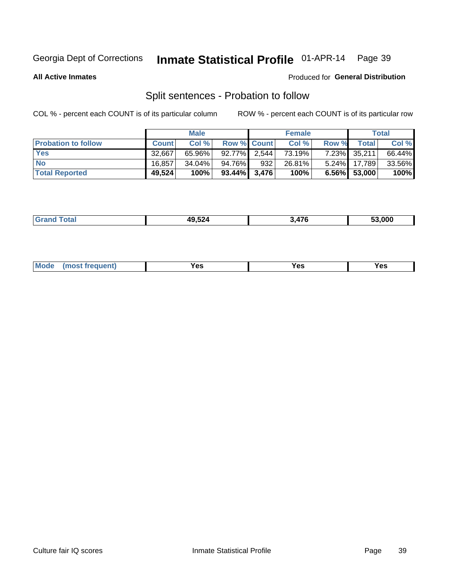# Inmate Statistical Profile 01-APR-14 Page 39

**All Active Inmates** 

#### Produced for General Distribution

# Split sentences - Probation to follow

COL % - percent each COUNT is of its particular column

|                            |              | <b>Male</b> |                    |     | <b>Female</b> |          |                 | <b>Total</b> |
|----------------------------|--------------|-------------|--------------------|-----|---------------|----------|-----------------|--------------|
| <b>Probation to follow</b> | <b>Count</b> | Col%        | <b>Row % Count</b> |     | Col %         | Row %    | Total           | Col %        |
| <b>Yes</b>                 | 32.667       | 65.96%      | 92.77% 2.544       |     | 73.19%        | $7.23\%$ | 35,211          | 66.44%       |
| <b>No</b>                  | 16.857       | 34.04%      | 94.76%             | 932 | 26.81%        |          | 5.24% 17,789    | 33.56%       |
| <b>Total Reported</b>      | 49,524       | 100%        | $93.44\%$ 3,476    |     | 100%          |          | $6.56\%$ 53,000 | 100%         |

| $AO$ 52 $A$<br>-9.324 | $\rightarrow$<br>. . | 53.000 |
|-----------------------|----------------------|--------|
|                       |                      |        |

| reauent)<br>Yes<br>v.c<br>0٥<br>.<br>. .<br>$\sim$ |  | <b>Mode</b> |  |  |  |
|----------------------------------------------------|--|-------------|--|--|--|
|----------------------------------------------------|--|-------------|--|--|--|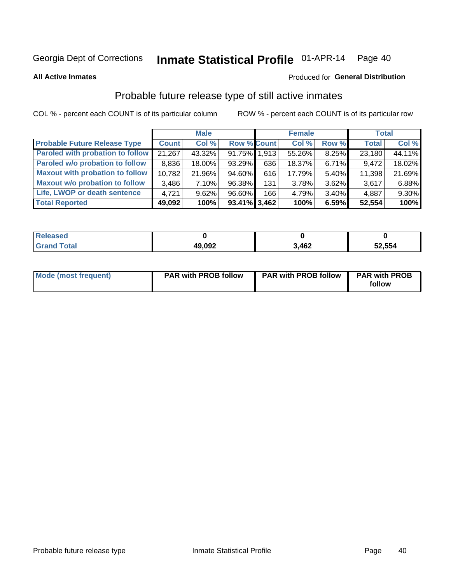#### Inmate Statistical Profile 01-APR-14 Page 40

**All Active Inmates** 

#### Produced for General Distribution

# Probable future release type of still active inmates

COL % - percent each COUNT is of its particular column

|                                         |              | <b>Male</b> |                    |     | <b>Female</b> |          | <b>Total</b> |        |
|-----------------------------------------|--------------|-------------|--------------------|-----|---------------|----------|--------------|--------|
| <b>Probable Future Release Type</b>     | <b>Count</b> | Col %       | <b>Row % Count</b> |     | Col %         | Row %    | <b>Total</b> | Col %  |
| <b>Paroled with probation to follow</b> | 21,267       | 43.32%      | 91.75% 1,913       |     | 55.26%        | 8.25%    | 23,180       | 44.11% |
| Paroled w/o probation to follow         | 8,836        | 18.00%      | 93.29%             | 636 | 18.37%        | 6.71%    | 9,472        | 18.02% |
| <b>Maxout with probation to follow</b>  | 10,782       | 21.96%      | 94.60%             | 616 | 17.79%        | 5.40%    | 11,398       | 21.69% |
| <b>Maxout w/o probation to follow</b>   | 3,486        | 7.10%       | 96.38%             | 131 | 3.78%         | $3.62\%$ | 3,617        | 6.88%  |
| Life, LWOP or death sentence            | 4.721        | 9.62%       | 96.60%             | 166 | 4.79%         | $3.40\%$ | 4,887        | 9.30%  |
| <b>Total Reported</b>                   | 49,092       | 100%        | $93.41\%$ 3,462    |     | 100%          | 6.59%    | 52,554       | 100%   |

| . otal | 49,092<br>44 | 3,462 | 52,554 |
|--------|--------------|-------|--------|

| Mode (most frequent) | <b>PAR with PROB follow</b> | <b>PAR with PROB follow</b> | <b>PAR with PROB</b> |
|----------------------|-----------------------------|-----------------------------|----------------------|
|                      |                             |                             | follow               |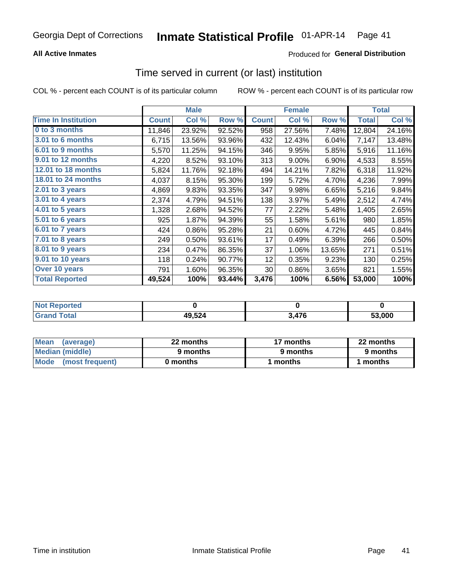## **All Active Inmates**

## **Produced for General Distribution**

# Time served in current (or last) institution

COL % - percent each COUNT is of its particular column

|                            |              | <b>Male</b> |        |              | <b>Female</b> |        |              | <b>Total</b> |
|----------------------------|--------------|-------------|--------|--------------|---------------|--------|--------------|--------------|
| <b>Time In Institution</b> | <b>Count</b> | Col %       | Row %  | <b>Count</b> | Col %         | Row %  | <b>Total</b> | Col %        |
| 0 to 3 months              | 11,846       | 23.92%      | 92.52% | 958          | 27.56%        | 7.48%  | 12,804       | 24.16%       |
| <b>3.01 to 6 months</b>    | 6,715        | 13.56%      | 93.96% | 432          | 12.43%        | 6.04%  | 7,147        | 13.48%       |
| 6.01 to 9 months           | 5,570        | 11.25%      | 94.15% | 346          | 9.95%         | 5.85%  | 5,916        | 11.16%       |
| 9.01 to 12 months          | 4,220        | 8.52%       | 93.10% | 313          | 9.00%         | 6.90%  | 4,533        | 8.55%        |
| 12.01 to 18 months         | 5,824        | 11.76%      | 92.18% | 494          | 14.21%        | 7.82%  | 6,318        | 11.92%       |
| <b>18.01 to 24 months</b>  | 4,037        | 8.15%       | 95.30% | 199          | 5.72%         | 4.70%  | 4,236        | 7.99%        |
| $2.01$ to 3 years          | 4,869        | 9.83%       | 93.35% | 347          | 9.98%         | 6.65%  | 5,216        | 9.84%        |
| 3.01 to 4 years            | 2,374        | 4.79%       | 94.51% | 138          | 3.97%         | 5.49%  | 2,512        | 4.74%        |
| $4.01$ to 5 years          | 1,328        | 2.68%       | 94.52% | 77           | 2.22%         | 5.48%  | 1,405        | 2.65%        |
| 5.01 to 6 years            | 925          | 1.87%       | 94.39% | 55           | 1.58%         | 5.61%  | 980          | 1.85%        |
| $6.01$ to 7 years          | 424          | 0.86%       | 95.28% | 21           | 0.60%         | 4.72%  | 445          | 0.84%        |
| 7.01 to 8 years            | 249          | 0.50%       | 93.61% | 17           | 0.49%         | 6.39%  | 266          | 0.50%        |
| $8.01$ to 9 years          | 234          | 0.47%       | 86.35% | 37           | 1.06%         | 13.65% | 271          | 0.51%        |
| 9.01 to 10 years           | 118          | 0.24%       | 90.77% | 12           | 0.35%         | 9.23%  | 130          | 0.25%        |
| Over 10 years              | 791          | 1.60%       | 96.35% | 30           | 0.86%         | 3.65%  | 821          | 1.55%        |
| <b>Total Reported</b>      | 49,524       | 100%        | 93.44% | 3,476        | 100%          | 6.56%  | 53,000       | 100%         |

| <b>Renorted</b><br><b>Not</b> |        |         |        |
|-------------------------------|--------|---------|--------|
| ⊺ิ∩tal                        | 49,524 | $1 - c$ | 53.000 |

| <b>Mean</b><br>(average) | 22 months | 17 months | 22 months |
|--------------------------|-----------|-----------|-----------|
| Median (middle)          | 9 months  | 9 months  | 9 months  |
| Mode (most frequent)     | 0 months  | months    | l months  |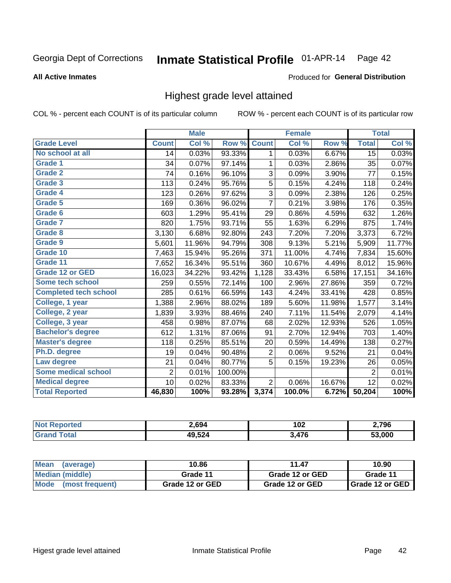#### Inmate Statistical Profile 01-APR-14 Page 42

#### **All Active Inmates**

#### Produced for General Distribution

# Highest grade level attained

COL % - percent each COUNT is of its particular column

|                              |                 | <b>Male</b> |         |                | <b>Female</b> |        |                | <b>Total</b> |
|------------------------------|-----------------|-------------|---------|----------------|---------------|--------|----------------|--------------|
| <b>Grade Level</b>           | <b>Count</b>    | Col %       | Row %   | <b>Count</b>   | Col %         | Row %  | <b>Total</b>   | Col %        |
| No school at all             | 14              | 0.03%       | 93.33%  | 1              | 0.03%         | 6.67%  | 15             | 0.03%        |
| Grade 1                      | 34              | 0.07%       | 97.14%  | 1              | 0.03%         | 2.86%  | 35             | 0.07%        |
| <b>Grade 2</b>               | 74              | 0.16%       | 96.10%  | 3              | 0.09%         | 3.90%  | 77             | 0.15%        |
| <b>Grade 3</b>               | 113             | 0.24%       | 95.76%  | 5              | 0.15%         | 4.24%  | 118            | 0.24%        |
| Grade 4                      | 123             | 0.26%       | 97.62%  | 3              | 0.09%         | 2.38%  | 126            | 0.25%        |
| <b>Grade 5</b>               | 169             | 0.36%       | 96.02%  | $\overline{7}$ | 0.21%         | 3.98%  | 176            | 0.35%        |
| Grade 6                      | 603             | 1.29%       | 95.41%  | 29             | 0.86%         | 4.59%  | 632            | 1.26%        |
| <b>Grade 7</b>               | 820             | 1.75%       | 93.71%  | 55             | 1.63%         | 6.29%  | 875            | 1.74%        |
| <b>Grade 8</b>               | 3,130           | 6.68%       | 92.80%  | 243            | 7.20%         | 7.20%  | 3,373          | 6.72%        |
| Grade 9                      | 5,601           | 11.96%      | 94.79%  | 308            | 9.13%         | 5.21%  | 5,909          | 11.77%       |
| Grade 10                     | 7,463           | 15.94%      | 95.26%  | 371            | 11.00%        | 4.74%  | 7,834          | 15.60%       |
| Grade 11                     | 7,652           | 16.34%      | 95.51%  | 360            | 10.67%        | 4.49%  | 8,012          | 15.96%       |
| <b>Grade 12 or GED</b>       | 16,023          | 34.22%      | 93.42%  | 1,128          | 33.43%        | 6.58%  | 17,151         | 34.16%       |
| <b>Some tech school</b>      | 259             | 0.55%       | 72.14%  | 100            | 2.96%         | 27.86% | 359            | 0.72%        |
| <b>Completed tech school</b> | 285             | 0.61%       | 66.59%  | 143            | 4.24%         | 33.41% | 428            | 0.85%        |
| College, 1 year              | 1,388           | 2.96%       | 88.02%  | 189            | 5.60%         | 11.98% | 1,577          | 3.14%        |
| College, 2 year              | 1,839           | 3.93%       | 88.46%  | 240            | 7.11%         | 11.54% | 2,079          | 4.14%        |
| College, 3 year              | 458             | 0.98%       | 87.07%  | 68             | 2.02%         | 12.93% | 526            | 1.05%        |
| <b>Bachelor's degree</b>     | 612             | 1.31%       | 87.06%  | 91             | 2.70%         | 12.94% | 703            | 1.40%        |
| <b>Master's degree</b>       | 118             | 0.25%       | 85.51%  | 20             | 0.59%         | 14.49% | 138            | 0.27%        |
| Ph.D. degree                 | 19              | 0.04%       | 90.48%  | 2              | 0.06%         | 9.52%  | 21             | 0.04%        |
| Law degree                   | 21              | 0.04%       | 80.77%  | 5              | 0.15%         | 19.23% | 26             | 0.05%        |
| <b>Some medical school</b>   | $\overline{2}$  | 0.01%       | 100.00% |                |               |        | $\overline{2}$ | 0.01%        |
| <b>Medical degree</b>        | 10 <sup>1</sup> | 0.02%       | 83.33%  | $\overline{2}$ | 0.06%         | 16.67% | 12             | 0.02%        |
| <b>Total Reported</b>        | 46,830          | 100%        | 93.28%  | 3,374          | 100.0%        | 6.72%  | 50,204         | 100%         |

| 2.694  | 102<br>___ | 2,796  |
|--------|------------|--------|
| 49.524 | 3 17G      | 53.000 |

| <b>Mean</b><br>(average)       | 10.86           | 11.47           | 10.90           |
|--------------------------------|-----------------|-----------------|-----------------|
| Median (middle)                | Grade 11        | Grade 12 or GED | Grade 11        |
| <b>Mode</b><br>(most frequent) | Grade 12 or GED | Grade 12 or GED | Grade 12 or GED |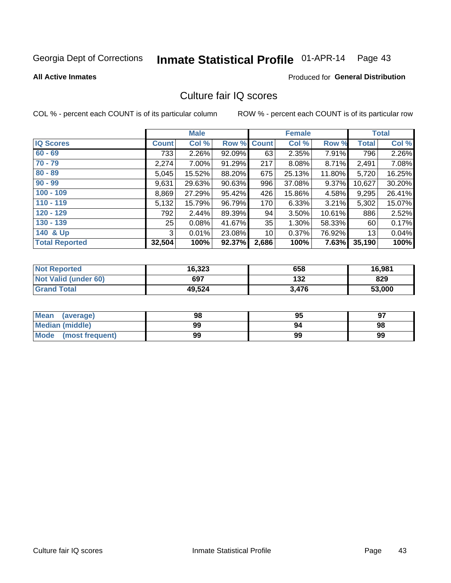# Inmate Statistical Profile 01-APR-14 Page 43

**All Active Inmates** 

#### **Produced for General Distribution**

# Culture fair IQ scores

COL % - percent each COUNT is of its particular column

|                       |                 | <b>Male</b> |             |       | <b>Female</b> |          |              | <b>Total</b> |
|-----------------------|-----------------|-------------|-------------|-------|---------------|----------|--------------|--------------|
| <b>IQ Scores</b>      | <b>Count</b>    | Col %       | Row % Count |       | Col %         | Row %    | <b>Total</b> | Col %        |
| $60 - 69$             | 733             | 2.26%       | 92.09%      | 63    | 2.35%         | 7.91%    | 796          | 2.26%        |
| $70 - 79$             | 2,274           | 7.00%       | 91.29%      | 217   | 8.08%         | 8.71%    | 2,491        | 7.08%        |
| $80 - 89$             | 5,045           | 15.52%      | 88.20%      | 675   | 25.13%        | 11.80%   | 5,720        | 16.25%       |
| $90 - 99$             | 9,631           | 29.63%      | 90.63%      | 996   | 37.08%        | 9.37%    | 10,627       | 30.20%       |
| $100 - 109$           | 8,869           | 27.29%      | 95.42%      | 426   | 15.86%        | 4.58%    | 9,295        | 26.41%       |
| $110 - 119$           | 5,132           | 15.79%      | 96.79%      | 170   | 6.33%         | $3.21\%$ | 5,302        | 15.07%       |
| $120 - 129$           | 792             | 2.44%       | 89.39%      | 94    | 3.50%         | 10.61%   | 886          | 2.52%        |
| $130 - 139$           | 25 <sub>1</sub> | 0.08%       | 41.67%      | 35    | 1.30%         | 58.33%   | 60           | 0.17%        |
| 140 & Up              | 3               | 0.01%       | 23.08%      | 10    | 0.37%         | 76.92%   | 13           | 0.04%        |
| <b>Total Reported</b> | 32,504          | 100%        | 92.37%      | 2,686 | 100%          | 7.63%    | 35,190       | 100%         |

| <b>Not Reported</b>         | 16,323 | 658   | 16,981 |
|-----------------------------|--------|-------|--------|
| <b>Not Valid (under 60)</b> | 697    | 132   | 829    |
| <b>Grand Total</b>          | 49,524 | 3,476 | 53,000 |

| Mean<br>(average)       | 98 | 95 | 97 |
|-------------------------|----|----|----|
| <b>Median (middle)</b>  | 99 | 94 | 98 |
| Mode<br>(most frequent) | 99 | 99 | 99 |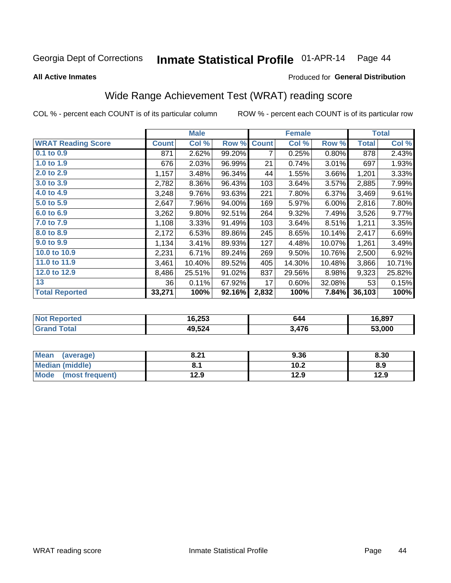#### Inmate Statistical Profile 01-APR-14 Page 44

**All Active Inmates** 

### Produced for General Distribution

# Wide Range Achievement Test (WRAT) reading score

COL % - percent each COUNT is of its particular column

|                           |              | <b>Male</b> |        |              | <b>Female</b> |        |              | <b>Total</b> |
|---------------------------|--------------|-------------|--------|--------------|---------------|--------|--------------|--------------|
| <b>WRAT Reading Score</b> | <b>Count</b> | Col %       | Row %  | <b>Count</b> | Col %         | Row %  | <b>Total</b> | Col %        |
| $0.1$ to $0.9$            | 871          | 2.62%       | 99.20% | 7            | 0.25%         | 0.80%  | 878          | 2.43%        |
| 1.0 to 1.9                | 676          | 2.03%       | 96.99% | 21           | 0.74%         | 3.01%  | 697          | 1.93%        |
| 2.0 to 2.9                | 1,157        | 3.48%       | 96.34% | 44           | 1.55%         | 3.66%  | 1,201        | 3.33%        |
| 3.0 to 3.9                | 2,782        | 8.36%       | 96.43% | 103          | 3.64%         | 3.57%  | 2,885        | 7.99%        |
| 4.0 to 4.9                | 3,248        | 9.76%       | 93.63% | 221          | 7.80%         | 6.37%  | 3,469        | 9.61%        |
| 5.0 to 5.9                | 2,647        | 7.96%       | 94.00% | 169          | 5.97%         | 6.00%  | 2,816        | 7.80%        |
| 6.0 to 6.9                | 3,262        | 9.80%       | 92.51% | 264          | 9.32%         | 7.49%  | 3,526        | 9.77%        |
| 7.0 to 7.9                | 1,108        | 3.33%       | 91.49% | 103          | 3.64%         | 8.51%  | 1,211        | 3.35%        |
| 8.0 to 8.9                | 2,172        | 6.53%       | 89.86% | 245          | 8.65%         | 10.14% | 2,417        | 6.69%        |
| 9.0 to 9.9                | 1,134        | 3.41%       | 89.93% | 127          | 4.48%         | 10.07% | 1,261        | 3.49%        |
| 10.0 to 10.9              | 2,231        | 6.71%       | 89.24% | 269          | 9.50%         | 10.76% | 2,500        | 6.92%        |
| 11.0 to 11.9              | 3,461        | 10.40%      | 89.52% | 405          | 14.30%        | 10.48% | 3,866        | 10.71%       |
| 12.0 to 12.9              | 8,486        | 25.51%      | 91.02% | 837          | 29.56%        | 8.98%  | 9,323        | 25.82%       |
| 13                        | 36           | 0.11%       | 67.92% | 17           | 0.60%         | 32.08% | 53           | 0.15%        |
| <b>Total Reported</b>     | 33,271       | 100%        | 92.16% | 2,832        | 100%          | 7.84%  | 36,103       | 100%         |
|                           |              |             |        |              |               |        |              |              |

| <b>Not Reported</b>   | 16,253 | 644   | 16,897 |
|-----------------------|--------|-------|--------|
| $\tau$ otal<br>'Grand | 49,524 | 3,476 | 53,000 |

| <b>Mean</b><br>(average)       | 8.21 | 9.36 | 8.30 |
|--------------------------------|------|------|------|
| Median (middle)                |      | 10.2 | 8.9  |
| <b>Mode</b><br>(most frequent) | 12.9 | 12.9 | 12.9 |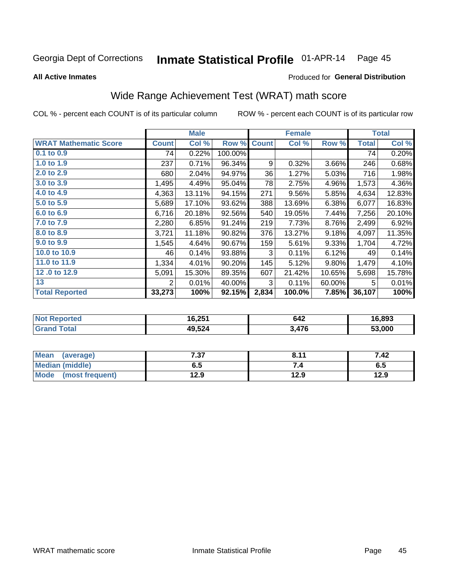#### Inmate Statistical Profile 01-APR-14 Page 45

**All Active Inmates** 

#### Produced for General Distribution

# Wide Range Achievement Test (WRAT) math score

COL % - percent each COUNT is of its particular column

|                              |                | <b>Male</b> |         |              | <b>Female</b> |        |              | <b>Total</b> |
|------------------------------|----------------|-------------|---------|--------------|---------------|--------|--------------|--------------|
| <b>WRAT Mathematic Score</b> | <b>Count</b>   | Col %       | Row %   | <b>Count</b> | Col %         | Row %  | <b>Total</b> | Col %        |
| $0.1$ to $0.9$               | 74             | 0.22%       | 100.00% |              |               |        | 74           | 0.20%        |
| 1.0 to 1.9                   | 237            | 0.71%       | 96.34%  | 9            | 0.32%         | 3.66%  | 246          | 0.68%        |
| 2.0 to 2.9                   | 680            | 2.04%       | 94.97%  | 36           | 1.27%         | 5.03%  | 716          | 1.98%        |
| 3.0 to 3.9                   | 1,495          | 4.49%       | 95.04%  | 78           | 2.75%         | 4.96%  | 1,573        | 4.36%        |
| 4.0 to 4.9                   | 4,363          | 13.11%      | 94.15%  | 271          | 9.56%         | 5.85%  | 4,634        | 12.83%       |
| 5.0 to 5.9                   | 5,689          | 17.10%      | 93.62%  | 388          | 13.69%        | 6.38%  | 6,077        | 16.83%       |
| 6.0 to 6.9                   | 6,716          | 20.18%      | 92.56%  | 540          | 19.05%        | 7.44%  | 7,256        | 20.10%       |
| 7.0 to 7.9                   | 2,280          | 6.85%       | 91.24%  | 219          | 7.73%         | 8.76%  | 2,499        | 6.92%        |
| 8.0 to 8.9                   | 3,721          | 11.18%      | 90.82%  | 376          | 13.27%        | 9.18%  | 4,097        | 11.35%       |
| 9.0 to 9.9                   | 1,545          | 4.64%       | 90.67%  | 159          | 5.61%         | 9.33%  | 1,704        | 4.72%        |
| 10.0 to 10.9                 | 46             | 0.14%       | 93.88%  | 3            | 0.11%         | 6.12%  | 49           | 0.14%        |
| 11.0 to 11.9                 | 1,334          | 4.01%       | 90.20%  | 145          | 5.12%         | 9.80%  | 1,479        | 4.10%        |
| 12.0 to 12.9                 | 5,091          | 15.30%      | 89.35%  | 607          | 21.42%        | 10.65% | 5,698        | 15.78%       |
| 13                           | $\overline{2}$ | 0.01%       | 40.00%  | 3            | 0.11%         | 60.00% | 5            | 0.01%        |
| <b>Total Reported</b>        | 33,273         | 100%        | 92.15%  | 2,834        | 100.0%        | 7.85%  | 36,107       | 100%         |
|                              |                |             |         |              |               |        |              |              |

| <b>Not Reported</b> | 16,251 | 642   | 16,893 |
|---------------------|--------|-------|--------|
| <b>Grand Total</b>  | 49,524 | 3.476 | 53,000 |

| <b>Mean</b><br>(average)       | 7.27<br>، ن | 8.11 | 7.42 |
|--------------------------------|-------------|------|------|
| <b>Median (middle)</b>         | υ.υ         | ٠.   | c.o  |
| <b>Mode</b><br>(most frequent) | 12.9        | 12.9 | 12.9 |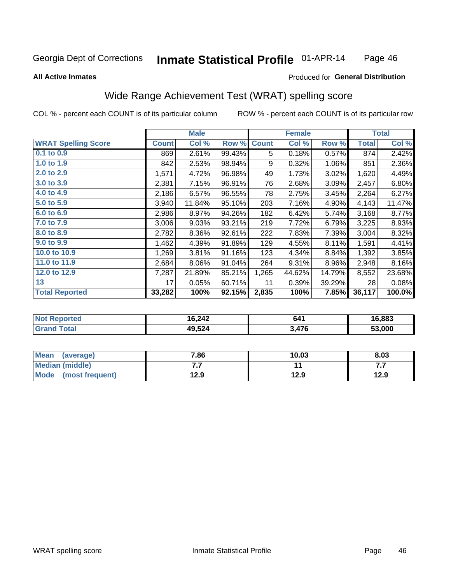#### Inmate Statistical Profile 01-APR-14 Page 46

#### **All Active Inmates**

## Produced for General Distribution

# Wide Range Achievement Test (WRAT) spelling score

COL % - percent each COUNT is of its particular column

|                            |              | <b>Male</b> |        |              | <b>Female</b> |        |              | <b>Total</b> |
|----------------------------|--------------|-------------|--------|--------------|---------------|--------|--------------|--------------|
| <b>WRAT Spelling Score</b> | <b>Count</b> | Col %       | Row %  | <b>Count</b> | Col %         | Row %  | <b>Total</b> | Col %        |
| 0.1 to 0.9                 | 869          | 2.61%       | 99.43% | 5            | 0.18%         | 0.57%  | 874          | 2.42%        |
| 1.0 to 1.9                 | 842          | 2.53%       | 98.94% | 9            | 0.32%         | 1.06%  | 851          | 2.36%        |
| 2.0 to 2.9                 | 1,571        | 4.72%       | 96.98% | 49           | 1.73%         | 3.02%  | 1,620        | 4.49%        |
| 3.0 to 3.9                 | 2,381        | 7.15%       | 96.91% | 76           | 2.68%         | 3.09%  | 2,457        | 6.80%        |
| 4.0 to 4.9                 | 2,186        | 6.57%       | 96.55% | 78           | 2.75%         | 3.45%  | 2,264        | 6.27%        |
| 5.0 to 5.9                 | 3,940        | 11.84%      | 95.10% | 203          | 7.16%         | 4.90%  | 4,143        | 11.47%       |
| 6.0 to 6.9                 | 2,986        | 8.97%       | 94.26% | 182          | 6.42%         | 5.74%  | 3,168        | 8.77%        |
| 7.0 to 7.9                 | 3,006        | 9.03%       | 93.21% | 219          | 7.72%         | 6.79%  | 3,225        | 8.93%        |
| 8.0 to 8.9                 | 2,782        | 8.36%       | 92.61% | 222          | 7.83%         | 7.39%  | 3,004        | 8.32%        |
| 9.0 to 9.9                 | 1,462        | 4.39%       | 91.89% | 129          | 4.55%         | 8.11%  | 1,591        | 4.41%        |
| 10.0 to 10.9               | 1,269        | 3.81%       | 91.16% | 123          | 4.34%         | 8.84%  | 1,392        | 3.85%        |
| 11.0 to 11.9               | 2,684        | 8.06%       | 91.04% | 264          | 9.31%         | 8.96%  | 2,948        | 8.16%        |
| 12.0 to 12.9               | 7,287        | 21.89%      | 85.21% | 1,265        | 44.62%        | 14.79% | 8,552        | 23.68%       |
| 13                         | 17           | 0.05%       | 60.71% | 11           | 0.39%         | 39.29% | 28           | 0.08%        |
| <b>Total Reported</b>      | 33,282       | 100%        | 92.15% | 2,835        | 100%          | 7.85%  | 36,117       | 100.0%       |

| <b>orted</b><br>NO. | 16,242 | 641   | 16,883 |
|---------------------|--------|-------|--------|
| $T \sim$ fol $-$    | 49,524 | 3,476 | 53.000 |

| <b>Mean</b><br>(average) | 7.86 | 10.03 | 8.03 |
|--------------------------|------|-------|------|
| <b>Median (middle)</b>   | .    |       | .    |
| Mode (most frequent)     | 12.9 | 12.9  | 12.9 |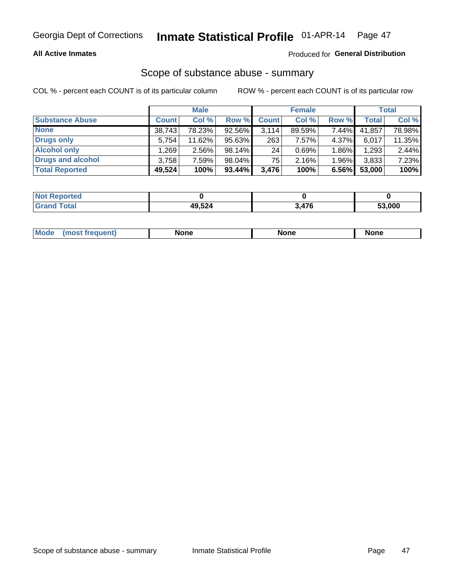### **All Active Inmates**

### Produced for General Distribution

# Scope of substance abuse - summary

COL % - percent each COUNT is of its particular column

|                        |              | <b>Male</b> |           |              | <b>Female</b> |          |              | <b>Total</b> |
|------------------------|--------------|-------------|-----------|--------------|---------------|----------|--------------|--------------|
| <b>Substance Abuse</b> | <b>Count</b> | Col %       | Row %     | <b>Count</b> | Col %         | Row %    | <b>Total</b> | Col %        |
| <b>None</b>            | 38,743       | 78.23%      | 92.56%    | 3,114        | 89.59%        | 7.44%    | 41,857       | 78.98%       |
| Drugs only             | 5,754        | 11.62%      | 95.63%    | 263          | 7.57%         | 4.37%    | 6,017        | 11.35%       |
| <b>Alcohol only</b>    | .269         | $2.56\%$    | 98.14%    | 24           | 0.69%         | $1.86\%$ | 1,293        | 2.44%        |
| Drugs and alcohol      | 3,758        | 7.59%       | 98.04%    | 75           | 2.16%         | $1.96\%$ | 3,833        | 7.23%        |
| <b>Total Reported</b>  | 49,524       | 100%        | $93.44\%$ | 3,476        | 100%          | 6.56%    | 53,000       | 100%         |

| <b>Not Reported</b> |        |     |        |
|---------------------|--------|-----|--------|
| <b>Grand Total</b>  | 49,524 | A7G | 53.000 |

| Mode<br>None<br>None<br>None<br>quenu |
|---------------------------------------|
|---------------------------------------|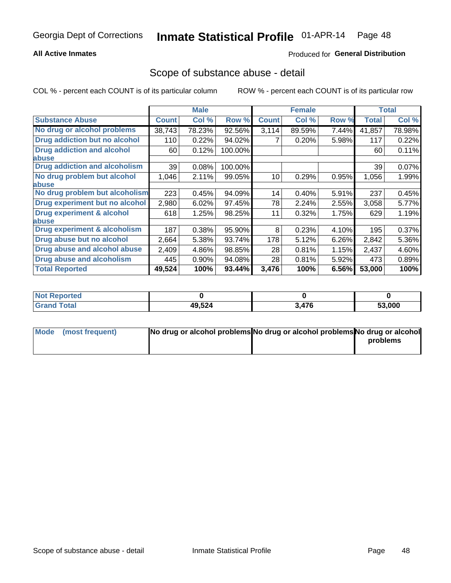## **All Active Inmates**

## **Produced for General Distribution**

## Scope of substance abuse - detail

COL % - percent each COUNT is of its particular column

|                                      |              | <b>Male</b> |         |              | <b>Female</b> |       |              | <b>Total</b> |
|--------------------------------------|--------------|-------------|---------|--------------|---------------|-------|--------------|--------------|
| <b>Substance Abuse</b>               | <b>Count</b> | Col %       | Row %   | <b>Count</b> | Col %         | Row % | <b>Total</b> | Col %        |
| No drug or alcohol problems          | 38,743       | 78.23%      | 92.56%  | 3,114        | 89.59%        | 7.44% | 41,857       | 78.98%       |
| Drug addiction but no alcohol        | 110          | 0.22%       | 94.02%  |              | 0.20%         | 5.98% | 117          | 0.22%        |
| <b>Drug addiction and alcohol</b>    | 60           | 0.12%       | 100.00% |              |               |       | 60           | 0.11%        |
| <b>labuse</b>                        |              |             |         |              |               |       |              |              |
| <b>Drug addiction and alcoholism</b> | 39           | 0.08%       | 100.00% |              |               |       | 39           | 0.07%        |
| No drug problem but alcohol          | 1,046        | 2.11%       | 99.05%  | 10           | 0.29%         | 0.95% | 1,056        | 1.99%        |
| <b>labuse</b>                        |              |             |         |              |               |       |              |              |
| No drug problem but alcoholism       | 223          | 0.45%       | 94.09%  | 14           | 0.40%         | 5.91% | 237          | 0.45%        |
| Drug experiment but no alcohol       | 2,980        | 6.02%       | 97.45%  | 78           | 2.24%         | 2.55% | 3,058        | 5.77%        |
| <b>Drug experiment &amp; alcohol</b> | 618          | 1.25%       | 98.25%  | 11           | 0.32%         | 1.75% | 629          | 1.19%        |
| abuse                                |              |             |         |              |               |       |              |              |
| Drug experiment & alcoholism         | 187          | 0.38%       | 95.90%  | 8            | 0.23%         | 4.10% | 195          | 0.37%        |
| Drug abuse but no alcohol            | 2,664        | 5.38%       | 93.74%  | 178          | 5.12%         | 6.26% | 2,842        | 5.36%        |
| Drug abuse and alcohol abuse         | 2,409        | 4.86%       | 98.85%  | 28           | 0.81%         | 1.15% | 2,437        | 4.60%        |
| Drug abuse and alcoholism            | 445          | 0.90%       | 94.08%  | 28           | 0.81%         | 5.92% | 473          | 0.89%        |
| <b>Total Reported</b>                | 49,524       | 100%        | 93.44%  | 3,476        | 100%          | 6.56% | 53,000       | 100%         |

| oorted<br><b>NOT</b> |        |     |        |
|----------------------|--------|-----|--------|
| <b>otal</b>          | 49,524 | 176 | 53,000 |

| Mode (most frequent) | No drug or alcohol problems No drug or alcohol problems No drug or alcohol |          |
|----------------------|----------------------------------------------------------------------------|----------|
|                      |                                                                            | problems |
|                      |                                                                            |          |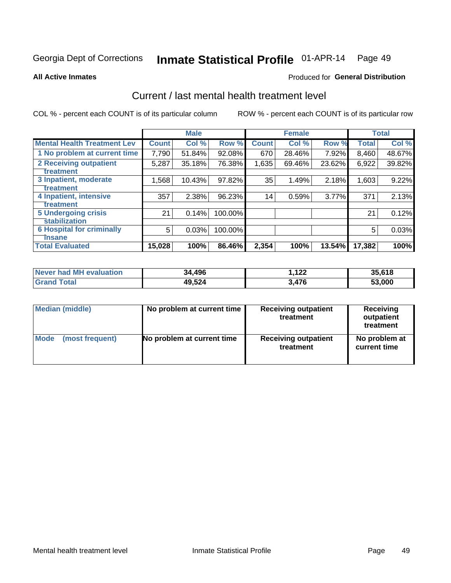# Inmate Statistical Profile 01-APR-14 Page 49

**All Active Inmates** 

### **Produced for General Distribution**

# Current / last mental health treatment level

COL % - percent each COUNT is of its particular column

|                                    |              | <b>Male</b> |         |                 | <b>Female</b> |        |              | <b>Total</b> |
|------------------------------------|--------------|-------------|---------|-----------------|---------------|--------|--------------|--------------|
| <b>Mental Health Treatment Lev</b> | <b>Count</b> | Col %       | Row %   | <b>Count</b>    | Col %         | Row %  | <b>Total</b> | Col %        |
| 1 No problem at current time       | 7,790        | 51.84%      | 92.08%  | 670             | 28.46%        | 7.92%  | 8,460        | 48.67%       |
| 2 Receiving outpatient             | 5,287        | 35.18%      | 76.38%  | 1,635           | 69.46%        | 23.62% | 6,922        | 39.82%       |
| <b>Treatment</b>                   |              |             |         |                 |               |        |              |              |
| 3 Inpatient, moderate              | 1,568        | 10.43%      | 97.82%  | 35              | 1.49%         | 2.18%  | 1,603        | 9.22%        |
| Treatment                          |              |             |         |                 |               |        |              |              |
| 4 Inpatient, intensive             | 357          | 2.38%       | 96.23%  | 14 <sub>1</sub> | 0.59%         | 3.77%  | 371          | 2.13%        |
| <b>Treatment</b>                   |              |             |         |                 |               |        |              |              |
| <b>5 Undergoing crisis</b>         | 21           | 0.14%       | 100.00% |                 |               |        | 21           | 0.12%        |
| <b>stabilization</b>               |              |             |         |                 |               |        |              |              |
| <b>6 Hospital for criminally</b>   | 5            | 0.03%       | 100.00% |                 |               |        | 5            | 0.03%        |
| <b>Tinsane</b>                     |              |             |         |                 |               |        |              |              |
| <b>Total Evaluated</b>             | 15,028       | 100%        | 86.46%  | 2,354           | 100%          | 13.54% | 17,382       | 100%         |

| Never had MH evaluation | 34,496 | .122  | 35,618 |
|-------------------------|--------|-------|--------|
| <b>Grand Total</b>      | 49,524 | 3.476 | 53,000 |

| Median (middle) | No problem at current time | <b>Receiving outpatient</b><br>treatment | <b>Receiving</b><br>outpatient<br>treatment |
|-----------------|----------------------------|------------------------------------------|---------------------------------------------|
| <b>Mode</b>     | No problem at current time | <b>Receiving outpatient</b>              | No problem at                               |
| (most frequent) |                            | treatment                                | current time                                |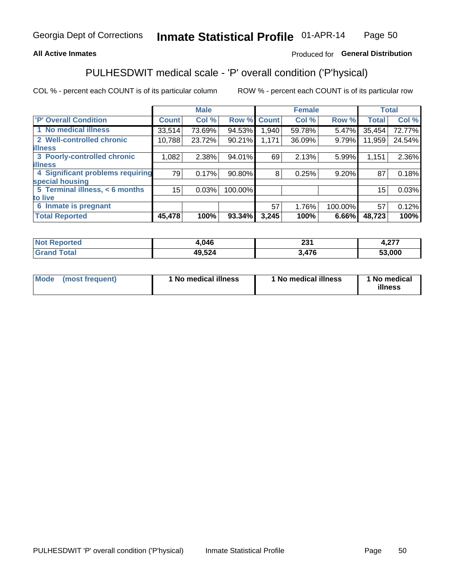### **All Active Inmates**

## Produced for General Distribution

# PULHESDWIT medical scale - 'P' overall condition ('P'hysical)

COL % - percent each COUNT is of its particular column

|                                  |              | <b>Male</b> |         |              | <b>Female</b> |         |              | <b>Total</b> |
|----------------------------------|--------------|-------------|---------|--------------|---------------|---------|--------------|--------------|
| <b>P' Overall Condition</b>      | <b>Count</b> | Col %       | Row %   | <b>Count</b> | Col %         | Row %   | <b>Total</b> | Col %        |
| 1 No medical illness             | 33,514       | 73.69%      | 94.53%  | 1,940        | 59.78%        | 5.47%   | 35,454       | 72.77%       |
| 2 Well-controlled chronic        | 10,788       | 23.72%      | 90.21%  | 1,171        | 36.09%        | 9.79%   | 11,959       | 24.54%       |
| <b>illness</b>                   |              |             |         |              |               |         |              |              |
| 3 Poorly-controlled chronic      | 1,082        | 2.38%       | 94.01%  | 69           | 2.13%         | 5.99%   | 1,151        | 2.36%        |
| <b>illness</b>                   |              |             |         |              |               |         |              |              |
| 4 Significant problems requiring | 79           | 0.17%       | 90.80%  | 8            | 0.25%         | 9.20%   | 87           | 0.18%        |
| special housing                  |              |             |         |              |               |         |              |              |
| 5 Terminal illness, < 6 months   | 15           | 0.03%       | 100.00% |              |               |         | 15           | 0.03%        |
| to live                          |              |             |         |              |               |         |              |              |
| 6 Inmate is pregnant             |              |             |         | 57           | 1.76%         | 100.00% | 57           | 0.12%        |
| <b>Total Reported</b>            | 45,478       | 100%        | 93.34%  | 3,245        | 100%          | 6.66%   | 48,723       | 100%         |

| тео | .046         | ິ<br>∼     | $\sim$<br>. |
|-----|--------------|------------|-------------|
|     | 9,524<br>лC. | 170<br>. . | 53.000      |

| Mode | (most frequent) | 1 No medical illness | 1 No medical illness | 1 No medical<br>illness |
|------|-----------------|----------------------|----------------------|-------------------------|
|------|-----------------|----------------------|----------------------|-------------------------|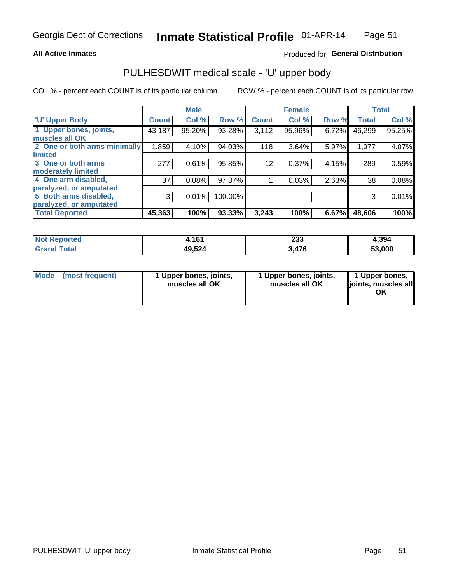#### **All Active Inmates**

## Produced for General Distribution

# PULHESDWIT medical scale - 'U' upper body

COL % - percent each COUNT is of its particular column

|                              |              | <b>Male</b> |         |              | <b>Female</b> |       |              | <b>Total</b> |
|------------------------------|--------------|-------------|---------|--------------|---------------|-------|--------------|--------------|
| <b>U' Upper Body</b>         | <b>Count</b> | Col %       | Row %   | <b>Count</b> | Col %         | Row % | <b>Total</b> | Col %        |
| 1 Upper bones, joints,       | 43,187       | 95.20%      | 93.28%  | 3,112        | 95.96%        | 6.72% | 46,299       | 95.25%       |
| muscles all OK               |              |             |         |              |               |       |              |              |
| 2 One or both arms minimally | 1,859        | 4.10%       | 94.03%  | 118          | 3.64%         | 5.97% | 1,977        | 4.07%        |
| limited                      |              |             |         |              |               |       |              |              |
| 3 One or both arms           | 277          | 0.61%       | 95.85%  | 12           | 0.37%         | 4.15% | 289          | 0.59%        |
| <b>moderately limited</b>    |              |             |         |              |               |       |              |              |
| 4 One arm disabled,          | 37           | 0.08%       | 97.37%  |              | 0.03%         | 2.63% | 38           | 0.08%        |
| paralyzed, or amputated      |              |             |         |              |               |       |              |              |
| 5 Both arms disabled,        | 3            | 0.01%       | 100.00% |              |               |       | 3            | 0.01%        |
| paralyzed, or amputated      |              |             |         |              |               |       |              |              |
| <b>Total Reported</b>        | 45,363       | 100%        | 93.33%  | 3,243        | 100%          | 6.67% | 48,606       | 100%         |

| <b>Not Reported</b>   | 4,161  | 233   | 4,394  |
|-----------------------|--------|-------|--------|
| <b>Total</b><br>Grand | 49,524 | 3,476 | 53,000 |

| Mode (most frequent) | 1 Upper bones, joints,<br>muscles all OK | 1 Upper bones, joints,<br>muscles all OK | 1 Upper bones,<br>joints, muscles all<br>ΟK |
|----------------------|------------------------------------------|------------------------------------------|---------------------------------------------|
|----------------------|------------------------------------------|------------------------------------------|---------------------------------------------|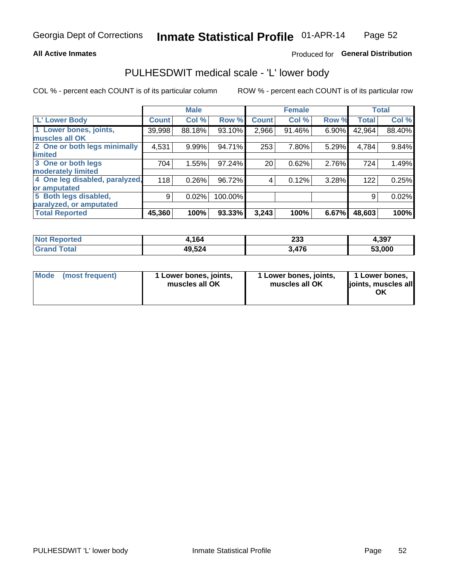#### **All Active Inmates**

### Produced for General Distribution

# PULHESDWIT medical scale - 'L' lower body

COL % - percent each COUNT is of its particular column

|                                |              | <b>Male</b> |         |              | <b>Female</b> |       |              | <b>Total</b> |
|--------------------------------|--------------|-------------|---------|--------------|---------------|-------|--------------|--------------|
| 'L' Lower Body                 | <b>Count</b> | Col %       | Row %   | <b>Count</b> | Col %         | Row % | <b>Total</b> | Col %        |
| 1 Lower bones, joints,         | 39,998       | 88.18%      | 93.10%  | 2,966        | 91.46%        | 6.90% | 42,964       | 88.40%       |
| muscles all OK                 |              |             |         |              |               |       |              |              |
| 2 One or both legs minimally   | 4,531        | 9.99%       | 94.71%  | 253          | 7.80%         | 5.29% | 4,784        | 9.84%        |
| limited                        |              |             |         |              |               |       |              |              |
| 3 One or both legs             | 704          | 1.55%       | 97.24%  | 20           | 0.62%         | 2.76% | 724          | 1.49%        |
| moderately limited             |              |             |         |              |               |       |              |              |
| 4 One leg disabled, paralyzed, | 118          | 0.26%       | 96.72%  | 4            | 0.12%         | 3.28% | 122          | 0.25%        |
| or amputated                   |              |             |         |              |               |       |              |              |
| 5 Both legs disabled,          | 9            | 0.02%       | 100.00% |              |               |       | 9            | 0.02%        |
| paralyzed, or amputated        |              |             |         |              |               |       |              |              |
| <b>Total Reported</b>          | 45,360       | 100%        | 93.33%  | 3,243        | 100%          | 6.67% | 48,603       | 100%         |

| <b>Not Reported</b>           | 4,164  | 233   | 4,397        |
|-------------------------------|--------|-------|--------------|
| <b>Total</b><br><b>'Grand</b> | 49,524 | 3,476 | 53,000<br>JJ |

| Mode | (most frequent) | 1 Lower bones, joints,<br>muscles all OK | 1 Lower bones, joints,<br>muscles all OK | 1 Lower bones,<br>joints, muscles all<br>ΟK |
|------|-----------------|------------------------------------------|------------------------------------------|---------------------------------------------|
|------|-----------------|------------------------------------------|------------------------------------------|---------------------------------------------|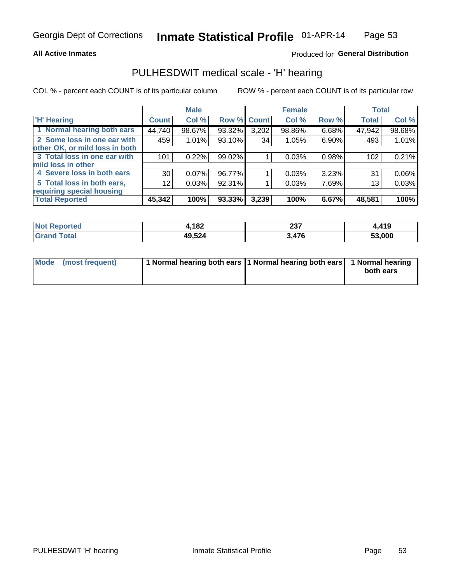#### **All Active Inmates**

## Produced for General Distribution

# PULHESDWIT medical scale - 'H' hearing

COL % - percent each COUNT is of its particular column

|                                |                 | <b>Male</b> |             |       | <b>Female</b> |       | <b>Total</b> |        |
|--------------------------------|-----------------|-------------|-------------|-------|---------------|-------|--------------|--------|
| <b>'H' Hearing</b>             | <b>Count</b>    | Col %       | Row % Count |       | Col %         | Row % | <b>Total</b> | Col %  |
| 1 Normal hearing both ears     | 44,740          | 98.67%      | 93.32%      | 3,202 | 98.86%        | 6.68% | 47,942       | 98.68% |
| 2 Some loss in one ear with    | 459             | 1.01%       | 93.10%      | 34    | 1.05%         | 6.90% | 493          | 1.01%  |
| other OK, or mild loss in both |                 |             |             |       |               |       |              |        |
| 3 Total loss in one ear with   | 101             | 0.22%       | 99.02%      |       | 0.03%         | 0.98% | 102          | 0.21%  |
| mild loss in other             |                 |             |             |       |               |       |              |        |
| 4 Severe loss in both ears     | 30 <sub>1</sub> | 0.07%       | 96.77%      |       | 0.03%         | 3.23% | 31           | 0.06%  |
| 5 Total loss in both ears,     | 12 <sub>1</sub> | 0.03%       | 92.31%      |       | 0.03%         | 7.69% | 13           | 0.03%  |
| requiring special housing      |                 |             |             |       |               |       |              |        |
| <b>Total Reported</b>          | 45,342          | 100%        | 93.33%      | 3,239 | 100%          | 6.67% | 48,581       | 100%   |

| <b>Not Renc</b><br>anorted and | l,182  | 027<br>2J I | .419   |
|--------------------------------|--------|-------------|--------|
| Total                          | 49,524 | 17C         | 53,000 |

| Mode (most frequent) | 1 Normal hearing both ears 1 Normal hearing both ears 1 Normal hearing | both ears |
|----------------------|------------------------------------------------------------------------|-----------|
|                      |                                                                        |           |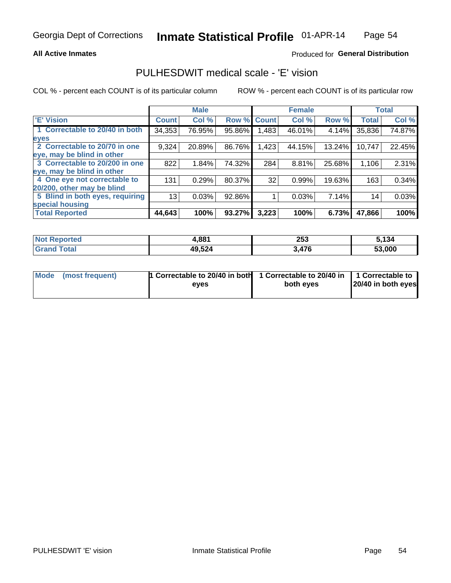#### **All Active Inmates**

## Produced for General Distribution

# PULHESDWIT medical scale - 'E' vision

COL % - percent each COUNT is of its particular column

|                                 |              | <b>Male</b> |        |              | <b>Female</b> |        |              | <b>Total</b> |
|---------------------------------|--------------|-------------|--------|--------------|---------------|--------|--------------|--------------|
| 'E' Vision                      | <b>Count</b> | Col %       | Row %  | <b>Count</b> | Col %         | Row %  | <b>Total</b> | Col %        |
| 1 Correctable to 20/40 in both  | 34,353       | 76.95%      | 95.86% | .483         | 46.01%        | 4.14%  | 35,836       | 74.87%       |
| eyes                            |              |             |        |              |               |        |              |              |
| 2 Correctable to 20/70 in one   | 9,324        | 20.89%      | 86.76% | 1,423        | 44.15%        | 13.24% | 10,747       | 22.45%       |
| eye, may be blind in other      |              |             |        |              |               |        |              |              |
| 3 Correctable to 20/200 in one  | 822          | 1.84%       | 74.32% | 284          | 8.81%         | 25.68% | 1,106        | 2.31%        |
| eye, may be blind in other      |              |             |        |              |               |        |              |              |
| 4 One eye not correctable to    | 131          | 0.29%       | 80.37% | 32           | 0.99%         | 19.63% | 163          | 0.34%        |
| 20/200, other may be blind      |              |             |        |              |               |        |              |              |
| 5 Blind in both eyes, requiring | 13           | 0.03%       | 92.86% |              | 0.03%         | 7.14%  | 14           | 0.03%        |
| special housing                 |              |             |        |              |               |        |              |              |
| <b>Total Reported</b>           | 44,643       | 100%        | 93.27% | 3,223        | 100%          | 6.73%  | 47,866       | 100%         |

| <b>Not Reported</b> | 4,881  | 253  | 5.134  |
|---------------------|--------|------|--------|
| <b>Total</b>        | 49,524 | 476, | 53,000 |

| Mode (most frequent) | 1 Correctable to 20/40 in both<br>eves | 1 Correctable to 20/40 in   1 Correctable to  <br>both eves | 20/40 in both eyes |
|----------------------|----------------------------------------|-------------------------------------------------------------|--------------------|
|                      |                                        |                                                             |                    |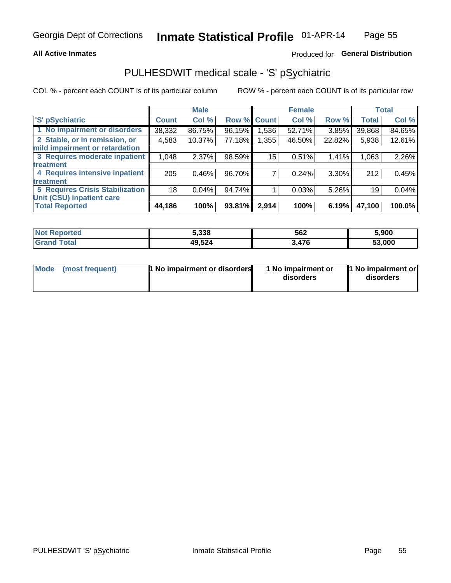#### **All Active Inmates**

## Produced for General Distribution

# PULHESDWIT medical scale - 'S' pSychiatric

COL % - percent each COUNT is of its particular column

|                                        |              | <b>Male</b> |        |              | <b>Female</b> |        |              | <b>Total</b> |
|----------------------------------------|--------------|-------------|--------|--------------|---------------|--------|--------------|--------------|
| 'S' pSychiatric                        | <b>Count</b> | Col %       | Row %  | <b>Count</b> | Col %         | Row %  | <b>Total</b> | Col %        |
| 1 No impairment or disorders           | 38,332       | 86.75%      | 96.15% | .536         | 52.71%        | 3.85%  | 39,868       | 84.65%       |
| 2 Stable, or in remission, or          | 4,583        | 10.37%      | 77.18% | .355         | 46.50%        | 22.82% | 5,938        | 12.61%       |
| mild impairment or retardation         |              |             |        |              |               |        |              |              |
| 3 Requires moderate inpatient          | 1,048        | 2.37%       | 98.59% | 15           | 0.51%         | 1.41%  | 1,063        | 2.26%        |
| <b>treatment</b>                       |              |             |        |              |               |        |              |              |
| 4 Requires intensive inpatient         | 205          | 0.46%       | 96.70% |              | 0.24%         | 3.30%  | 212          | 0.45%        |
| treatment                              |              |             |        |              |               |        |              |              |
| <b>5 Requires Crisis Stabilization</b> | 18           | 0.04%       | 94.74% |              | 0.03%         | 5.26%  | 19           | 0.04%        |
| Unit (CSU) inpatient care              |              |             |        |              |               |        |              |              |
| <b>Total Reported</b>                  | 44,186       | 100%        | 93.81% | 2,914        | 100%          | 6.19%  | 47,100       | 100.0%       |

| <b>Not Reported</b>        | 5,338  | 562   | 5,900        |
|----------------------------|--------|-------|--------------|
| Total<br>Gran <sub>(</sub> | 49,524 | 3,476 | 53.000<br>эa |

| Mode | (most frequent) | 1 No impairment or disorders | 1 No impairment or<br>disorders | 11 No impairment or<br>disorders |
|------|-----------------|------------------------------|---------------------------------|----------------------------------|
|------|-----------------|------------------------------|---------------------------------|----------------------------------|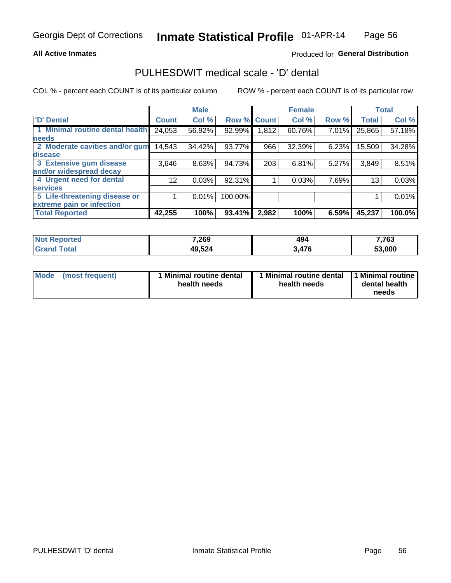#### **All Active Inmates**

## Produced for General Distribution

# PULHESDWIT medical scale - 'D' dental

COL % - percent each COUNT is of its particular column

|                                 |                 | <b>Male</b> |         |              | <b>Female</b> |       |              | <b>Total</b> |
|---------------------------------|-----------------|-------------|---------|--------------|---------------|-------|--------------|--------------|
| <b>D'</b> Dental                | <b>Count</b>    | Col %       | Row %   | <b>Count</b> | Col %         | Row % | <b>Total</b> | Col %        |
| 1 Minimal routine dental health | 24,053          | 56.92%      | 92.99%  | 1,812        | 60.76%        | 7.01% | 25,865       | 57.18%       |
| <b>needs</b>                    |                 |             |         |              |               |       |              |              |
| 2 Moderate cavities and/or gum  | 14,543          | 34.42%      | 93.77%  | 966          | 32.39%        | 6.23% | 15,509       | 34.28%       |
| disease                         |                 |             |         |              |               |       |              |              |
| 3 Extensive gum disease         | 3,646           | 8.63%       | 94.73%  | 203          | 6.81%         | 5.27% | 3,849        | 8.51%        |
| and/or widespread decay         |                 |             |         |              |               |       |              |              |
| 4 Urgent need for dental        | 12 <sub>1</sub> | 0.03%       | 92.31%  |              | 0.03%         | 7.69% | 13           | 0.03%        |
| <b>services</b>                 |                 |             |         |              |               |       |              |              |
| 5 Life-threatening disease or   |                 | 0.01%       | 100.00% |              |               |       |              | 0.01%        |
| extreme pain or infection       |                 |             |         |              |               |       |              |              |
| <b>Total Reported</b>           | 42,255          | 100%        | 93.41%  | 2,982        | 100%          | 6.59% | 45,237       | 100.0%       |

| <b>Not Reported</b>     | 7,269  | 494   | 7,763  |
|-------------------------|--------|-------|--------|
| <b>Total</b><br>' Grand | 49,524 | 3,476 | 53,000 |

| Mode<br><b>Minimal routine dental</b><br>(most frequent)<br>health needs | 1 Minimal routine dental<br>health needs | 1 Minimal routine<br>dental health<br>needs |
|--------------------------------------------------------------------------|------------------------------------------|---------------------------------------------|
|--------------------------------------------------------------------------|------------------------------------------|---------------------------------------------|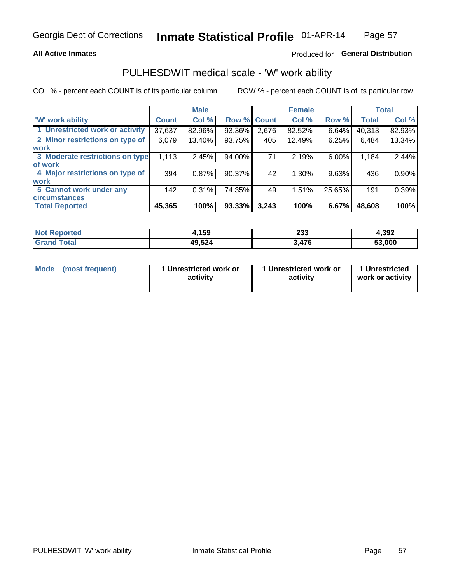#### **All Active Inmates**

## Produced for General Distribution

# PULHESDWIT medical scale - 'W' work ability

COL % - percent each COUNT is of its particular column

|                                 |              | <b>Male</b> |                    |       | <b>Female</b> |          |              | <b>Total</b> |
|---------------------------------|--------------|-------------|--------------------|-------|---------------|----------|--------------|--------------|
| <b>W' work ability</b>          | <b>Count</b> | Col %       | <b>Row % Count</b> |       | Col %         | Row %    | <b>Total</b> | Col %        |
| 1 Unrestricted work or activity | 37,637       | 82.96%      | 93.36%             | 2,676 | 82.52%        | $6.64\%$ | 40,313       | 82.93%       |
| 2 Minor restrictions on type of | 6,079        | 13.40%      | 93.75%             | 405   | 12.49%        | 6.25%    | 6,484        | 13.34%       |
| <b>work</b>                     |              |             |                    |       |               |          |              |              |
| 3 Moderate restrictions on type | 1,113        | 2.45%       | 94.00%             | 71    | 2.19%         | 6.00%    | 1,184        | 2.44%        |
| of work                         |              |             |                    |       |               |          |              |              |
| 4 Major restrictions on type of | 394          | 0.87%       | 90.37%             | 42    | 1.30%         | 9.63%    | 436          | 0.90%        |
| <b>work</b>                     |              |             |                    |       |               |          |              |              |
| 5 Cannot work under any         | 142          | 0.31%       | 74.35%             | 49    | 1.51%         | 25.65%   | 191          | 0.39%        |
| <b>circumstances</b>            |              |             |                    |       |               |          |              |              |
| <b>Total Reported</b>           | 45,365       | 100%        | 93.33%             | 3,243 | 100%          | 6.67%    | 48,608       | 100%         |

| <b>Not Reported</b>   | ,159   | າາາ<br>∠ാാ | 4,392  |
|-----------------------|--------|------------|--------|
| Total<br><b>Grand</b> | 49,524 | 3,476      | 53,000 |

| Mode            | 1 Unrestricted work or | 1 Unrestricted work or | 1 Unrestricted   |
|-----------------|------------------------|------------------------|------------------|
| (most frequent) | activity               | activity               | work or activity |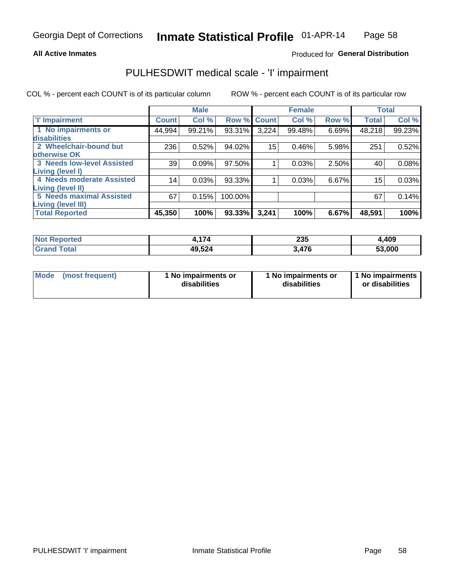#### **All Active Inmates**

## Produced for General Distribution

# PULHESDWIT medical scale - 'I' impairment

COL % - percent each COUNT is of its particular column ROW % - percent each COUNT is of its particular row

|                            |              | <b>Male</b> |             |       | <b>Female</b> |       |              | <b>Total</b> |
|----------------------------|--------------|-------------|-------------|-------|---------------|-------|--------------|--------------|
| <b>T' Impairment</b>       | <b>Count</b> | Col %       | Row % Count |       | Col %         | Row % | <b>Total</b> | Col %        |
| 1 No impairments or        | 44,994       | 99.21%      | 93.31%      | 3,224 | 99.48%        | 6.69% | 48,218       | 99.23%       |
| disabilities               |              |             |             |       |               |       |              |              |
| 2 Wheelchair-bound but     | 236          | 0.52%       | 94.02%      | 15    | 0.46%         | 5.98% | 251          | 0.52%        |
| otherwise OK               |              |             |             |       |               |       |              |              |
| 3 Needs low-level Assisted | 39           | 0.09%       | 97.50%      |       | 0.03%         | 2.50% | 40           | 0.08%        |
| Living (level I)           |              |             |             |       |               |       |              |              |
| 4 Needs moderate Assisted  | 14           | 0.03%       | 93.33%      |       | 0.03%         | 6.67% | 15           | 0.03%        |
| Living (level II)          |              |             |             |       |               |       |              |              |
| 5 Needs maximal Assisted   | 67           | 0.15%       | 100.00%     |       |               |       | 67           | 0.14%        |
| <b>Living (level III)</b>  |              |             |             |       |               |       |              |              |
| <b>Total Reported</b>      | 45,350       | 100%        | 93.33%      | 3,241 | 100%          | 6.67% | 48,591       | 100%         |

| ported | $\rightarrow$ | 235          | 4,409  |
|--------|---------------|--------------|--------|
| ™otai  | 49,524        | 17C<br>J.470 | 53,000 |

| <b>Mode</b> | (most frequent) | <b>No impairments or</b><br>disabilities | 1 No impairments or<br>disabilities | 1 No impairments<br>or disabilities |
|-------------|-----------------|------------------------------------------|-------------------------------------|-------------------------------------|
|-------------|-----------------|------------------------------------------|-------------------------------------|-------------------------------------|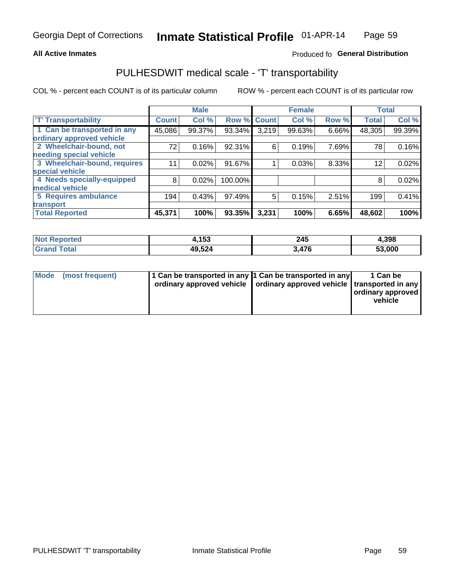#### **All Active Inmates**

## Produced fo General Distribution

# PULHESDWIT medical scale - 'T' transportability

COL % - percent each COUNT is of its particular column

|                              |              | <b>Male</b> |         |              | <b>Female</b> |       | <b>Total</b> |        |
|------------------------------|--------------|-------------|---------|--------------|---------------|-------|--------------|--------|
| <b>T' Transportability</b>   | <b>Count</b> | Col %       | Row %   | <b>Count</b> | Col %         | Row % | <b>Total</b> | Col %  |
| 1 Can be transported in any  | 45,086       | 99.37%      | 93.34%  | 3,219        | 99.63%        | 6.66% | 48,305       | 99.39% |
| ordinary approved vehicle    |              |             |         |              |               |       |              |        |
| 2 Wheelchair-bound, not      | 72           | 0.16%       | 92.31%  | 6            | 0.19%         | 7.69% | 78           | 0.16%  |
| needing special vehicle      |              |             |         |              |               |       |              |        |
| 3 Wheelchair-bound, requires | 11           | 0.02%       | 91.67%  |              | 0.03%         | 8.33% | 12           | 0.02%  |
| special vehicle              |              |             |         |              |               |       |              |        |
| 4 Needs specially-equipped   | 8            | 0.02%       | 100.00% |              |               |       | 8            | 0.02%  |
| medical vehicle              |              |             |         |              |               |       |              |        |
| <b>5 Requires ambulance</b>  | 194          | 0.43%       | 97.49%  | 5            | 0.15%         | 2.51% | 199          | 0.41%  |
| transport                    |              |             |         |              |               |       |              |        |
| <b>Total Reported</b>        | 45,371       | 100%        | 93.35%  | 3,231        | 100%          | 6.65% | 48,602       | 100%   |

| Reported<br>NOT | 1,153  | 245<br>$\sim$ | 4,398  |
|-----------------|--------|---------------|--------|
| Total           | 49,524 | 17C<br>47 O   | 53,000 |

|  | Mode (most frequent) | 1 Can be transported in any 1 Can be transported in any | ordinary approved vehicle   ordinary approved vehicle   transported in any | 1 Can be<br>ordinary approved<br>vehicle |
|--|----------------------|---------------------------------------------------------|----------------------------------------------------------------------------|------------------------------------------|
|--|----------------------|---------------------------------------------------------|----------------------------------------------------------------------------|------------------------------------------|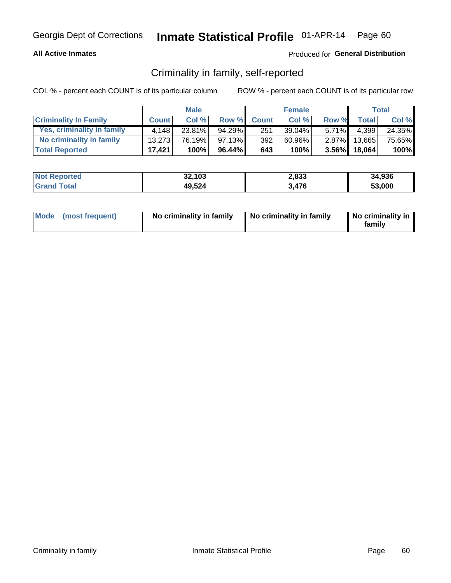#### **All Active Inmates**

### Produced for General Distribution

## Criminality in family, self-reported

COL % - percent each COUNT is of its particular column

|                              |              | <b>Male</b> |           |              | <b>Female</b> |          |              | Total  |
|------------------------------|--------------|-------------|-----------|--------------|---------------|----------|--------------|--------|
| <b>Criminality In Family</b> | <b>Count</b> | Col%        | Row %     | <b>Count</b> | Col %         | Row %    | <b>Total</b> | Col %  |
| Yes, criminality in family   | 4.148        | 23.81%      | 94.29%    | 251          | $39.04\%$     | $5.71\%$ | 4,399        | 24.35% |
| No criminality in family     | 13.273       | 76.19%      | $97.13\%$ | 392          | 60.96%        | $2.87\%$ | 13,665       | 75.65% |
| <b>Total Reported</b>        | 17,421       | 100%        | 96.44%    | 643          | 100%          |          | 3.56% 18,064 | 100%   |

| <b>Not Reported</b> | 32,103 | 2,833 | 34,936 |
|---------------------|--------|-------|--------|
| <b>Total</b>        | 49,524 | 476   | 53.000 |

|  | Mode (most frequent) | No criminality in family | No criminality in family | No criminality in<br>family |
|--|----------------------|--------------------------|--------------------------|-----------------------------|
|--|----------------------|--------------------------|--------------------------|-----------------------------|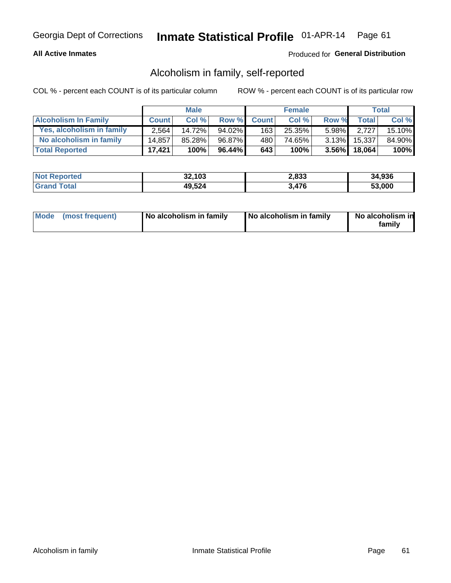### **All Active Inmates**

### Produced for General Distribution

## Alcoholism in family, self-reported

COL % - percent each COUNT is of its particular column

|                             |              | <b>Male</b> |        |              | <b>Female</b> |          |              | Total   |
|-----------------------------|--------------|-------------|--------|--------------|---------------|----------|--------------|---------|
| <b>Alcoholism In Family</b> | <b>Count</b> | Col%        | Row %  | <b>Count</b> | Col%          | Row %    | <b>Total</b> | Col %   |
| Yes, alcoholism in family   | 2.564        | 14.72%      | 94.02% | 163          | 25.35%        | $5.98\%$ | 2.727        | 15.10%  |
| No alcoholism in family     | 14.857       | 85.28%      | 96.87% | 480          | 74.65%        | $3.13\%$ | 15,337       | 84.90%  |
| <b>Total Reported</b>       | 17,421       | 100%        | 96.44% | 643          | 100%          |          | 3.56% 18,064 | $100\%$ |

| <b>Not Reported</b> | 32,103 | 2,833 | 34,936 |
|---------------------|--------|-------|--------|
| <b>Srand Total</b>  | 49,524 | 3,476 | 53.000 |

|  | Mode (most frequent) | No alcoholism in family | No alcoholism in family | No alcoholism in<br>family |
|--|----------------------|-------------------------|-------------------------|----------------------------|
|--|----------------------|-------------------------|-------------------------|----------------------------|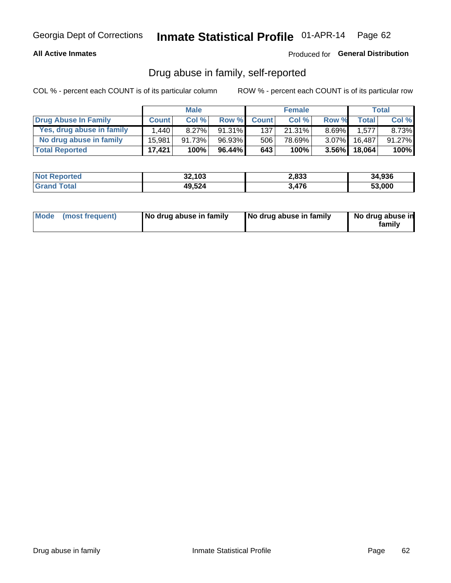### **All Active Inmates**

### Produced for General Distribution

## Drug abuse in family, self-reported

COL % - percent each COUNT is of its particular column

|                           |              | <b>Male</b> |           |              | <b>Female</b> |          |              | Total   |
|---------------------------|--------------|-------------|-----------|--------------|---------------|----------|--------------|---------|
| Drug Abuse In Family      | <b>Count</b> | Col %       | Row %     | <b>Count</b> | Col %         | Row %    | Total        | Col %   |
| Yes, drug abuse in family | 1,440        | $8.27\%$    | $91.31\%$ | 137          | 21.31%        | $8.69\%$ | 1,577        | 8.73%   |
| No drug abuse in family   | 15,981       | 91.73%      | 96.93%    | 506          | 78.69%        | $3.07\%$ | 16.487       | 91.27%  |
| <b>Total Reported</b>     | 17,421       | 100%        | 96.44%    | 643          | 100%          |          | 3.56% 18,064 | $100\%$ |

| <b>Not Reported</b> | 32,103 | 2,833 | 34,936 |
|---------------------|--------|-------|--------|
| <b>Srand Total</b>  | 49,524 | 3,476 | 53.000 |

|  | Mode (most frequent) | No drug abuse in family | No drug abuse in family | No drug abuse in<br>familv |
|--|----------------------|-------------------------|-------------------------|----------------------------|
|--|----------------------|-------------------------|-------------------------|----------------------------|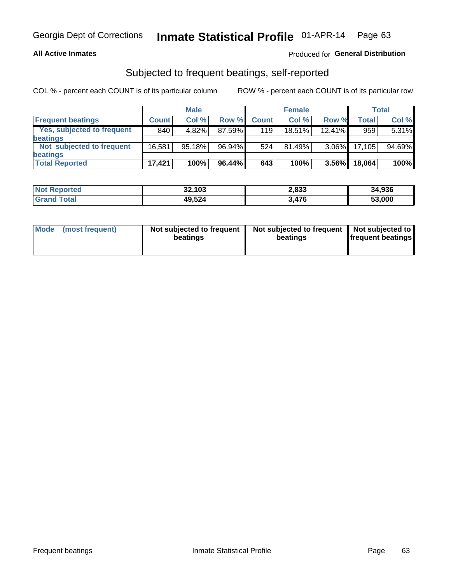#### **All Active Inmates**

## Produced for General Distribution

# Subjected to frequent beatings, self-reported

COL % - percent each COUNT is of its particular column

|                            |              | <b>Male</b> |           |              | <b>Female</b> |           |        | Total  |
|----------------------------|--------------|-------------|-----------|--------------|---------------|-----------|--------|--------|
| <b>Frequent beatings</b>   | <b>Count</b> | Col%        | Row %     | <b>Count</b> | Col %         | Row %     | Total  | Col %  |
| Yes, subjected to frequent | 840          | 4.82%       | 87.59%    | 119          | 18.51%        | $12.41\%$ | 959    | 5.31%  |
| <b>beatings</b>            |              |             |           |              |               |           |        |        |
| Not subjected to frequent  | 16.581       | 95.18%      | 96.94%    | 524          | 81.49%        | $3.06\%$  | 17,105 | 94.69% |
| <b>beatings</b>            |              |             |           |              |               |           |        |        |
| <b>Total Reported</b>      | 17,421       | 100%        | $96.44\%$ | 643          | 100%          | $3.56\%$  | 18,064 | 100%   |

| <b>Not Reported</b> | 32,103 | 2,833 | 34,936 |
|---------------------|--------|-------|--------|
| <b>'Grand Total</b> | 49,524 | 3,476 | 53,000 |

| Mode (most frequent) | Not subjected to frequent<br>beatings | Not subjected to frequent<br>beatings | Not subjected to<br><b>frequent beatings</b> |
|----------------------|---------------------------------------|---------------------------------------|----------------------------------------------|
|                      |                                       |                                       |                                              |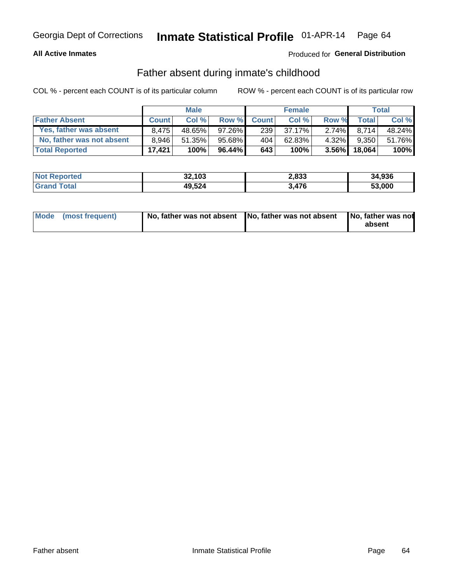#### **All Active Inmates**

## Produced for General Distribution

## Father absent during inmate's childhood

COL % - percent each COUNT is of its particular column

|                           |              | <b>Male</b> |           |              | <b>Female</b> |          |              | Total  |
|---------------------------|--------------|-------------|-----------|--------------|---------------|----------|--------------|--------|
| <b>Father Absent</b>      | <b>Count</b> | Col%        | Row %     | <b>Count</b> | Col %         | Row %    | <b>Total</b> | Col %  |
| Yes, father was absent    | 8.475        | 48.65%      | $97.26\%$ | 239          | 37.17%        | $2.74\%$ | 8.714        | 48.24% |
| No, father was not absent | 8.946        | 51.35%      | $95.68\%$ | 404          | 62.83%        | $4.32\%$ | 9,350        | 51.76% |
| <b>Total Reported</b>     | 17.421       | 100%        | $96.44\%$ | 643          | 100%          | $3.56\%$ | 18.064       | 100%   |

| <b>Not Reported</b> | 32,103 | 2,833 | 34,936 |
|---------------------|--------|-------|--------|
| <b>Srand Total</b>  | 49,524 | 3,476 | 53,000 |

|  | Mode (most frequent) |  | No, father was not absent No, father was not absent No, father was not | absent |
|--|----------------------|--|------------------------------------------------------------------------|--------|
|--|----------------------|--|------------------------------------------------------------------------|--------|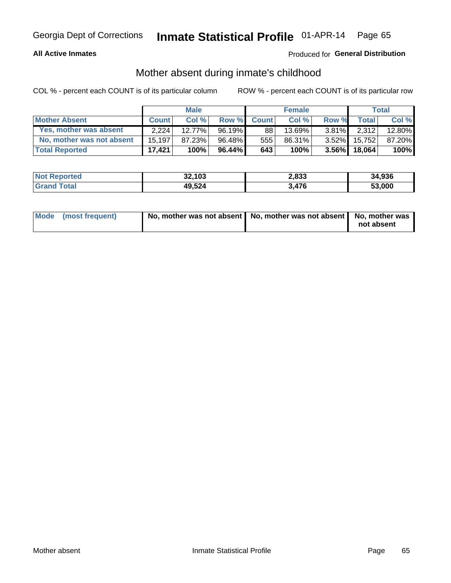### **All Active Inmates**

## Produced for General Distribution

## Mother absent during inmate's childhood

COL % - percent each COUNT is of its particular column

|                           | <b>Male</b>  |        |           | <b>Female</b> |        |          | Total        |        |
|---------------------------|--------------|--------|-----------|---------------|--------|----------|--------------|--------|
| <b>Mother Absent</b>      | <b>Count</b> | Col%   | Row %     | <b>Count</b>  | Col %  | Row %    | <b>Total</b> | Col %  |
| Yes, mother was absent    | 2.224        | 12.77% | 96.19%    | 88            | 13.69% | $3.81\%$ | 2.312        | 12.80% |
| No, mother was not absent | 15.197       | 87.23% | 96.48%    | 555           | 86.31% | $3.52\%$ | 15.752       | 87.20% |
| <b>Total Reported</b>     | 17.421       | 100%   | $96.44\%$ | 643           | 100%   | $3.56\%$ | 18.064       | 100%   |

| <b>Not Reported</b> | 32,103 | 2,833 | 34,936 |
|---------------------|--------|-------|--------|
| <b>Total</b>        | 49,524 | 476   | 53.000 |

| Mode (most frequent) | No, mother was not absent   No, mother was not absent   No, mother was | not absent |
|----------------------|------------------------------------------------------------------------|------------|
|                      |                                                                        |            |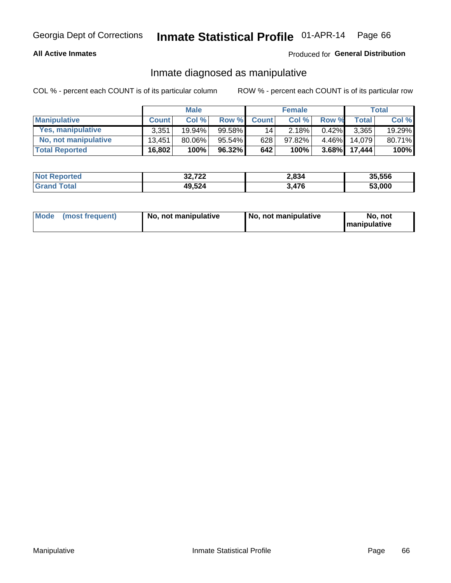### **All Active Inmates**

## Produced for General Distribution

## Inmate diagnosed as manipulative

COL % - percent each COUNT is of its particular column

|                       | <b>Male</b>  |           |          | <b>Female</b> |        |          | Total  |        |
|-----------------------|--------------|-----------|----------|---------------|--------|----------|--------|--------|
| <b>Manipulative</b>   | <b>Count</b> | Col%      | Row %    | <b>Count</b>  | Col%   | Row %    | Total  | Col %  |
| Yes, manipulative     | 3.351        | $19.94\%$ | 99.58%   | 141           | 2.18%  | $0.42\%$ | 3.365  | 19.29% |
| No, not manipulative  | 13.451       | $80.06\%$ | 95.54% I | 628           | 97.82% | $4.46\%$ | 14.079 | 80.71% |
| <b>Total Reported</b> | 16,802       | 100%      | 96.32%   | 642           | 100%   | $3.68\%$ | 17.444 | 100%   |

| <b>Not Reported</b>   | 32,722 | 2,834       | 35,556 |
|-----------------------|--------|-------------|--------|
| <b>Grand</b><br>`otal | 49,524 | $\Delta 76$ | 53,000 |

|  | Mode (most frequent) | No, not manipulative | No, not manipulative | No. not<br><b>I</b> manipulative |
|--|----------------------|----------------------|----------------------|----------------------------------|
|--|----------------------|----------------------|----------------------|----------------------------------|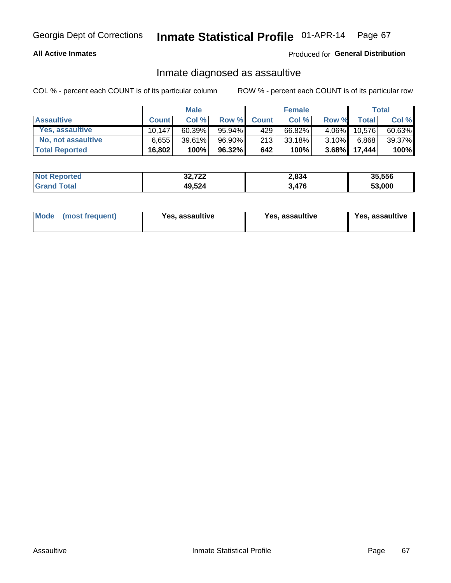#### **All Active Inmates**

Produced for General Distribution

## Inmate diagnosed as assaultive

COL % - percent each COUNT is of its particular column

|                       | <b>Male</b>  |           |        | <b>Female</b> |        |          | Total        |        |
|-----------------------|--------------|-----------|--------|---------------|--------|----------|--------------|--------|
| <b>Assaultive</b>     | <b>Count</b> | Col%      | Row %  | <b>Count</b>  | Col %  | Row %    | <b>Total</b> | Col %  |
| Yes, assaultive       | 10.147       | $60.39\%$ | 95.94% | 429           | 66.82% | $4.06\%$ | 10,576       | 60.63% |
| No, not assaultive    | 6.655        | $39.61\%$ | 96.90% | 213           | 33.18% | $3.10\%$ | 6,868        | 39.37% |
| <b>Total Reported</b> | 16,802       | 100%      | 96.32% | 642           | 100%   | $3.68\%$ | 17,444       | 100%   |

| <b>Not Reported</b> | 32,722 | 2,834 | 35.556 |
|---------------------|--------|-------|--------|
| `ota                | 49,524 | 3,476 | 53.000 |

| Mode (most frequent)<br>Yes, assaultive | Yes, assaultive | <b>Yes, assaultive</b> |
|-----------------------------------------|-----------------|------------------------|
|-----------------------------------------|-----------------|------------------------|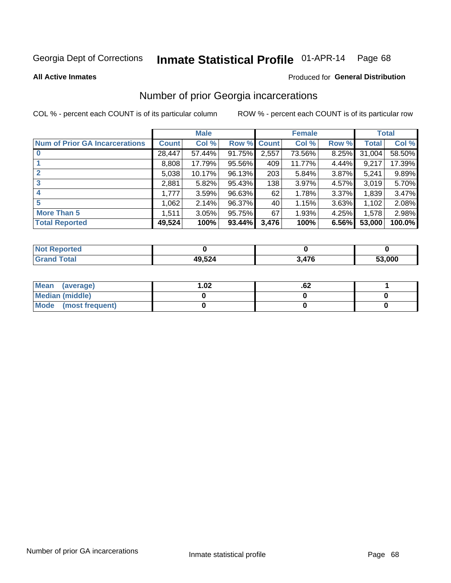#### Inmate Statistical Profile 01-APR-14 Page 68

**All Active Inmates** 

#### Produced for General Distribution

# Number of prior Georgia incarcerations

COL % - percent each COUNT is of its particular column

|                                       |              | <b>Male</b> |                    |       | <b>Female</b> |       |        | <b>Total</b> |
|---------------------------------------|--------------|-------------|--------------------|-------|---------------|-------|--------|--------------|
| <b>Num of Prior GA Incarcerations</b> | <b>Count</b> | Col %       | <b>Row % Count</b> |       | Col %         | Row % | Total  | Col %        |
| $\bf{0}$                              | 28,447       | 57.44%      | 91.75%             | 2,557 | 73.56%        | 8.25% | 31,004 | 58.50%       |
|                                       | 8,808        | 17.79%      | 95.56%             | 409   | 11.77%        | 4.44% | 9,217  | 17.39%       |
| $\mathbf{2}$                          | 5,038        | 10.17%      | 96.13%             | 203   | 5.84%         | 3.87% | 5,241  | 9.89%        |
| 3                                     | 2,881        | 5.82%       | 95.43%             | 138   | 3.97%         | 4.57% | 3,019  | 5.70%        |
| 4                                     | 1,777        | 3.59%       | 96.63%             | 62    | 1.78%         | 3.37% | 1,839  | 3.47%        |
| 5                                     | 1,062        | 2.14%       | 96.37%             | 40    | 1.15%         | 3.63% | 1,102  | 2.08%        |
| <b>More Than 5</b>                    | 1,511        | 3.05%       | 95.75%             | 67    | 1.93%         | 4.25% | 1,578  | 2.98%        |
| <b>Total Reported</b>                 | 49,524       | 100%        | 93.44%             | 3,476 | 100%          | 6.56% | 53,000 | 100.0%       |

| <b>Not</b><br>Reported |        |       |        |
|------------------------|--------|-------|--------|
| Total<br>"Gran∟        | 49,524 | 476,ر | 53,000 |

| Mean (average)       | $\overline{.02}$ | .oz |  |
|----------------------|------------------|-----|--|
| Median (middle)      |                  |     |  |
| Mode (most frequent) |                  |     |  |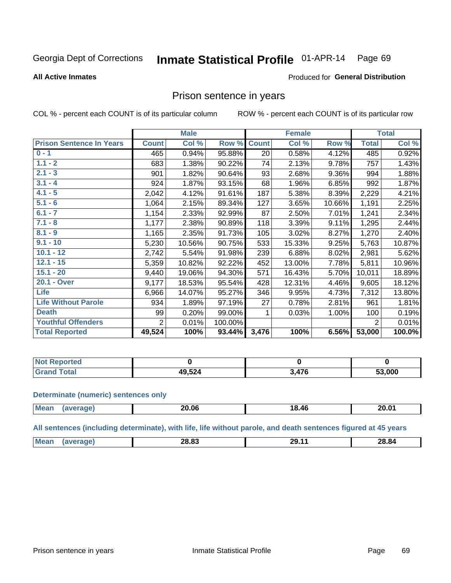#### Inmate Statistical Profile 01-APR-14 Page 69

#### **All Active Inmates**

#### Produced for General Distribution

## Prison sentence in years

COL % - percent each COUNT is of its particular column

ROW % - percent each COUNT is of its particular row

|                                 | <b>Male</b>  |        |         | <b>Female</b> |        |          | <b>Total</b>   |        |
|---------------------------------|--------------|--------|---------|---------------|--------|----------|----------------|--------|
| <b>Prison Sentence In Years</b> | <b>Count</b> | Col %  | Row %   | <b>Count</b>  | Col %  | Row %    | <b>Total</b>   | Col %  |
| $0 - 1$                         | 465          | 0.94%  | 95.88%  | 20            | 0.58%  | 4.12%    | 485            | 0.92%  |
| $1.1 - 2$                       | 683          | 1.38%  | 90.22%  | 74            | 2.13%  | 9.78%    | 757            | 1.43%  |
| $2.1 - 3$                       | 901          | 1.82%  | 90.64%  | 93            | 2.68%  | $9.36\%$ | 994            | 1.88%  |
| $3.1 - 4$                       | 924          | 1.87%  | 93.15%  | 68            | 1.96%  | 6.85%    | 992            | 1.87%  |
| $4.1 - 5$                       | 2,042        | 4.12%  | 91.61%  | 187           | 5.38%  | 8.39%    | 2,229          | 4.21%  |
| $5.1 - 6$                       | 1,064        | 2.15%  | 89.34%  | 127           | 3.65%  | 10.66%   | 1,191          | 2.25%  |
| $6.1 - 7$                       | 1,154        | 2.33%  | 92.99%  | 87            | 2.50%  | 7.01%    | 1,241          | 2.34%  |
| $7.1 - 8$                       | 1,177        | 2.38%  | 90.89%  | 118           | 3.39%  | 9.11%    | 1,295          | 2.44%  |
| $8.1 - 9$                       | 1,165        | 2.35%  | 91.73%  | 105           | 3.02%  | 8.27%    | 1,270          | 2.40%  |
| $9.1 - 10$                      | 5,230        | 10.56% | 90.75%  | 533           | 15.33% | 9.25%    | 5,763          | 10.87% |
| $10.1 - 12$                     | 2,742        | 5.54%  | 91.98%  | 239           | 6.88%  | 8.02%    | 2,981          | 5.62%  |
| $12.1 - 15$                     | 5,359        | 10.82% | 92.22%  | 452           | 13.00% | 7.78%    | 5,811          | 10.96% |
| $15.1 - 20$                     | 9,440        | 19.06% | 94.30%  | 571           | 16.43% | 5.70%    | 10,011         | 18.89% |
| 20.1 - Over                     | 9,177        | 18.53% | 95.54%  | 428           | 12.31% | 4.46%    | 9,605          | 18.12% |
| <b>Life</b>                     | 6,966        | 14.07% | 95.27%  | 346           | 9.95%  | 4.73%    | 7,312          | 13.80% |
| <b>Life Without Parole</b>      | 934          | 1.89%  | 97.19%  | 27            | 0.78%  | 2.81%    | 961            | 1.81%  |
| <b>Death</b>                    | 99           | 0.20%  | 99.00%  |               | 0.03%  | 1.00%    | 100            | 0.19%  |
| <b>Youthful Offenders</b>       | 2            | 0.01%  | 100.00% |               |        |          | $\overline{2}$ | 0.01%  |
| <b>Total Reported</b>           | 49,524       | 100%   | 93.44%  | 3,476         | 100%   | 6.56%    | 53,000         | 100.0% |

| Reported<br>I NOT |              |     |        |
|-------------------|--------------|-----|--------|
| intal             | 19,524<br>Δu | 17C | 53,000 |

#### **Determinate (numeric) sentences only**

| <b>Mean</b> | 20.06 | 18.46 | 20.01 |
|-------------|-------|-------|-------|
|             |       |       |       |

All sentences (including determinate), with life, life without parole, and death sentences figured at 45 years

| Me<br><u>nn nn</u><br>28.84<br>nn<br>'ч<br>-0.05<br>___<br>____ |  |  |  |
|-----------------------------------------------------------------|--|--|--|
|                                                                 |  |  |  |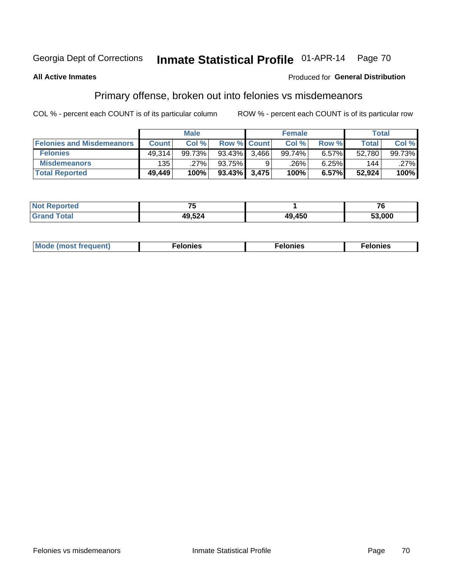#### Inmate Statistical Profile 01-APR-14 Page 70

#### **All Active Inmates**

#### Produced for General Distribution

# Primary offense, broken out into felonies vs misdemeanors

COL % - percent each COUNT is of its particular column

|                                  | <b>Male</b>  |        |              | <b>Female</b>      |        |       | Total        |        |
|----------------------------------|--------------|--------|--------------|--------------------|--------|-------|--------------|--------|
| <b>Felonies and Misdemeanors</b> | <b>Count</b> | Col %  |              | <b>Row % Count</b> | Col %  | Row % | <b>Total</b> | Col %  |
| <b>Felonies</b>                  | 49.314       | 99.73% | 93.43%       | 3.466              | 99.74% | 6.57% | 52,780       | 99.73% |
| <b>Misdemeanors</b>              | 135          | .27%   | 93.75%       |                    | .26%'  | 6.25% | 144          | .27%   |
| <b>Total Reported</b>            | 49,449       | 100%   | 93.43% 3,475 |                    | 100%   | 6.57% | 52,924       | 100%   |

| <b>Not Reported</b> | --     |        | - -<br>' o |  |
|---------------------|--------|--------|------------|--|
| <b>Grand Total</b>  | 49,524 | 49,450 | 53,000     |  |

| Mo | ___ | 11 C.S<br>. | onies<br>. |
|----|-----|-------------|------------|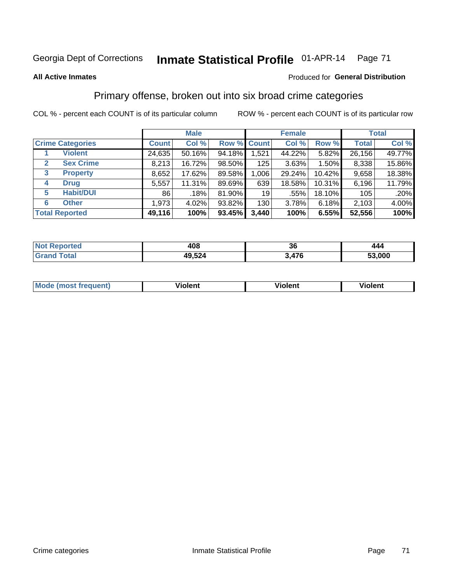# Georgia Dept of Corrections **Inmate Statistical Profile** 01-APR-14 Page 71

#### **All Active Inmates**

## Produced for **General Distribution**

# Primary offense, broken out into six broad crime categories

COL % - percent each COUNT is of its particular column ROW % - percent each COUNT is of its particular row

|                                 |              | <b>Male</b> |        |             | <b>Female</b> |        |              | <b>Total</b> |  |
|---------------------------------|--------------|-------------|--------|-------------|---------------|--------|--------------|--------------|--|
| <b>Crime Categories</b>         | <b>Count</b> | Col %       |        | Row % Count | Col %         | Row %  | <b>Total</b> | Col %        |  |
| <b>Violent</b>                  | 24,635       | 50.16%      | 94.18% | 1,521       | 44.22%        | 5.82%  | 26,156       | 49.77%       |  |
| <b>Sex Crime</b><br>2           | 8,213        | 16.72%      | 98.50% | 125         | 3.63%         | 1.50%  | 8,338        | 15.86%       |  |
| $\mathbf{3}$<br><b>Property</b> | 8,652        | 17.62%      | 89.58% | 1,006       | 29.24%        | 10.42% | 9,658        | 18.38%       |  |
| <b>Drug</b><br>4                | 5,557        | 11.31%      | 89.69% | 639         | 18.58%        | 10.31% | 6,196        | 11.79%       |  |
| <b>Habit/DUI</b><br>5           | 86           | .18%        | 81.90% | 19          | .55%          | 18.10% | 105          | .20%         |  |
| <b>Other</b><br>6               | 1,973        | 4.02%       | 93.82% | 130         | 3.78%         | 6.18%  | 2,103        | 4.00%        |  |
| <b>Total Reported</b>           | 49,116       | 100%        | 93.45% | 3,440       | 100%          | 6.55%  | 52,556       | 100%         |  |

| Reported<br><b>NOT</b> | 408    | 20<br>ათ       | 444    |
|------------------------|--------|----------------|--------|
| <b>Total</b>           | 49,524 | 176<br>. + 1 V | 53,000 |

| Mo<br>uent)<br>nos | .<br>/iolent | <br>Violent | - --<br><b>Tiolent</b> |
|--------------------|--------------|-------------|------------------------|
|                    |              |             |                        |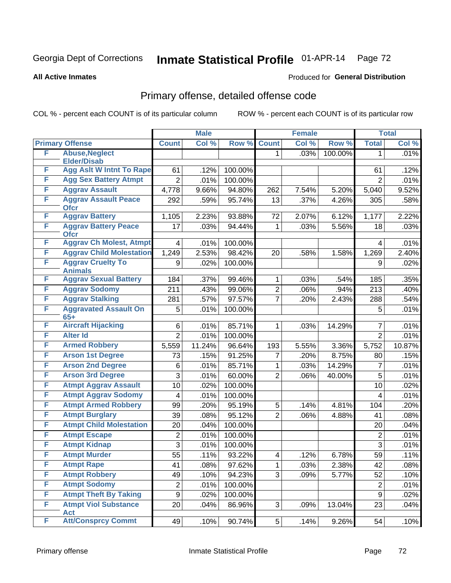# Georgia Dept of Corrections **Inmate Statistical Profile** 01-APR-14 Page 72

**All Active Inmates**

#### Produced for **General Distribution**

# Primary offense, detailed offense code

COL % - percent each COUNT is of its particular column ROW % - percent each COUNT is of its particular row

|   |                                            | <b>Male</b>      |        | <b>Female</b> |                |       | <b>Total</b> |                |        |
|---|--------------------------------------------|------------------|--------|---------------|----------------|-------|--------------|----------------|--------|
|   | <b>Primary Offense</b>                     | <b>Count</b>     | Col %  | Row %         | <b>Count</b>   | Col % | Row %        | <b>Total</b>   | Col %  |
| F | <b>Abuse, Neglect</b>                      |                  |        |               | 1.             | .03%  | 100.00%      | 1              | .01%   |
|   | <b>Elder/Disab</b>                         |                  |        |               |                |       |              |                |        |
| F | <b>Agg Aslt W Intnt To Rape</b>            | 61               | .12%   | 100.00%       |                |       |              | 61             | .12%   |
| F | <b>Agg Sex Battery Atmpt</b>               | $\overline{2}$   | .01%   | 100.00%       |                |       |              | $\overline{2}$ | .01%   |
| F | <b>Aggrav Assault</b>                      | 4,778            | 9.66%  | 94.80%        | 262            | 7.54% | 5.20%        | 5,040          | 9.52%  |
| F | <b>Aggrav Assault Peace</b><br><b>Ofcr</b> | 292              | .59%   | 95.74%        | 13             | .37%  | 4.26%        | 305            | .58%   |
| F | <b>Aggrav Battery</b>                      | 1,105            | 2.23%  | 93.88%        | 72             | 2.07% | 6.12%        | 1,177          | 2.22%  |
| F | <b>Aggrav Battery Peace</b><br><b>Ofcr</b> | 17               | .03%   | 94.44%        | 1              | .03%  | 5.56%        | 18             | .03%   |
| F | <b>Aggrav Ch Molest, Atmpt</b>             | 4                | .01%   | 100.00%       |                |       |              | 4              | .01%   |
| F | <b>Aggrav Child Molestation</b>            | 1,249            | 2.53%  | 98.42%        | 20             | .58%  | 1.58%        | 1,269          | 2.40%  |
| F | <b>Aggrav Cruelty To</b><br><b>Animals</b> | 9                | .02%   | 100.00%       |                |       |              | 9              | .02%   |
| F | <b>Aggrav Sexual Battery</b>               | 184              | .37%   | 99.46%        | 1              | .03%  | .54%         | 185            | .35%   |
| F | <b>Aggrav Sodomy</b>                       | 211              | .43%   | 99.06%        | $\overline{2}$ | .06%  | .94%         | 213            | .40%   |
| F | <b>Aggrav Stalking</b>                     | 281              | .57%   | 97.57%        | $\overline{7}$ | .20%  | 2.43%        | 288            | .54%   |
| F | <b>Aggravated Assault On</b><br>$65+$      | 5                | .01%   | 100.00%       |                |       |              | 5              | .01%   |
| F | <b>Aircraft Hijacking</b>                  | 6                | .01%   | 85.71%        | 1              | .03%  | 14.29%       | 7              | .01%   |
| F | <b>Alter Id</b>                            | $\overline{2}$   | .01%   | 100.00%       |                |       |              | $\overline{2}$ | .01%   |
| F | <b>Armed Robbery</b>                       | 5,559            | 11.24% | 96.64%        | 193            | 5.55% | 3.36%        | 5,752          | 10.87% |
| F | <b>Arson 1st Degree</b>                    | 73               | .15%   | 91.25%        | 7              | .20%  | 8.75%        | 80             | .15%   |
| F | <b>Arson 2nd Degree</b>                    | 6                | .01%   | 85.71%        | 1              | .03%  | 14.29%       | $\overline{7}$ | .01%   |
| F | <b>Arson 3rd Degree</b>                    | 3                | .01%   | 60.00%        | $\overline{2}$ | .06%  | 40.00%       | 5              | .01%   |
| F | <b>Atmpt Aggrav Assault</b>                | 10               | .02%   | 100.00%       |                |       |              | 10             | .02%   |
| F | <b>Atmpt Aggrav Sodomy</b>                 | 4                | .01%   | 100.00%       |                |       |              | 4              | .01%   |
| F | <b>Atmpt Armed Robbery</b>                 | 99               | .20%   | 95.19%        | 5              | .14%  | 4.81%        | 104            | .20%   |
| F | <b>Atmpt Burglary</b>                      | 39               | .08%   | 95.12%        | $\overline{2}$ | .06%  | 4.88%        | 41             | .08%   |
| F | <b>Atmpt Child Molestation</b>             | 20               | .04%   | 100.00%       |                |       |              | 20             | .04%   |
| F | <b>Atmpt Escape</b>                        | $\overline{2}$   | .01%   | 100.00%       |                |       |              | $\overline{2}$ | .01%   |
| F | <b>Atmpt Kidnap</b>                        | 3                | .01%   | 100.00%       |                |       |              | 3              | .01%   |
| F | <b>Atmpt Murder</b>                        | $\overline{55}$  | .11%   | 93.22%        | $\overline{4}$ | .12%  | 6.78%        | 59             | .11%   |
| F | <b>Atmpt Rape</b>                          | 41               | .08%   | 97.62%        | 1              | .03%  | 2.38%        | 42             | .08%   |
| F | <b>Atmpt Robbery</b>                       | 49               | .10%   | 94.23%        | 3              | .09%  | 5.77%        | 52             | .10%   |
| F | <b>Atmpt Sodomy</b>                        | $\boldsymbol{2}$ | .01%   | 100.00%       |                |       |              | $\overline{2}$ | .01%   |
| F | <b>Atmpt Theft By Taking</b>               | $\boldsymbol{9}$ | .02%   | 100.00%       |                |       |              | 9              | .02%   |
| F | <b>Atmpt Viol Substance</b><br>Act         | 20               | .04%   | 86.96%        | $\mathfrak{S}$ | .09%  | 13.04%       | 23             | .04%   |
| F | <b>Att/Consprcy Commt</b>                  | 49               | .10%   | 90.74%        | 5              | .14%  | 9.26%        | 54             | .10%   |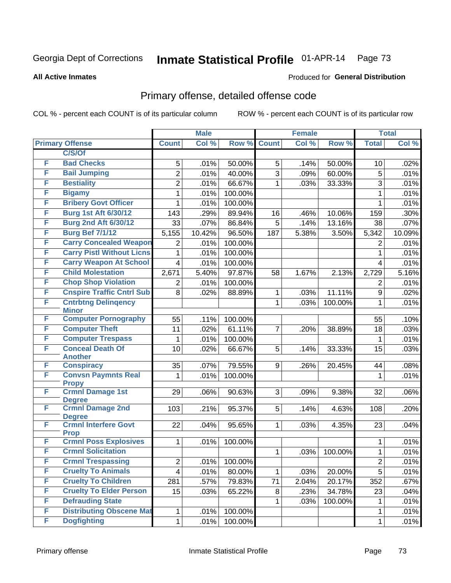#### **All Active Inmates**

#### Produced for **General Distribution**

## Primary offense, detailed offense code

|        |                                                     |                | <b>Male</b> |         |                | <b>Female</b> |         | <b>Total</b>   |        |
|--------|-----------------------------------------------------|----------------|-------------|---------|----------------|---------------|---------|----------------|--------|
|        | <b>Primary Offense</b>                              | <b>Count</b>   | Col %       | Row %   | <b>Count</b>   | Col %         | Row %   | <b>Total</b>   | Col %  |
|        | C/S/Of                                              |                |             |         |                |               |         |                |        |
| F      | <b>Bad Checks</b>                                   | 5              | .01%        | 50.00%  | 5              | .14%          | 50.00%  | 10             | .02%   |
| F      | <b>Bail Jumping</b>                                 | $\overline{2}$ | .01%        | 40.00%  | $\overline{3}$ | .09%          | 60.00%  | 5              | .01%   |
| F      | <b>Bestiality</b>                                   | $\overline{2}$ | .01%        | 66.67%  | 1              | .03%          | 33.33%  | 3              | .01%   |
| F      | <b>Bigamy</b>                                       | 1              | .01%        | 100.00% |                |               |         | $\mathbf{1}$   | .01%   |
| F      | <b>Bribery Govt Officer</b>                         | $\mathbf{1}$   | .01%        | 100.00% |                |               |         | $\mathbf{1}$   | .01%   |
| F      | <b>Burg 1st Aft 6/30/12</b>                         | 143            | .29%        | 89.94%  | 16             | .46%          | 10.06%  | 159            | .30%   |
| F      | <b>Burg 2nd Aft 6/30/12</b>                         | 33             | .07%        | 86.84%  | 5              | .14%          | 13.16%  | 38             | .07%   |
| F      | <b>Burg Bef 7/1/12</b>                              | 5,155          | 10.42%      | 96.50%  | 187            | 5.38%         | 3.50%   | 5,342          | 10.09% |
| F      | <b>Carry Concealed Weapon</b>                       | $\overline{2}$ | .01%        | 100.00% |                |               |         | 2              | .01%   |
| F      | <b>Carry Pistl Without Licns</b>                    | 1              | .01%        | 100.00% |                |               |         | 1              | .01%   |
| F      | <b>Carry Weapon At School</b>                       | 4              | .01%        | 100.00% |                |               |         | 4              | .01%   |
| F      | <b>Child Molestation</b>                            | 2,671          | 5.40%       | 97.87%  | 58             | 1.67%         | 2.13%   | 2,729          | 5.16%  |
| F      | <b>Chop Shop Violation</b>                          | $\overline{2}$ | .01%        | 100.00% |                |               |         | 2              | .01%   |
| F      | <b>Cnspire Traffic Cntrl Sub</b>                    | 8              | .02%        | 88.89%  | 1              | .03%          | 11.11%  | 9              | .02%   |
| F      | <b>Cntrbtng Delingency</b>                          |                |             |         | 1              | .03%          | 100.00% | 1              | .01%   |
|        | <b>Minor</b>                                        |                |             |         |                |               |         |                |        |
| F      | <b>Computer Pornography</b>                         | 55             | .11%        | 100.00% |                |               |         | 55             | .10%   |
| F      | <b>Computer Theft</b>                               | 11             | .02%        | 61.11%  | $\overline{7}$ | .20%          | 38.89%  | 18             | .03%   |
| F<br>F | <b>Computer Trespass</b><br><b>Conceal Death Of</b> | 1              | .01%        | 100.00% |                |               |         | 1              | .01%   |
|        | <b>Another</b>                                      | 10             | .02%        | 66.67%  | 5              | .14%          | 33.33%  | 15             | .03%   |
| F      | <b>Conspiracy</b>                                   | 35             | .07%        | 79.55%  | 9              | .26%          | 20.45%  | 44             | .08%   |
| F      | <b>Convsn Paymnts Real</b>                          | 1              | .01%        | 100.00% |                |               |         | $\mathbf{1}$   | .01%   |
|        | <b>Propy</b>                                        |                |             |         |                |               |         |                |        |
| F      | <b>Crmnl Damage 1st</b>                             | 29             | .06%        | 90.63%  | 3              | .09%          | 9.38%   | 32             | .06%   |
| F      | <b>Degree</b><br><b>Crmnl Damage 2nd</b>            |                |             |         |                |               |         |                |        |
|        | <b>Degree</b>                                       | 103            | .21%        | 95.37%  | 5 <sup>1</sup> | .14%          | 4.63%   | 108            | .20%   |
| F      | <b>Crmnl Interfere Govt</b>                         | 22             | .04%        | 95.65%  | $\mathbf{1}$   | .03%          | 4.35%   | 23             | .04%   |
|        | <b>Prop</b>                                         |                |             |         |                |               |         |                |        |
| F      | <b>Crmnl Poss Explosives</b>                        | 1              | .01%        | 100.00% |                |               |         | 1              | .01%   |
| F      | <b>Crmnl Solicitation</b>                           |                |             |         | 1              | .03%          | 100.00% | $\mathbf{1}$   | .01%   |
| F      | <b>Crmnl Trespassing</b>                            | 2              | .01%        | 100.00% |                |               |         | 2              | .01%   |
| F      | <b>Cruelty To Animals</b>                           | 4              | .01%        | 80.00%  | 1              | .03%          | 20.00%  | $\overline{5}$ | .01%   |
| F      | <b>Cruelty To Children</b>                          | 281            | .57%        | 79.83%  | 71             | 2.04%         | 20.17%  | 352            | .67%   |
| F      | <b>Cruelty To Elder Person</b>                      | 15             | .03%        | 65.22%  | 8              | .23%          | 34.78%  | 23             | .04%   |
| F      | <b>Defrauding State</b>                             |                |             |         | 1              | .03%          | 100.00% | $\mathbf 1$    | .01%   |
| F      | <b>Distributing Obscene Mat</b>                     | 1              | .01%        | 100.00% |                |               |         | 1              | .01%   |
| F      | <b>Dogfighting</b>                                  | $\mathbf{1}$   | .01%        | 100.00% |                |               |         | $\mathbf 1$    | .01%   |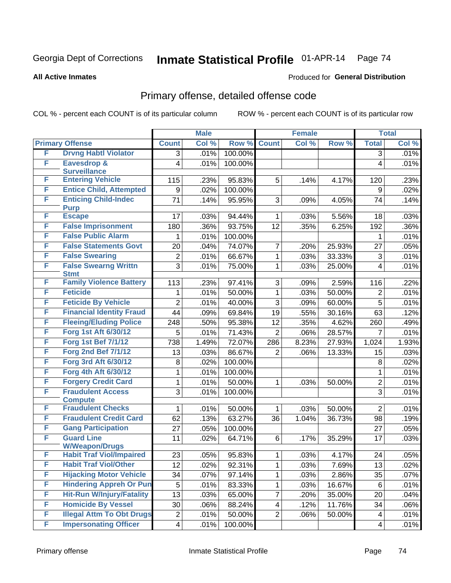**All Active Inmates**

#### Produced for **General Distribution**

## Primary offense, detailed offense code

|   |                                                          |                         | <b>Male</b> |         |                | <b>Female</b> |        |                         | <b>Total</b> |
|---|----------------------------------------------------------|-------------------------|-------------|---------|----------------|---------------|--------|-------------------------|--------------|
|   | <b>Primary Offense</b>                                   | <b>Count</b>            | Col %       | Row %   | <b>Count</b>   | Col %         | Row %  | <b>Total</b>            | Col %        |
| F | <b>Drvng Habtl Violator</b>                              | $\overline{3}$          | .01%        | 100.00% |                |               |        | $\overline{3}$          | .01%         |
| F | <b>Eavesdrop &amp;</b>                                   | 4                       | .01%        | 100.00% |                |               |        | 4                       | .01%         |
|   | <b>Surveillance</b>                                      |                         |             |         |                |               |        |                         |              |
| F | <b>Entering Vehicle</b>                                  | 115                     | .23%        | 95.83%  | 5              | .14%          | 4.17%  | 120                     | .23%         |
| F | <b>Entice Child, Attempted</b>                           | 9                       | .02%        | 100.00% |                |               |        | 9                       | .02%         |
| F | <b>Enticing Child-Indec</b><br><b>Purp</b>               | 71                      | .14%        | 95.95%  | 3              | .09%          | 4.05%  | 74                      | .14%         |
| F | <b>Escape</b>                                            | 17                      | .03%        | 94.44%  | $\mathbf{1}$   | .03%          | 5.56%  | 18                      | .03%         |
| F | <b>False Imprisonment</b>                                | 180                     | .36%        | 93.75%  | 12             | .35%          | 6.25%  | 192                     | $.36\%$      |
| F | <b>False Public Alarm</b>                                | 1                       | .01%        | 100.00% |                |               |        | 1                       | .01%         |
| F | <b>False Statements Govt</b>                             | 20                      | .04%        | 74.07%  | $\overline{7}$ | .20%          | 25.93% | 27                      | .05%         |
| F | <b>False Swearing</b>                                    | $\overline{2}$          | .01%        | 66.67%  | $\mathbf{1}$   | .03%          | 33.33% | 3                       | .01%         |
| F | <b>False Swearng Writtn</b><br><b>Stmt</b>               | $\overline{3}$          | .01%        | 75.00%  | $\mathbf{1}$   | .03%          | 25.00% | $\overline{4}$          | .01%         |
| F | <b>Family Violence Battery</b>                           | 113                     | .23%        | 97.41%  | 3              | .09%          | 2.59%  | 116                     | .22%         |
| F | <b>Feticide</b>                                          | 1                       | .01%        | 50.00%  | $\mathbf{1}$   | .03%          | 50.00% | $\overline{2}$          | .01%         |
| F | <b>Feticide By Vehicle</b>                               | $\overline{2}$          | .01%        | 40.00%  | $\overline{3}$ | .09%          | 60.00% | 5                       | .01%         |
| F | <b>Financial Identity Fraud</b>                          | 44                      | .09%        | 69.84%  | 19             | .55%          | 30.16% | 63                      | .12%         |
| F | <b>Fleeing/Eluding Police</b>                            | 248                     | .50%        | 95.38%  | 12             | .35%          | 4.62%  | 260                     | .49%         |
| F | Forg 1st Aft 6/30/12                                     | 5                       | .01%        | 71.43%  | $\overline{2}$ | .06%          | 28.57% | $\overline{7}$          | .01%         |
| F | <b>Forg 1st Bef 7/1/12</b>                               | 738                     | 1.49%       | 72.07%  | 286            | 8.23%         | 27.93% | 1,024                   | 1.93%        |
| F | <b>Forg 2nd Bef 7/1/12</b>                               | 13                      | .03%        | 86.67%  | $\overline{2}$ | .06%          | 13.33% | 15                      | .03%         |
| F | Forg 3rd Aft 6/30/12                                     | 8                       | .02%        | 100.00% |                |               |        | 8                       | .02%         |
| F | Forg 4th Aft 6/30/12                                     | 1                       | .01%        | 100.00% |                |               |        | $\mathbf{1}$            | .01%         |
| F | <b>Forgery Credit Card</b>                               | 1                       | .01%        | 50.00%  | $\mathbf{1}$   | .03%          | 50.00% | $\overline{2}$          | .01%         |
| F | <b>Fraudulent Access</b>                                 | 3                       | .01%        | 100.00% |                |               |        | 3                       | .01%         |
|   | <b>Compute</b>                                           |                         |             |         |                |               |        |                         |              |
| F | <b>Fraudulent Checks</b>                                 | 1                       | .01%        | 50.00%  | $\mathbf{1}$   | .03%          | 50.00% | $\overline{2}$          | .01%         |
| F | <b>Fraudulent Credit Card</b>                            | 62                      | .13%        | 63.27%  | 36             | 1.04%         | 36.73% | 98                      | .19%         |
| F | <b>Gang Participation</b>                                | 27                      | .05%        | 100.00% |                |               |        | 27                      | .05%         |
| F | <b>Guard Line</b>                                        | 11                      | .02%        | 64.71%  | 6              | .17%          | 35.29% | 17                      | .03%         |
| F | <b>W/Weapon/Drugs</b><br><b>Habit Traf Viol/Impaired</b> | 23                      | .05%        | 95.83%  | 1 <sup>1</sup> | .03%          | 4.17%  | 24                      | .05%         |
| F | <b>Habit Traf Viol/Other</b>                             | 12                      | .02%        | 92.31%  | $\mathbf 1$    | .03%          | 7.69%  | 13                      | .02%         |
| F | <b>Hijacking Motor Vehicle</b>                           | 34                      | .07%        | 97.14%  | $\mathbf{1}$   | .03%          | 2.86%  | 35                      | .07%         |
| F | <b>Hindering Appreh Or Pun</b>                           | 5                       | .01%        | 83.33%  | $\mathbf 1$    | .03%          | 16.67% | 6                       | .01%         |
| F | <b>Hit-Run W/Injury/Fatality</b>                         | 13                      | .03%        | 65.00%  | $\overline{7}$ | .20%          | 35.00% | 20                      | .04%         |
| F | <b>Homicide By Vessel</b>                                | 30                      | .06%        | 88.24%  | 4              | .12%          | 11.76% | 34                      | .06%         |
| F | <b>Illegal Attm To Obt Drugs</b>                         | $\boldsymbol{2}$        | .01%        | 50.00%  | $\overline{2}$ | .06%          | 50.00% | $\overline{\mathbf{4}}$ | .01%         |
| F | <b>Impersonating Officer</b>                             | $\overline{\mathbf{4}}$ | .01%        | 100.00% |                |               |        | $\overline{4}$          | .01%         |
|   |                                                          |                         |             |         |                |               |        |                         |              |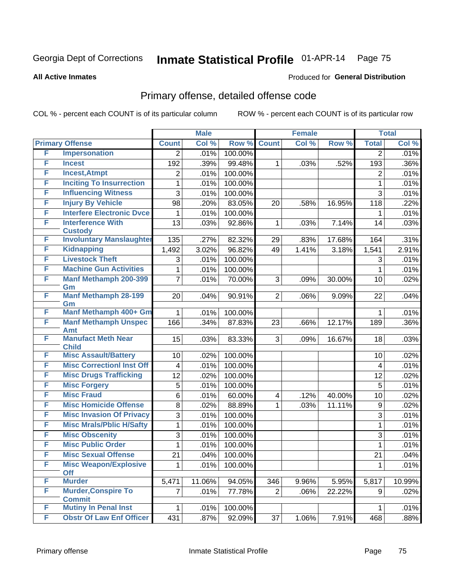#### **All Active Inmates**

#### Produced for **General Distribution**

## Primary offense, detailed offense code

|   |                                            |                         | <b>Male</b> |                  |                | <b>Female</b> |        |                  | <b>Total</b> |
|---|--------------------------------------------|-------------------------|-------------|------------------|----------------|---------------|--------|------------------|--------------|
|   | <b>Primary Offense</b>                     | <b>Count</b>            | Col %       | Row <sup>%</sup> | <b>Count</b>   | Col %         | Row %  | <b>Total</b>     | Col %        |
| F | <b>Impersonation</b>                       | $\overline{2}$          | .01%        | 100.00%          |                |               |        | 2                | .01%         |
| F | <b>Incest</b>                              | 192                     | .39%        | 99.48%           | 1              | .03%          | .52%   | 193              | .36%         |
| F | <b>Incest, Atmpt</b>                       | 2                       | .01%        | 100.00%          |                |               |        | $\overline{2}$   | .01%         |
| F | <b>Inciting To Insurrection</b>            | 1                       | .01%        | 100.00%          |                |               |        | 1                | .01%         |
| F | <b>Influencing Witness</b>                 | 3                       | .01%        | 100.00%          |                |               |        | 3                | .01%         |
| F | <b>Injury By Vehicle</b>                   | 98                      | .20%        | 83.05%           | 20             | .58%          | 16.95% | 118              | .22%         |
| F | <b>Interfere Electronic Dvce</b>           | 1                       | .01%        | 100.00%          |                |               |        | 1                | .01%         |
| F | <b>Interference With</b><br><b>Custody</b> | 13                      | .03%        | 92.86%           | 1              | .03%          | 7.14%  | 14               | .03%         |
| F | <b>Involuntary Manslaughter</b>            | 135                     | .27%        | 82.32%           | 29             | .83%          | 17.68% | 164              | .31%         |
| F | <b>Kidnapping</b>                          | 1,492                   | 3.02%       | 96.82%           | 49             | 1.41%         | 3.18%  | 1,541            | 2.91%        |
| F | <b>Livestock Theft</b>                     | 3                       | .01%        | 100.00%          |                |               |        | 3                | .01%         |
| F | <b>Machine Gun Activities</b>              | 1                       | .01%        | 100.00%          |                |               |        | 1                | .01%         |
| F | <b>Manf Methamph 200-399</b><br>Gm         | $\overline{7}$          | .01%        | 70.00%           | 3              | .09%          | 30.00% | 10               | .02%         |
| F | <b>Manf Methamph 28-199</b><br>Gm          | 20                      | .04%        | 90.91%           | $\overline{2}$ | .06%          | 9.09%  | 22               | .04%         |
| F | Manf Methamph 400+ Gm                      | 1                       | .01%        | 100.00%          |                |               |        | 1                | .01%         |
| F | <b>Manf Methamph Unspec</b>                | 166                     | .34%        | 87.83%           | 23             | .66%          | 12.17% | 189              | .36%         |
| F | <b>Amt</b><br><b>Manufact Meth Near</b>    |                         |             |                  |                |               |        |                  |              |
|   | <b>Child</b>                               | 15                      | .03%        | 83.33%           | 3              | .09%          | 16.67% | 18               | .03%         |
| F | <b>Misc Assault/Battery</b>                | 10                      | .02%        | 100.00%          |                |               |        | 10               | .02%         |
| F | <b>Misc Correctionl Inst Off</b>           | $\overline{\mathbf{4}}$ | .01%        | 100.00%          |                |               |        | 4                | .01%         |
| F | <b>Misc Drugs Trafficking</b>              | 12                      | .02%        | 100.00%          |                |               |        | 12               | .02%         |
| F | <b>Misc Forgery</b>                        | 5                       | .01%        | 100.00%          |                |               |        | 5                | .01%         |
| F | <b>Misc Fraud</b>                          | 6                       | .01%        | 60.00%           | 4              | .12%          | 40.00% | 10               | .02%         |
| F | <b>Misc Homicide Offense</b>               | 8                       | .02%        | 88.89%           | 1              | .03%          | 11.11% | $\boldsymbol{9}$ | .02%         |
| F | <b>Misc Invasion Of Privacy</b>            | 3                       | .01%        | 100.00%          |                |               |        | 3                | .01%         |
| F | <b>Misc Mrals/Pblic H/Safty</b>            | 1                       | .01%        | 100.00%          |                |               |        | 1                | .01%         |
| F | <b>Misc Obscenity</b>                      | 3                       | .01%        | 100.00%          |                |               |        | 3                | .01%         |
| F | <b>Misc Public Order</b>                   | 1                       | .01%        | 100.00%          |                |               |        | 1                | .01%         |
| F | <b>Misc Sexual Offense</b>                 | 21                      | .04%        | 100.00%          |                |               |        | 21               | .04%         |
| F | <b>Misc Weapon/Explosive</b><br><b>Off</b> | 1                       | .01%        | 100.00%          |                |               |        | 1                | .01%         |
| F | <b>Murder</b>                              | 5,471                   | 11.06%      | 94.05%           | 346            | 9.96%         | 5.95%  | 5,817            | 10.99%       |
| F | <b>Murder, Conspire To</b>                 | 7                       | .01%        | 77.78%           | $\overline{2}$ | .06%          | 22.22% | 9                | .02%         |
|   | <b>Commit</b>                              |                         |             |                  |                |               |        |                  |              |
| F | <b>Mutiny In Penal Inst</b>                | 1                       | .01%        | 100.00%          |                |               |        | $\mathbf 1$      | .01%         |
| F | <b>Obstr Of Law Enf Officer</b>            | 431                     | .87%        | 92.09%           | 37             | 1.06%         | 7.91%  | 468              | .88%         |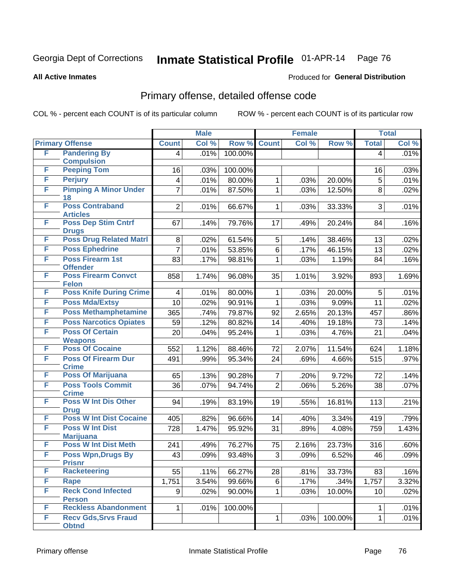**All Active Inmates**

#### Produced for **General Distribution**

## Primary offense, detailed offense code

|   |                                             |                         | <b>Male</b>         |         |                | <b>Female</b> |         |                | <b>Total</b> |
|---|---------------------------------------------|-------------------------|---------------------|---------|----------------|---------------|---------|----------------|--------------|
|   | <b>Primary Offense</b>                      | <b>Count</b>            | Col %               | Row %   | <b>Count</b>   | Col %         | Row %   | <b>Total</b>   | Col %        |
| F | <b>Pandering By</b>                         | 4                       | .01%                | 100.00% |                |               |         | $\overline{4}$ | .01%         |
| F | <b>Compulsion</b><br><b>Peeping Tom</b>     |                         |                     |         |                |               |         |                |              |
| F |                                             | 16                      | .03%                | 100.00% |                |               |         | 16             | .03%         |
|   | <b>Perjury</b>                              | $\overline{\mathbf{4}}$ | .01%                | 80.00%  | $\mathbf 1$    | .03%          | 20.00%  | 5              | .01%         |
| F | <b>Pimping A Minor Under</b><br>18          | $\overline{7}$          | .01%                | 87.50%  | $\mathbf{1}$   | .03%          | 12.50%  | 8              | .02%         |
| F | <b>Poss Contraband</b><br><b>Articles</b>   | $\overline{2}$          | .01%                | 66.67%  | 1 <sup>1</sup> | .03%          | 33.33%  | 3              | .01%         |
| F | <b>Poss Dep Stim Cntrf</b><br><b>Drugs</b>  | 67                      | .14%                | 79.76%  | 17             | .49%          | 20.24%  | 84             | .16%         |
| F | <b>Poss Drug Related Matri</b>              | 8                       | .02%                | 61.54%  | 5              | .14%          | 38.46%  | 13             | .02%         |
| F | <b>Poss Ephedrine</b>                       | $\overline{7}$          | .01%                | 53.85%  | 6              | .17%          | 46.15%  | 13             | .02%         |
| F | Poss Firearm 1st<br><b>Offender</b>         | 83                      | .17%                | 98.81%  | $\mathbf{1}$   | .03%          | 1.19%   | 84             | .16%         |
| F | <b>Poss Firearm Convct</b><br><b>Felon</b>  | 858                     | $\overline{1.74\%}$ | 96.08%  | 35             | 1.01%         | 3.92%   | 893            | 1.69%        |
| F | <b>Poss Knife During Crime</b>              | $\overline{\mathbf{4}}$ | .01%                | 80.00%  | $\mathbf{1}$   | .03%          | 20.00%  | 5              | .01%         |
| F | <b>Poss Mda/Extsy</b>                       | 10                      | .02%                | 90.91%  | $\mathbf{1}$   | .03%          | 9.09%   | 11             | .02%         |
| F | <b>Poss Methamphetamine</b>                 | 365                     | .74%                | 79.87%  | 92             | 2.65%         | 20.13%  | 457            | $.86\%$      |
| F | <b>Poss Narcotics Opiates</b>               | 59                      | .12%                | 80.82%  | 14             | .40%          | 19.18%  | 73             | .14%         |
| F | <b>Poss Of Certain</b>                      | 20                      | .04%                | 95.24%  | 1              | .03%          | 4.76%   | 21             | .04%         |
|   | <b>Weapons</b>                              |                         |                     |         |                |               |         |                |              |
| F | <b>Poss Of Cocaine</b>                      | 552                     | 1.12%               | 88.46%  | 72             | 2.07%         | 11.54%  | 624            | 1.18%        |
| F | <b>Poss Of Firearm Dur</b><br><b>Crime</b>  | 491                     | .99%                | 95.34%  | 24             | .69%          | 4.66%   | 515            | $.97\%$      |
| F | <b>Poss Of Marijuana</b>                    | 65                      | .13%                | 90.28%  | $\overline{7}$ | .20%          | 9.72%   | 72             | .14%         |
| F | <b>Poss Tools Commit</b><br><b>Crime</b>    | 36                      | .07%                | 94.74%  | $\overline{2}$ | .06%          | 5.26%   | 38             | .07%         |
| F | <b>Poss W Int Dis Other</b><br><b>Drug</b>  | 94                      | .19%                | 83.19%  | 19             | .55%          | 16.81%  | 113            | .21%         |
| F | <b>Poss W Int Dist Cocaine</b>              | 405                     | .82%                | 96.66%  | 14             | .40%          | 3.34%   | 419            | .79%         |
| F | <b>Poss W Int Dist</b>                      | 728                     | 1.47%               | 95.92%  | 31             | .89%          | 4.08%   | 759            | 1.43%        |
|   | <b>Marijuana</b>                            |                         |                     |         |                |               |         |                |              |
| F | <b>Poss W Int Dist Meth</b>                 | 241                     | .49%                | 76.27%  | 75             | 2.16%         | 23.73%  | 316            | .60%         |
| F | <b>Poss Wpn, Drugs By</b><br><b>Prisnr</b>  | 43                      | .09%                | 93.48%  | 3              | .09%          | 6.52%   | 46             | .09%         |
| F | <b>Racketeering</b>                         | 55                      | .11%                | 66.27%  | 28             | .81%          | 33.73%  | 83             | .16%         |
| F | <b>Rape</b>                                 | 1,751                   | 3.54%               | 99.66%  | 6              | .17%          | .34%    | 1,757          | 3.32%        |
| F | <b>Reck Cond Infected</b>                   | 9                       | .02%                | 90.00%  | $\mathbf 1$    | .03%          | 10.00%  | 10             | .02%         |
|   | <b>Person</b>                               |                         |                     |         |                |               |         |                |              |
| F | <b>Reckless Abandonment</b>                 | $\mathbf{1}$            | .01%                | 100.00% |                |               |         | 1.             | .01%         |
| F | <b>Recv Gds, Srvs Fraud</b><br><b>Obtnd</b> |                         |                     |         | $\mathbf{1}$   | .03%          | 100.00% | 1              | .01%         |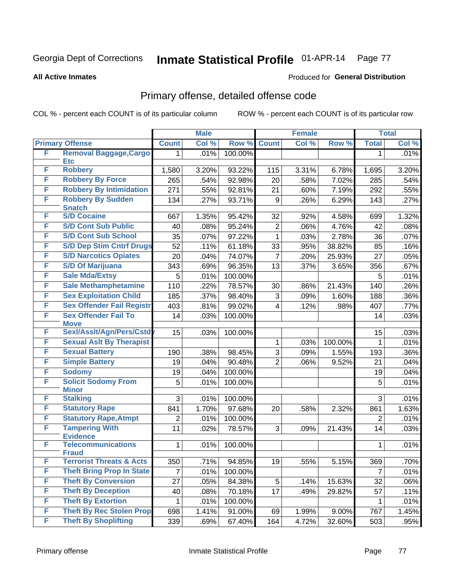**All Active Inmates**

#### Produced for **General Distribution**

## Primary offense, detailed offense code

|    |                                            |                | <b>Male</b> |         |                | <b>Female</b> |         |              | <b>Total</b> |
|----|--------------------------------------------|----------------|-------------|---------|----------------|---------------|---------|--------------|--------------|
|    | <b>Primary Offense</b>                     | <b>Count</b>   | Col %       | Row %   | <b>Count</b>   | Col %         | Row %   | <b>Total</b> | Col %        |
| F  | <b>Removal Baggage, Cargo</b>              | 1              | .01%        | 100.00% |                |               |         | 1            | .01%         |
| F  | <b>Etc</b><br><b>Robbery</b>               |                |             |         |                |               |         |              |              |
| F  | <b>Robbery By Force</b>                    | 1,580          | 3.20%       | 93.22%  | 115            | 3.31%         | 6.78%   | 1,695        | 3.20%        |
| F  |                                            | 265            | .54%        | 92.98%  | 20             | .58%          | 7.02%   | 285          | .54%         |
|    | <b>Robbery By Intimidation</b>             | 271            | .55%        | 92.81%  | 21             | .60%          | 7.19%   | 292          | .55%         |
| F  | <b>Robbery By Sudden</b><br><b>Snatch</b>  | 134            | .27%        | 93.71%  | 9              | .26%          | 6.29%   | 143          | .27%         |
| F  | <b>S/D Cocaine</b>                         | 667            | 1.35%       | 95.42%  | 32             | .92%          | 4.58%   | 699          | 1.32%        |
| F  | <b>S/D Cont Sub Public</b>                 | 40             | .08%        | 95.24%  | $\overline{2}$ | .06%          | 4.76%   | 42           | .08%         |
| F  | <b>S/D Cont Sub School</b>                 | 35             | .07%        | 97.22%  | 1              | .03%          | 2.78%   | 36           | .07%         |
| F  | <b>S/D Dep Stim Cntrf Drugs</b>            | 52             | .11%        | 61.18%  | 33             | .95%          | 38.82%  | 85           | .16%         |
| F  | <b>S/D Narcotics Opiates</b>               | 20             | .04%        | 74.07%  | 7              | .20%          | 25.93%  | 27           | .05%         |
| F  | <b>S/D Of Marijuana</b>                    | 343            | .69%        | 96.35%  | 13             | .37%          | 3.65%   | 356          | .67%         |
| F  | <b>Sale Mda/Extsy</b>                      | 5              | .01%        | 100.00% |                |               |         | 5            | .01%         |
| F  | <b>Sale Methamphetamine</b>                | 110            | .22%        | 78.57%  | 30             | .86%          | 21.43%  | 140          | .26%         |
| F  | <b>Sex Exploitation Child</b>              | 185            | .37%        | 98.40%  | 3              | .09%          | 1.60%   | 188          | .36%         |
| F  | <b>Sex Offender Fail Registr</b>           | 403            | .81%        | 99.02%  | 4              | .12%          | .98%    | 407          | .77%         |
| F  | <b>Sex Offender Fail To</b>                | 14             | .03%        | 100.00% |                |               |         | 14           | .03%         |
| F  | <b>Move</b><br>Sexl/Asslt/Agn/Pers/Cstd    |                |             |         |                |               |         |              |              |
| F  | <b>Sexual Aslt By Therapist</b>            | 15             | .03%        | 100.00% |                |               |         | 15           | .03%         |
| F  | <b>Sexual Battery</b>                      |                |             |         | 1              | .03%          | 100.00% | 1            | .01%         |
| F  |                                            | 190            | .38%        | 98.45%  | 3              | .09%          | 1.55%   | 193          | .36%         |
| F  | <b>Simple Battery</b>                      | 19             | .04%        | 90.48%  | $\overline{2}$ | .06%          | 9.52%   | 21           | .04%         |
|    | <b>Sodomy</b>                              | 19             | .04%        | 100.00% |                |               |         | 19           | .04%         |
| F  | <b>Solicit Sodomy From</b><br><b>Minor</b> | 5              | .01%        | 100.00% |                |               |         | 5            | .01%         |
| F  | <b>Stalking</b>                            | 3              | .01%        | 100.00% |                |               |         | 3            | .01%         |
| F  | <b>Statutory Rape</b>                      | 841            | 1.70%       | 97.68%  | 20             | .58%          | 2.32%   | 861          | 1.63%        |
| F  | <b>Statutory Rape, Atmpt</b>               | $\overline{2}$ | .01%        | 100.00% |                |               |         | 2            | .01%         |
| F  | <b>Tampering With</b>                      | 11             | .02%        | 78.57%  | 3              | .09%          | 21.43%  | 14           | .03%         |
|    | <b>Evidence</b>                            |                |             |         |                |               |         |              |              |
| F  | <b>Telecommunications</b><br><b>Fraud</b>  | 1              | .01%        | 100.00% |                |               |         | 1            | .01%         |
| Þ. | <b>Terrorist Threats &amp; Acts</b>        | 350            | .71%        | 94.85%  | 19             | .55%          | 5.15%   | 369          | .70%         |
| F  | <b>Theft Bring Prop In State</b>           | $\overline{7}$ | .01%        | 100.00% |                |               |         | 7            | .01%         |
| F  | <b>Theft By Conversion</b>                 | 27             | .05%        | 84.38%  | 5              | .14%          | 15.63%  | 32           | .06%         |
| F  | <b>Theft By Deception</b>                  | 40             | .08%        | 70.18%  | 17             | .49%          | 29.82%  | 57           | .11%         |
| F  | <b>Theft By Extortion</b>                  | 1              | .01%        | 100.00% |                |               |         | 1            | .01%         |
| F  | <b>Theft By Rec Stolen Prop</b>            | 698            | 1.41%       | 91.00%  | 69             | 1.99%         | 9.00%   | 767          | 1.45%        |
| F  | <b>Theft By Shoplifting</b>                | 339            | .69%        | 67.40%  | 164            | 4.72%         | 32.60%  | 503          | .95%         |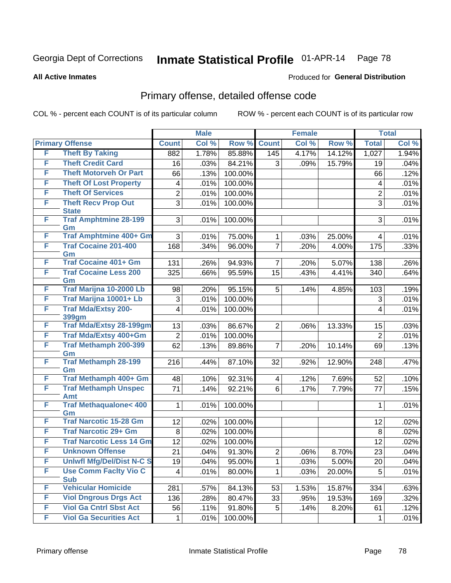**All Active Inmates**

#### Produced for **General Distribution**

## Primary offense, detailed offense code

|        |                                            |                 | <b>Male</b> |         |                | <b>Female</b> |        |                | <b>Total</b> |
|--------|--------------------------------------------|-----------------|-------------|---------|----------------|---------------|--------|----------------|--------------|
|        | <b>Primary Offense</b>                     | <b>Count</b>    | Col %       | Row %   | <b>Count</b>   | Col %         | Row %  | <b>Total</b>   | Col %        |
| F      | <b>Theft By Taking</b>                     | 882             | 1.78%       | 85.88%  | 145            | 4.17%         | 14.12% | 1,027          | 1.94%        |
| F      | <b>Theft Credit Card</b>                   | 16              | .03%        | 84.21%  | 3              | .09%          | 15.79% | 19             | .04%         |
| F      | <b>Theft Motorveh Or Part</b>              | 66              | .13%        | 100.00% |                |               |        | 66             | .12%         |
| F      | <b>Theft Of Lost Property</b>              | 4               | .01%        | 100.00% |                |               |        | 4              | .01%         |
| F      | <b>Theft Of Services</b>                   | $\overline{2}$  | .01%        | 100.00% |                |               |        | $\overline{2}$ | .01%         |
| F      | <b>Theft Recv Prop Out</b><br><b>State</b> | $\overline{3}$  | .01%        | 100.00% |                |               |        | $\overline{3}$ | .01%         |
| F      | <b>Traf Amphtmine 28-199</b><br>Gm         | 3               | .01%        | 100.00% |                |               |        | 3              | .01%         |
| F      | <b>Traf Amphtmine 400+ Gm</b>              | 3               | .01%        | 75.00%  | 1              | .03%          | 25.00% | 4              | .01%         |
| F      | <b>Traf Cocaine 201-400</b><br>Gm          | 168             | .34%        | 96.00%  | $\overline{7}$ | .20%          | 4.00%  | 175            | .33%         |
| F      | <b>Traf Cocaine 401+ Gm</b>                | 131             | .26%        | 94.93%  | $\overline{7}$ | .20%          | 5.07%  | 138            | .26%         |
| F      | <b>Traf Cocaine Less 200</b><br>Gm         | 325             | .66%        | 95.59%  | 15             | .43%          | 4.41%  | 340            | .64%         |
| F      | Traf Marijna 10-2000 Lb                    | 98              | .20%        | 95.15%  | 5              | .14%          | 4.85%  | 103            | .19%         |
| F      | Traf Marijna 10001+ Lb                     | 3               | .01%        | 100.00% |                |               |        | 3              | .01%         |
| F      | <b>Traf Mda/Extsy 200-</b>                 | 4               | .01%        | 100.00% |                |               |        | 4              | .01%         |
|        | 399gm                                      |                 |             |         |                |               |        |                |              |
| F<br>F | Traf Mda/Extsy 28-199gm                    | 13              | .03%        | 86.67%  | $\overline{2}$ | .06%          | 13.33% | 15             | .03%         |
|        | Traf Mda/Extsy 400+Gm                      | $\overline{2}$  | .01%        | 100.00% |                |               |        | $\overline{2}$ | .01%         |
| F      | <b>Traf Methamph 200-399</b><br>Gm         | 62              | .13%        | 89.86%  | 7              | .20%          | 10.14% | 69             | .13%         |
| F      | <b>Traf Methamph 28-199</b><br>Gm          | 216             | $-44%$      | 87.10%  | 32             | .92%          | 12.90% | 248            | .47%         |
| F      | Traf Methamph 400+ Gm                      | 48              | .10%        | 92.31%  | 4              | .12%          | 7.69%  | 52             | .10%         |
| F      | <b>Traf Methamph Unspec</b><br><b>Amt</b>  | 71              | .14%        | 92.21%  | 6              | .17%          | 7.79%  | 77             | .15%         |
| F      | <b>Traf Methaqualone&lt; 400</b><br>Gm     | 1               | .01%        | 100.00% |                |               |        | 1              | .01%         |
| F      | <b>Traf Narcotic 15-28 Gm</b>              | 12              | .02%        | 100.00% |                |               |        | 12             | .02%         |
| F      | <b>Traf Narcotic 29+ Gm</b>                | 8               | .02%        | 100.00% |                |               |        | 8              | .02%         |
| F      | <b>Traf Narcotic Less 14 Gm</b>            | 12              | .02%        | 100.00% |                |               |        | 12             | .02%         |
| F      | <b>Unknown Offense</b>                     | 21              | .04%        | 91.30%  | $\overline{2}$ | .06%          | 8.70%  | 23             | .04%         |
| F      | <b>Uniwfl Mfg/Del/Dist N-C S</b>           | $\overline{19}$ | .04%        | 95.00%  | $\mathbf{1}$   | .03%          | 5.00%  | 20             | .04%         |
| F      | <b>Use Comm Facity Vio C</b><br><b>Sub</b> | 4               | .01%        | 80.00%  | 1              | .03%          | 20.00% | 5              | .01%         |
| F      | <b>Vehicular Homicide</b>                  | 281             | .57%        | 84.13%  | 53             | 1.53%         | 15.87% | 334            | .63%         |
| F      | <b>Viol Dngrous Drgs Act</b>               | 136             | .28%        | 80.47%  | 33             | .95%          | 19.53% | 169            | .32%         |
| F      | <b>Viol Ga Cntrl Sbst Act</b>              | 56              | .11%        | 91.80%  | 5              | .14%          | 8.20%  | 61             | .12%         |
| F      | <b>Viol Ga Securities Act</b>              | $\mathbf 1$     | .01%        | 100.00% |                |               |        | $\mathbf 1$    | .01%         |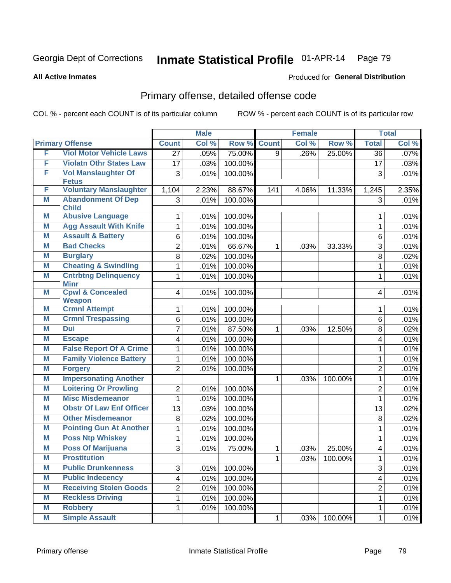**All Active Inmates**

#### Produced for **General Distribution**

## Primary offense, detailed offense code

|   |                                              |                 | <b>Male</b> |         |                | <b>Female</b> |         |                         | <b>Total</b> |
|---|----------------------------------------------|-----------------|-------------|---------|----------------|---------------|---------|-------------------------|--------------|
|   | <b>Primary Offense</b>                       | <b>Count</b>    | Col %       | Row %   | <b>Count</b>   | Col %         | Row %   | <b>Total</b>            | Col %        |
| F | <b>Viol Motor Vehicle Laws</b>               | $\overline{27}$ | .05%        | 75.00%  | $\overline{9}$ | .26%          | 25.00%  | $\overline{36}$         | .07%         |
| F | <b>Violatn Othr States Law</b>               | 17              | .03%        | 100.00% |                |               |         | 17                      | .03%         |
| F | <b>Vol Manslaughter Of</b>                   | 3               | .01%        | 100.00% |                |               |         | 3                       | .01%         |
|   | <b>Fetus</b>                                 |                 |             |         |                |               |         |                         |              |
| F | <b>Voluntary Manslaughter</b>                | 1,104           | 2.23%       | 88.67%  | 141            | 4.06%         | 11.33%  | 1,245                   | 2.35%        |
| Μ | <b>Abandonment Of Dep</b><br><b>Child</b>    | 3               | .01%        | 100.00% |                |               |         | 3                       | .01%         |
| M | <b>Abusive Language</b>                      | 1               | .01%        | 100.00% |                |               |         | 1                       | .01%         |
| Μ | <b>Agg Assault With Knife</b>                | 1               | .01%        | 100.00% |                |               |         | 1                       | .01%         |
| Μ | <b>Assault &amp; Battery</b>                 | 6               | .01%        | 100.00% |                |               |         | 6                       | .01%         |
| M | <b>Bad Checks</b>                            | $\overline{c}$  | .01%        | 66.67%  | $\mathbf{1}$   | .03%          | 33.33%  | 3                       | .01%         |
| M | <b>Burglary</b>                              | 8               | .02%        | 100.00% |                |               |         | 8                       | .02%         |
| M | <b>Cheating &amp; Swindling</b>              | $\mathbf{1}$    | .01%        | 100.00% |                |               |         | $\mathbf{1}$            | .01%         |
| M | <b>Cntrbtng Delinquency</b>                  | $\mathbf{1}$    | .01%        | 100.00% |                |               |         | 1                       | .01%         |
|   | <b>Minr</b>                                  |                 |             |         |                |               |         |                         |              |
| Μ | <b>Cpwl &amp; Concealed</b><br><b>Weapon</b> | 4               | .01%        | 100.00% |                |               |         | $\overline{4}$          | .01%         |
| M | <b>Crmnl Attempt</b>                         | 1               | .01%        | 100.00% |                |               |         | 1                       | .01%         |
| Μ | <b>Crmnl Trespassing</b>                     | 6               | .01%        | 100.00% |                |               |         | 6                       | .01%         |
| M | <b>Dui</b>                                   | 7               | .01%        | 87.50%  | $\mathbf{1}$   | .03%          | 12.50%  | 8                       | .02%         |
| M | <b>Escape</b>                                | 4               | .01%        | 100.00% |                |               |         | $\overline{\mathbf{4}}$ | .01%         |
| M | <b>False Report Of A Crime</b>               | 1               | .01%        | 100.00% |                |               |         | 1                       | .01%         |
| Μ | <b>Family Violence Battery</b>               | 1               | .01%        | 100.00% |                |               |         | 1                       | .01%         |
| M | <b>Forgery</b>                               | $\overline{2}$  | .01%        | 100.00% |                |               |         | $\overline{2}$          | .01%         |
| M | <b>Impersonating Another</b>                 |                 |             |         | $\mathbf{1}$   | .03%          | 100.00% | $\mathbf{1}$            | .01%         |
| M | <b>Loitering Or Prowling</b>                 | 2               | .01%        | 100.00% |                |               |         | $\overline{2}$          | .01%         |
| M | <b>Misc Misdemeanor</b>                      | 1               | .01%        | 100.00% |                |               |         | 1                       | .01%         |
| Μ | <b>Obstr Of Law Enf Officer</b>              | 13              | .03%        | 100.00% |                |               |         | 13                      | .02%         |
| M | <b>Other Misdemeanor</b>                     | 8               | .02%        | 100.00% |                |               |         | 8                       | .02%         |
| M | <b>Pointing Gun At Another</b>               | 1               | .01%        | 100.00% |                |               |         | 1                       | .01%         |
| M | <b>Poss Ntp Whiskey</b>                      | 1               | .01%        | 100.00% |                |               |         | 1                       | .01%         |
| M | <b>Poss Of Marijuana</b>                     | 3               | .01%        | 75.00%  | 1              | .03%          | 25.00%  | 4                       | .01%         |
| M | <b>Prostitution</b>                          |                 |             |         | $\mathbf{1}$   | .03%          | 100.00% | 1                       | .01%         |
| Μ | <b>Public Drunkenness</b>                    | 3               | .01%        | 100.00% |                |               |         | 3                       | .01%         |
| M | <b>Public Indecency</b>                      | 4               | .01%        | 100.00% |                |               |         | $\overline{\mathbf{4}}$ | .01%         |
| M | <b>Receiving Stolen Goods</b>                | 2               | .01%        | 100.00% |                |               |         | $\overline{2}$          | .01%         |
| M | <b>Reckless Driving</b>                      | $\mathbf{1}$    | .01%        | 100.00% |                |               |         | $\mathbf{1}$            | .01%         |
| M | <b>Robbery</b>                               | 1               | .01%        | 100.00% |                |               |         | 1                       | .01%         |
| M | <b>Simple Assault</b>                        |                 |             |         | $\mathbf{1}$   | .03%          | 100.00% | $\mathbf{1}$            | .01%         |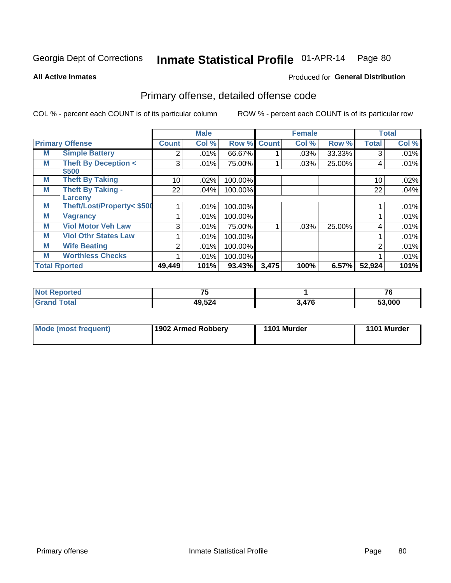**All Active Inmates**

#### Produced for **General Distribution**

## Primary offense, detailed offense code

|   |                                         |                 | <b>Male</b> |                    |       | <b>Female</b> |        |              | <b>Total</b> |
|---|-----------------------------------------|-----------------|-------------|--------------------|-------|---------------|--------|--------------|--------------|
|   | <b>Primary Offense</b>                  | <b>Count</b>    | Col %       | <b>Row % Count</b> |       | Col %         | Row %  | <b>Total</b> | Col %        |
| M | <b>Simple Battery</b>                   | 2               | .01%        | 66.67%             |       | .03%          | 33.33% |              | .01%         |
| M | <b>Theft By Deception &lt;</b><br>\$500 | 3               | .01%        | 75.00%             |       | .03%          | 25.00% | 4            | .01%         |
| M | <b>Theft By Taking</b>                  | 10 <sup>1</sup> | .02%        | 100.00%            |       |               |        | 10           | .02%         |
| M | <b>Theft By Taking -</b><br>Larceny     | 22              | .04%        | 100.00%            |       |               |        | 22           | .04%         |
| M | Theft/Lost/Property< \$500              |                 | .01%        | 100.00%            |       |               |        |              | .01%         |
| M | <b>Vagrancy</b>                         |                 | .01%        | 100.00%            |       |               |        |              | .01%         |
| M | <b>Viol Motor Veh Law</b>               | 3               | .01%        | 75.00%             |       | .03%          | 25.00% | 4            | .01%         |
| M | <b>Viol Othr States Law</b>             |                 | .01%        | 100.00%            |       |               |        |              | .01%         |
| M | <b>Wife Beating</b>                     | $\overline{2}$  | .01%        | 100.00%            |       |               |        | 2            | .01%         |
| M | <b>Worthless Checks</b>                 |                 | .01%        | 100.00%            |       |               |        |              | .01%         |
|   | <b>Total Rported</b>                    | 49,449          | 101%        | 93.43%             | 3,475 | 100%          | 6.57%  | 52,924       | 101%         |

| Reported<br>$\sim$ | $-$    |       | 76     |
|--------------------|--------|-------|--------|
|                    | 49,524 | 3.476 | 53,000 |

| Mode (most frequent) | 1902 Armed Robbery | 1101 Murder | 1101 Murder |
|----------------------|--------------------|-------------|-------------|
|----------------------|--------------------|-------------|-------------|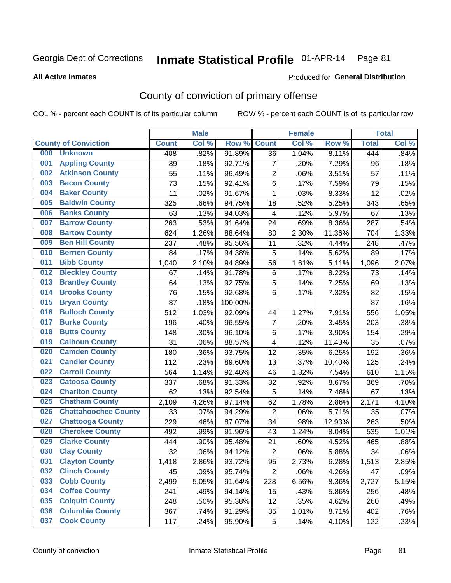#### **All Active Inmates**

#### Produced for **General Distribution**

## County of conviction of primary offense

|                                    |              | <b>Male</b> |         |                         | <b>Female</b> |        |              | <b>Total</b> |
|------------------------------------|--------------|-------------|---------|-------------------------|---------------|--------|--------------|--------------|
| <b>County of Conviction</b>        | <b>Count</b> | Col %       | Row %   | <b>Count</b>            | Col %         | Row %  | <b>Total</b> | Col %        |
| <b>Unknown</b><br>000              | 408          | .82%        | 91.89%  | 36                      | 1.04%         | 8.11%  | 444          | .84%         |
| <b>Appling County</b><br>001       | 89           | .18%        | 92.71%  | $\overline{7}$          | .20%          | 7.29%  | 96           | .18%         |
| <b>Atkinson County</b><br>002      | 55           | .11%        | 96.49%  | $\overline{c}$          | .06%          | 3.51%  | 57           | .11%         |
| <b>Bacon County</b><br>003         | 73           | .15%        | 92.41%  | 6                       | .17%          | 7.59%  | 79           | .15%         |
| <b>Baker County</b><br>004         | 11           | .02%        | 91.67%  | $\mathbf{1}$            | .03%          | 8.33%  | 12           | .02%         |
| <b>Baldwin County</b><br>005       | 325          | .66%        | 94.75%  | 18                      | .52%          | 5.25%  | 343          | .65%         |
| <b>Banks County</b><br>006         | 63           | .13%        | 94.03%  | $\overline{\mathbf{4}}$ | .12%          | 5.97%  | 67           | .13%         |
| <b>Barrow County</b><br>007        | 263          | .53%        | 91.64%  | 24                      | .69%          | 8.36%  | 287          | .54%         |
| <b>Bartow County</b><br>008        | 624          | 1.26%       | 88.64%  | 80                      | 2.30%         | 11.36% | 704          | 1.33%        |
| <b>Ben Hill County</b><br>009      | 237          | .48%        | 95.56%  | 11                      | .32%          | 4.44%  | 248          | .47%         |
| <b>Berrien County</b><br>010       | 84           | .17%        | 94.38%  | 5                       | .14%          | 5.62%  | 89           | .17%         |
| <b>Bibb County</b><br>011          | 1,040        | 2.10%       | 94.89%  | 56                      | 1.61%         | 5.11%  | 1,096        | 2.07%        |
| <b>Bleckley County</b><br>012      | 67           | .14%        | 91.78%  | $\,6$                   | .17%          | 8.22%  | 73           | .14%         |
| <b>Brantley County</b><br>013      | 64           | .13%        | 92.75%  | 5                       | .14%          | 7.25%  | 69           | .13%         |
| <b>Brooks County</b><br>014        | 76           | .15%        | 92.68%  | 6                       | .17%          | 7.32%  | 82           | .15%         |
| <b>Bryan County</b><br>015         | 87           | .18%        | 100.00% |                         |               |        | 87           | .16%         |
| <b>Bulloch County</b><br>016       | 512          | 1.03%       | 92.09%  | 44                      | 1.27%         | 7.91%  | 556          | 1.05%        |
| <b>Burke County</b><br>017         | 196          | .40%        | 96.55%  | $\overline{7}$          | .20%          | 3.45%  | 203          | .38%         |
| <b>Butts County</b><br>018         | 148          | .30%        | 96.10%  | $\,6$                   | .17%          | 3.90%  | 154          | .29%         |
| <b>Calhoun County</b><br>019       | 31           | .06%        | 88.57%  | $\overline{\mathbf{4}}$ | .12%          | 11.43% | 35           | .07%         |
| <b>Camden County</b><br>020        | 180          | .36%        | 93.75%  | 12                      | .35%          | 6.25%  | 192          | .36%         |
| <b>Candler County</b><br>021       | 112          | .23%        | 89.60%  | 13                      | .37%          | 10.40% | 125          | .24%         |
| <b>Carroll County</b><br>022       | 564          | 1.14%       | 92.46%  | 46                      | 1.32%         | 7.54%  | 610          | 1.15%        |
| <b>Catoosa County</b><br>023       | 337          | .68%        | 91.33%  | 32                      | .92%          | 8.67%  | 369          | .70%         |
| <b>Charlton County</b><br>024      | 62           | .13%        | 92.54%  | 5                       | .14%          | 7.46%  | 67           | .13%         |
| <b>Chatham County</b><br>025       | 2,109        | 4.26%       | 97.14%  | 62                      | 1.78%         | 2.86%  | 2,171        | 4.10%        |
| <b>Chattahoochee County</b><br>026 | 33           | .07%        | 94.29%  | $\overline{2}$          | .06%          | 5.71%  | 35           | .07%         |
| <b>Chattooga County</b><br>027     | 229          | .46%        | 87.07%  | 34                      | .98%          | 12.93% | 263          | .50%         |
| <b>Cherokee County</b><br>028      | 492          | .99%        | 91.96%  | 43                      | 1.24%         | 8.04%  | 535          | 1.01%        |
| <b>Clarke County</b><br>029        | 444          | .90%        | 95.48%  | 21                      | .60%          | 4.52%  | 465          | .88%         |
| <b>Clay County</b><br>030          | 32           | .06%        | 94.12%  | $\overline{2}$          | .06%          | 5.88%  | 34           | .06%         |
| 031<br><b>Clayton County</b>       | 1,418        | 2.86%       | 93.72%  | 95                      | 2.73%         | 6.28%  | 1,513        | 2.85%        |
| <b>Clinch County</b><br>032        | 45           | .09%        | 95.74%  | $\overline{2}$          | .06%          | 4.26%  | 47           | .09%         |
| <b>Cobb County</b><br>033          | 2,499        | 5.05%       | 91.64%  | 228                     | 6.56%         | 8.36%  | 2,727        | 5.15%        |
| <b>Coffee County</b><br>034        | 241          | .49%        | 94.14%  | 15                      | .43%          | 5.86%  | 256          | .48%         |
| <b>Colquitt County</b><br>035      | 248          | .50%        | 95.38%  | 12                      | .35%          | 4.62%  | 260          | .49%         |
| <b>Columbia County</b><br>036      | 367          | .74%        | 91.29%  | 35                      | 1.01%         | 8.71%  | 402          | .76%         |
| <b>Cook County</b><br>037          | 117          | .24%        | 95.90%  | $\overline{5}$          | .14%          | 4.10%  | 122          | .23%         |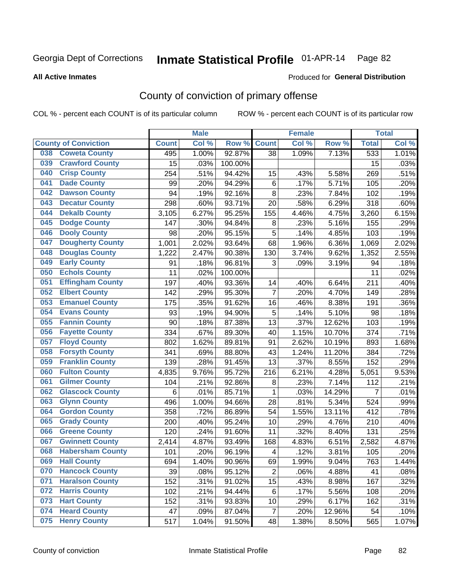#### **All Active Inmates**

### Produced for **General Distribution**

## County of conviction of primary offense

|                                |              | <b>Male</b> |         |                | <b>Female</b> |        |                | <b>Total</b> |
|--------------------------------|--------------|-------------|---------|----------------|---------------|--------|----------------|--------------|
| <b>County of Conviction</b>    | <b>Count</b> | Col %       | Row %   | <b>Count</b>   | Col %         | Row %  | <b>Total</b>   | Col %        |
| <b>Coweta County</b><br>038    | 495          | 1.00%       | 92.87%  | 38             | 1.09%         | 7.13%  | 533            | 1.01%        |
| <b>Crawford County</b><br>039  | 15           | .03%        | 100.00% |                |               |        | 15             | .03%         |
| <b>Crisp County</b><br>040     | 254          | .51%        | 94.42%  | 15             | .43%          | 5.58%  | 269            | .51%         |
| <b>Dade County</b><br>041      | 99           | .20%        | 94.29%  | $\,6$          | .17%          | 5.71%  | 105            | .20%         |
| <b>Dawson County</b><br>042    | 94           | .19%        | 92.16%  | 8              | .23%          | 7.84%  | 102            | .19%         |
| 043<br><b>Decatur County</b>   | 298          | .60%        | 93.71%  | 20             | .58%          | 6.29%  | 318            | .60%         |
| <b>Dekalb County</b><br>044    | 3,105        | 6.27%       | 95.25%  | 155            | 4.46%         | 4.75%  | 3,260          | 6.15%        |
| <b>Dodge County</b><br>045     | 147          | .30%        | 94.84%  | 8              | .23%          | 5.16%  | 155            | .29%         |
| <b>Dooly County</b><br>046     | 98           | .20%        | 95.15%  | 5              | .14%          | 4.85%  | 103            | .19%         |
| 047<br><b>Dougherty County</b> | 1,001        | 2.02%       | 93.64%  | 68             | 1.96%         | 6.36%  | 1,069          | 2.02%        |
| <b>Douglas County</b><br>048   | 1,222        | 2.47%       | 90.38%  | 130            | 3.74%         | 9.62%  | 1,352          | 2.55%        |
| <b>Early County</b><br>049     | 91           | .18%        | 96.81%  | 3              | .09%          | 3.19%  | 94             | .18%         |
| <b>Echols County</b><br>050    | 11           | .02%        | 100.00% |                |               |        | 11             | .02%         |
| 051<br><b>Effingham County</b> | 197          | .40%        | 93.36%  | 14             | .40%          | 6.64%  | 211            | .40%         |
| <b>Elbert County</b><br>052    | 142          | .29%        | 95.30%  | $\overline{7}$ | .20%          | 4.70%  | 149            | .28%         |
| <b>Emanuel County</b><br>053   | 175          | .35%        | 91.62%  | 16             | .46%          | 8.38%  | 191            | .36%         |
| <b>Evans County</b><br>054     | 93           | .19%        | 94.90%  | 5              | .14%          | 5.10%  | 98             | .18%         |
| <b>Fannin County</b><br>055    | 90           | .18%        | 87.38%  | 13             | .37%          | 12.62% | 103            | .19%         |
| <b>Fayette County</b><br>056   | 334          | .67%        | 89.30%  | 40             | 1.15%         | 10.70% | 374            | .71%         |
| <b>Floyd County</b><br>057     | 802          | 1.62%       | 89.81%  | 91             | 2.62%         | 10.19% | 893            | 1.68%        |
| <b>Forsyth County</b><br>058   | 341          | .69%        | 88.80%  | 43             | 1.24%         | 11.20% | 384            | .72%         |
| <b>Franklin County</b><br>059  | 139          | .28%        | 91.45%  | 13             | .37%          | 8.55%  | 152            | .29%         |
| <b>Fulton County</b><br>060    | 4,835        | 9.76%       | 95.72%  | 216            | 6.21%         | 4.28%  | 5,051          | 9.53%        |
| <b>Gilmer County</b><br>061    | 104          | .21%        | 92.86%  | 8              | .23%          | 7.14%  | 112            | .21%         |
| <b>Glascock County</b><br>062  | 6            | .01%        | 85.71%  | $\mathbf{1}$   | .03%          | 14.29% | $\overline{7}$ | .01%         |
| 063<br><b>Glynn County</b>     | 496          | 1.00%       | 94.66%  | 28             | .81%          | 5.34%  | 524            | .99%         |
| <b>Gordon County</b><br>064    | 358          | .72%        | 86.89%  | 54             | 1.55%         | 13.11% | 412            | .78%         |
| <b>Grady County</b><br>065     | 200          | .40%        | 95.24%  | 10             | .29%          | 4.76%  | 210            | .40%         |
| <b>Greene County</b><br>066    | 120          | .24%        | 91.60%  | 11             | .32%          | 8.40%  | 131            | .25%         |
| <b>Gwinnett County</b><br>067  | 2,414        | 4.87%       | 93.49%  | 168            | 4.83%         | 6.51%  | 2,582          | 4.87%        |
| <b>Habersham County</b><br>068 | 101          | .20%        | 96.19%  | 4              | .12%          | 3.81%  | 105            | .20%         |
| 069<br><b>Hall County</b>      | 694          | 1.40%       | 90.96%  | 69             | 1.99%         | 9.04%  | 763            | 1.44%        |
| <b>Hancock County</b><br>070   | 39           | .08%        | 95.12%  | $\overline{2}$ | .06%          | 4.88%  | 41             | .08%         |
| <b>Haralson County</b><br>071  | 152          | .31%        | 91.02%  | 15             | .43%          | 8.98%  | 167            | .32%         |
| 072<br><b>Harris County</b>    | 102          | .21%        | 94.44%  | 6              | .17%          | 5.56%  | 108            | .20%         |
| <b>Hart County</b><br>073      | 152          | .31%        | 93.83%  | 10             | .29%          | 6.17%  | 162            | .31%         |
| <b>Heard County</b><br>074     | 47           | .09%        | 87.04%  | $\overline{7}$ | .20%          | 12.96% | 54             | .10%         |
| <b>Henry County</b><br>075     | 517          | 1.04%       | 91.50%  | 48             | 1.38%         | 8.50%  | 565            | 1.07%        |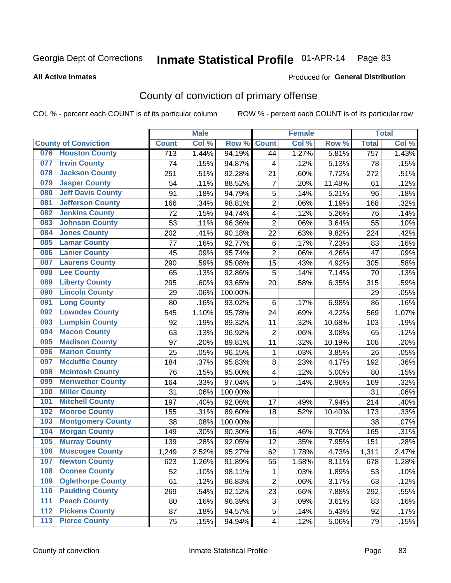**All Active Inmates**

#### Produced for **General Distribution**

## County of conviction of primary offense

|       |                             |                  | <b>Male</b> |         |                | <b>Female</b> |        |              | <b>Total</b> |
|-------|-----------------------------|------------------|-------------|---------|----------------|---------------|--------|--------------|--------------|
|       | <b>County of Conviction</b> | <b>Count</b>     | Col %       | Row %   | <b>Count</b>   | Col %         | Row %  | <b>Total</b> | Col %        |
| 076   | <b>Houston County</b>       | $\overline{713}$ | 1.44%       | 94.19%  | 44             | 1.27%         | 5.81%  | 757          | 1.43%        |
| 077   | <b>Irwin County</b>         | 74               | .15%        | 94.87%  | 4              | .12%          | 5.13%  | 78           | .15%         |
| 078   | <b>Jackson County</b>       | 251              | .51%        | 92.28%  | 21             | .60%          | 7.72%  | 272          | .51%         |
| 079   | <b>Jasper County</b>        | 54               | .11%        | 88.52%  | $\overline{7}$ | .20%          | 11.48% | 61           | .12%         |
| 080   | <b>Jeff Davis County</b>    | 91               | .18%        | 94.79%  | 5              | .14%          | 5.21%  | 96           | .18%         |
| 081   | <b>Jefferson County</b>     | 166              | .34%        | 98.81%  | $\overline{2}$ | .06%          | 1.19%  | 168          | .32%         |
| 082   | <b>Jenkins County</b>       | 72               | .15%        | 94.74%  | 4              | .12%          | 5.26%  | 76           | .14%         |
| 083   | <b>Johnson County</b>       | 53               | .11%        | 96.36%  | $\overline{2}$ | .06%          | 3.64%  | 55           | .10%         |
| 084   | <b>Jones County</b>         | 202              | .41%        | 90.18%  | 22             | .63%          | 9.82%  | 224          | .42%         |
| 085   | <b>Lamar County</b>         | 77               | .16%        | 92.77%  | 6              | .17%          | 7.23%  | 83           | .16%         |
| 086   | <b>Lanier County</b>        | 45               | .09%        | 95.74%  | $\overline{2}$ | .06%          | 4.26%  | 47           | .09%         |
| 087   | <b>Laurens County</b>       | 290              | .59%        | 95.08%  | 15             | .43%          | 4.92%  | 305          | .58%         |
| 088   | <b>Lee County</b>           | 65               | .13%        | 92.86%  | 5              | .14%          | 7.14%  | 70           | .13%         |
| 089   | <b>Liberty County</b>       | 295              | .60%        | 93.65%  | 20             | .58%          | 6.35%  | 315          | .59%         |
| 090   | <b>Lincoln County</b>       | 29               | .06%        | 100.00% |                |               |        | 29           | .05%         |
| 091   | <b>Long County</b>          | 80               | .16%        | 93.02%  | 6              | .17%          | 6.98%  | 86           | .16%         |
| 092   | <b>Lowndes County</b>       | 545              | 1.10%       | 95.78%  | 24             | .69%          | 4.22%  | 569          | 1.07%        |
| 093   | <b>Lumpkin County</b>       | 92               | .19%        | 89.32%  | 11             | .32%          | 10.68% | 103          | .19%         |
| 094   | <b>Macon County</b>         | 63               | .13%        | 96.92%  | $\overline{2}$ | .06%          | 3.08%  | 65           | .12%         |
| 095   | <b>Madison County</b>       | 97               | .20%        | 89.81%  | 11             | .32%          | 10.19% | 108          | .20%         |
| 096   | <b>Marion County</b>        | 25               | .05%        | 96.15%  | $\mathbf{1}$   | .03%          | 3.85%  | 26           | .05%         |
| 097   | <b>Mcduffie County</b>      | 184              | .37%        | 95.83%  | 8              | .23%          | 4.17%  | 192          | .36%         |
| 098   | <b>Mcintosh County</b>      | 76               | .15%        | 95.00%  | 4              | .12%          | 5.00%  | 80           | .15%         |
| 099   | <b>Meriwether County</b>    | 164              | .33%        | 97.04%  | 5              | .14%          | 2.96%  | 169          | .32%         |
| 100   | <b>Miller County</b>        | 31               | .06%        | 100.00% |                |               |        | 31           | .06%         |
| 101   | <b>Mitchell County</b>      | 197              | .40%        | 92.06%  | 17             | .49%          | 7.94%  | 214          | .40%         |
| 102   | <b>Monroe County</b>        | 155              | .31%        | 89.60%  | 18             | .52%          | 10.40% | 173          | .33%         |
| 103   | <b>Montgomery County</b>    | 38               | .08%        | 100.00% |                |               |        | 38           | .07%         |
| 104   | <b>Morgan County</b>        | 149              | .30%        | 90.30%  | 16             | .46%          | 9.70%  | 165          | .31%         |
| 105   | <b>Murray County</b>        | 139              | .28%        | 92.05%  | 12             | .35%          | 7.95%  | 151          | .28%         |
| 106   | <b>Muscogee County</b>      | 1,249            | 2.52%       | 95.27%  | 62             | 1.78%         | 4.73%  | 1,311        | 2.47%        |
| 107   | <b>Newton County</b>        | 623              | 1.26%       | 91.89%  | 55             | 1.58%         | 8.11%  | 678          | 1.28%        |
| 108   | <b>Oconee County</b>        | 52               | .10%        | 98.11%  | 1              | .03%          | 1.89%  | 53           | .10%         |
| 109   | <b>Oglethorpe County</b>    | 61               | .12%        | 96.83%  | $\overline{2}$ | .06%          | 3.17%  | 63           | .12%         |
| 110   | <b>Paulding County</b>      | 269              | .54%        | 92.12%  | 23             | .66%          | 7.88%  | 292          | .55%         |
| 111   | <b>Peach County</b>         | 80               | .16%        | 96.39%  | 3              | .09%          | 3.61%  | 83           | .16%         |
| 112   | <b>Pickens County</b>       | 87               | .18%        | 94.57%  | 5              | .14%          | 5.43%  | 92           | .17%         |
| $113$ | <b>Pierce County</b>        | 75               | .15%        | 94.94%  | 4              | .12%          | 5.06%  | 79           | .15%         |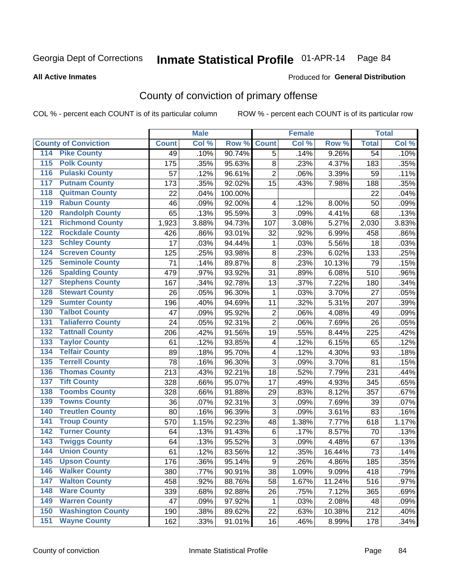Produced for **General Distribution**

#### **All Active Inmates**

## County of conviction of primary offense

|                                          |              | <b>Male</b> |         |                | <b>Female</b> |        |                 | <b>Total</b> |
|------------------------------------------|--------------|-------------|---------|----------------|---------------|--------|-----------------|--------------|
| <b>County of Conviction</b>              | <b>Count</b> | Col %       | Row %   | <b>Count</b>   | Col %         | Row %  | <b>Total</b>    | Col %        |
| <b>Pike County</b><br>114                | 49           | .10%        | 90.74%  | $\overline{5}$ | .14%          | 9.26%  | $\overline{54}$ | .10%         |
| <b>Polk County</b><br>$\overline{115}$   | 175          | .35%        | 95.63%  | 8              | .23%          | 4.37%  | 183             | .35%         |
| <b>Pulaski County</b><br>116             | 57           | .12%        | 96.61%  | $\overline{2}$ | .06%          | 3.39%  | 59              | .11%         |
| <b>Putnam County</b><br>117              | 173          | .35%        | 92.02%  | 15             | .43%          | 7.98%  | 188             | .35%         |
| <b>Quitman County</b><br>118             | 22           | .04%        | 100.00% |                |               |        | 22              | .04%         |
| <b>Rabun County</b><br>119               | 46           | .09%        | 92.00%  | 4              | .12%          | 8.00%  | 50              | .09%         |
| <b>Randolph County</b><br>120            | 65           | .13%        | 95.59%  | 3              | .09%          | 4.41%  | 68              | .13%         |
| <b>Richmond County</b><br>121            | 1,923        | 3.88%       | 94.73%  | 107            | 3.08%         | 5.27%  | 2,030           | 3.83%        |
| <b>Rockdale County</b><br>122            | 426          | .86%        | 93.01%  | 32             | .92%          | 6.99%  | 458             | .86%         |
| <b>Schley County</b><br>123              | 17           | .03%        | 94.44%  | 1              | .03%          | 5.56%  | 18              | .03%         |
| <b>Screven County</b><br>124             | 125          | .25%        | 93.98%  | 8              | .23%          | 6.02%  | 133             | .25%         |
| <b>Seminole County</b><br>125            | 71           | .14%        | 89.87%  | 8              | .23%          | 10.13% | 79              | .15%         |
| <b>Spalding County</b><br>126            | 479          | .97%        | 93.92%  | 31             | .89%          | 6.08%  | 510             | .96%         |
| <b>Stephens County</b><br>127            | 167          | .34%        | 92.78%  | 13             | .37%          | 7.22%  | 180             | .34%         |
| <b>Stewart County</b><br>128             | 26           | .05%        | 96.30%  | 1              | .03%          | 3.70%  | 27              | .05%         |
| <b>Sumter County</b><br>129              | 196          | .40%        | 94.69%  | 11             | .32%          | 5.31%  | 207             | .39%         |
| <b>Talbot County</b><br>130              | 47           | .09%        | 95.92%  | $\overline{2}$ | .06%          | 4.08%  | 49              | .09%         |
| <b>Taliaferro County</b><br>131          | 24           | .05%        | 92.31%  | $\overline{2}$ | .06%          | 7.69%  | 26              | .05%         |
| <b>Tattnall County</b><br>132            | 206          | .42%        | 91.56%  | 19             | .55%          | 8.44%  | 225             | .42%         |
| <b>Taylor County</b><br>133              | 61           | .12%        | 93.85%  | 4              | .12%          | 6.15%  | 65              | .12%         |
| <b>Telfair County</b><br>134             | 89           | .18%        | 95.70%  | 4              | .12%          | 4.30%  | 93              | .18%         |
| <b>Terrell County</b><br>135             | 78           | .16%        | 96.30%  | 3              | .09%          | 3.70%  | 81              | .15%         |
| <b>Thomas County</b><br>136              | 213          | .43%        | 92.21%  | 18             | .52%          | 7.79%  | 231             | .44%         |
| <b>Tift County</b><br>137                | 328          | .66%        | 95.07%  | 17             | .49%          | 4.93%  | 345             | .65%         |
| <b>Toombs County</b><br>138              | 328          | .66%        | 91.88%  | 29             | .83%          | 8.12%  | 357             | .67%         |
| <b>Towns County</b><br>139               | 36           | .07%        | 92.31%  | 3              | .09%          | 7.69%  | 39              | .07%         |
| <b>Treutlen County</b><br>140            | 80           | .16%        | 96.39%  | 3              | .09%          | 3.61%  | 83              | .16%         |
| <b>Troup County</b><br>141               | 570          | 1.15%       | 92.23%  | 48             | 1.38%         | 7.77%  | 618             | 1.17%        |
| <b>Turner County</b><br>142              | 64           | .13%        | 91.43%  | $\,6\,$        | .17%          | 8.57%  | 70              | .13%         |
| <b>Twiggs County</b><br>$\overline{143}$ | 64           | .13%        | 95.52%  | 3              | .09%          | 4.48%  | 67              | .13%         |
| <b>Union County</b><br>144               | 61           | .12%        | 83.56%  | 12             | .35%          | 16.44% | 73              | .14%         |
| 145<br><b>Upson County</b>               | 176          | .36%        | 95.14%  | 9              | .26%          | 4.86%  | 185             | .35%         |
| <b>Walker County</b><br>146              | 380          | .77%        | 90.91%  | 38             | 1.09%         | 9.09%  | 418             | .79%         |
| <b>Walton County</b><br>147              | 458          | .92%        | 88.76%  | 58             | 1.67%         | 11.24% | 516             | .97%         |
| <b>Ware County</b><br>148                | 339          | .68%        | 92.88%  | 26             | .75%          | 7.12%  | 365             | .69%         |
| <b>Warren County</b><br>149              | 47           | .09%        | 97.92%  | $\mathbf 1$    | .03%          | 2.08%  | 48              | .09%         |
| <b>Washington County</b><br>150          | 190          | .38%        | 89.62%  | 22             | .63%          | 10.38% | 212             | .40%         |
| <b>Wayne County</b><br>151               | 162          | .33%        | 91.01%  | 16             | .46%          | 8.99%  | 178             | .34%         |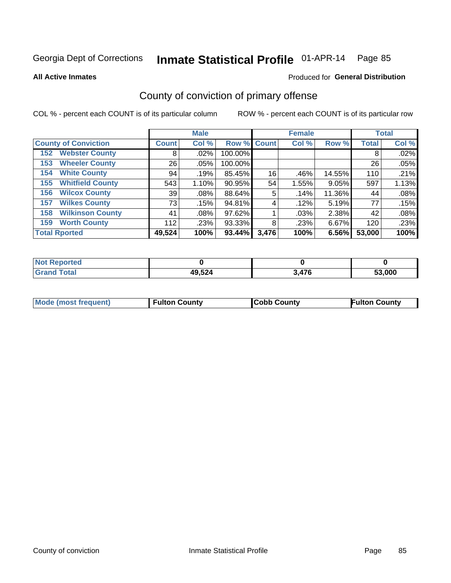**All Active Inmates**

#### Produced for **General Distribution**

## County of conviction of primary offense

|                                |              | <b>Male</b> |             |       | <b>Female</b> |        |              | <b>Total</b> |
|--------------------------------|--------------|-------------|-------------|-------|---------------|--------|--------------|--------------|
| <b>County of Conviction</b>    | <b>Count</b> | Col %       | Row % Count |       | Col %         | Row %  | <b>Total</b> | Col %        |
| <b>Webster County</b><br>152   | 8            | $.02\%$     | 100.00%     |       |               |        | 8            | .02%         |
| <b>Wheeler County</b><br>153   | 26           | $.05\%$     | 100.00%     |       |               |        | 26           | .05%         |
| <b>White County</b><br>154     | 94           | .19%        | 85.45%      | 16    | .46%          | 14.55% | 110          | .21%         |
| <b>Whitfield County</b><br>155 | 543          | 1.10%       | 90.95%      | 54    | 1.55%         | 9.05%  | 597          | 1.13%        |
| <b>Wilcox County</b><br>156    | 39           | $.08\%$     | 88.64%      | 5     | .14%          | 11.36% | 44           | .08%         |
| <b>Wilkes County</b><br>157    | 73           | .15%        | 94.81%      | 4     | .12%          | 5.19%  | 77           | .15%         |
| <b>Wilkinson County</b><br>158 | 41           | $.08\%$     | 97.62%      |       | .03%          | 2.38%  | 42           | .08%         |
| <b>Worth County</b><br>159     | 112          | .23%        | 93.33%      | 8     | .23%          | 6.67%  | 120          | .23%         |
| <b>Total Rported</b>           | 49,524       | 100%        | 93.44%      | 3,476 | 100%          | 6.56%  | 53,000       | 100%         |

| <b>Not Reported</b> |        |       |        |
|---------------------|--------|-------|--------|
| <b>Grand Total</b>  | 49,524 | 3,476 | 53,000 |

| Mode (most frequent) | <b>Fulton County</b> | <b>Cobb County</b> | <b>Fulton County</b> |
|----------------------|----------------------|--------------------|----------------------|
|                      |                      |                    |                      |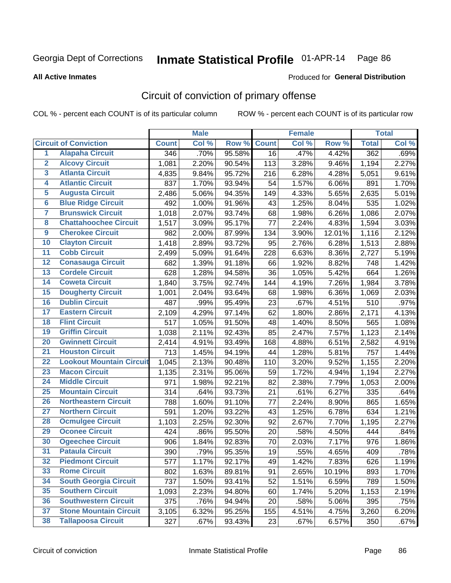**All Active Inmates**

#### Produced for **General Distribution**

## Circuit of conviction of primary offense

|                         |                                 |              | <b>Male</b> |        |              | <b>Female</b> |        |                    | <b>Total</b> |
|-------------------------|---------------------------------|--------------|-------------|--------|--------------|---------------|--------|--------------------|--------------|
|                         | <b>Circuit of Conviction</b>    | <b>Count</b> | Col %       | Row %  | <b>Count</b> | Col %         | Row %  | <b>Total</b>       | Col %        |
| $\overline{1}$          | <b>Alapaha Circuit</b>          | 346          | .70%        | 95.58% | 16           | .47%          | 4.42%  | 362                | .69%         |
| $\overline{2}$          | <b>Alcovy Circuit</b>           | 1,081        | 2.20%       | 90.54% | 113          | 3.28%         | 9.46%  | 1,194              | 2.27%        |
| $\overline{\mathbf{3}}$ | <b>Atlanta Circuit</b>          | 4,835        | 9.84%       | 95.72% | 216          | 6.28%         | 4.28%  | 5,051              | 9.61%        |
| 4                       | <b>Atlantic Circuit</b>         | 837          | 1.70%       | 93.94% | 54           | 1.57%         | 6.06%  | 891                | 1.70%        |
| 5                       | <b>Augusta Circuit</b>          | 2,486        | 5.06%       | 94.35% | 149          | 4.33%         | 5.65%  | 2,635              | 5.01%        |
| $\overline{\mathbf{6}}$ | <b>Blue Ridge Circuit</b>       | 492          | 1.00%       | 91.96% | 43           | 1.25%         | 8.04%  | 535                | 1.02%        |
| $\overline{\mathbf{7}}$ | <b>Brunswick Circuit</b>        | 1,018        | 2.07%       | 93.74% | 68           | 1.98%         | 6.26%  | 1,086              | 2.07%        |
| 8                       | <b>Chattahoochee Circuit</b>    | 1,517        | 3.09%       | 95.17% | 77           | 2.24%         | 4.83%  | 1,594              | 3.03%        |
| $\overline{9}$          | <b>Cherokee Circuit</b>         | 982          | 2.00%       | 87.99% | 134          | 3.90%         | 12.01% | 1,116              | 2.12%        |
| 10                      | <b>Clayton Circuit</b>          | 1,418        | 2.89%       | 93.72% | 95           | 2.76%         | 6.28%  | 1,513              | 2.88%        |
| 11                      | <b>Cobb Circuit</b>             | 2,499        | 5.09%       | 91.64% | 228          | 6.63%         | 8.36%  | 2,727              | 5.19%        |
| 12                      | <b>Conasauga Circuit</b>        | 682          | 1.39%       | 91.18% | 66           | 1.92%         | 8.82%  | 748                | 1.42%        |
| 13                      | <b>Cordele Circuit</b>          | 628          | 1.28%       | 94.58% | 36           | 1.05%         | 5.42%  | 664                | 1.26%        |
| 14                      | <b>Coweta Circuit</b>           | 1,840        | 3.75%       | 92.74% | 144          | 4.19%         | 7.26%  | 1,984              | 3.78%        |
| 15                      | <b>Dougherty Circuit</b>        | 1,001        | 2.04%       | 93.64% | 68           | 1.98%         | 6.36%  | 1,069              | 2.03%        |
| 16                      | <b>Dublin Circuit</b>           | 487          | .99%        | 95.49% | 23           | .67%          | 4.51%  | 510                | .97%         |
| 17                      | <b>Eastern Circuit</b>          | 2,109        | 4.29%       | 97.14% | 62           | 1.80%         | 2.86%  | $\overline{2,171}$ | 4.13%        |
| 18                      | <b>Flint Circuit</b>            | 517          | 1.05%       | 91.50% | 48           | 1.40%         | 8.50%  | 565                | 1.08%        |
| 19                      | <b>Griffin Circuit</b>          | 1,038        | 2.11%       | 92.43% | 85           | 2.47%         | 7.57%  | 1,123              | 2.14%        |
| 20                      | <b>Gwinnett Circuit</b>         | 2,414        | 4.91%       | 93.49% | 168          | 4.88%         | 6.51%  | 2,582              | 4.91%        |
| $\overline{21}$         | <b>Houston Circuit</b>          | 713          | 1.45%       | 94.19% | 44           | 1.28%         | 5.81%  | 757                | 1.44%        |
| $\overline{22}$         | <b>Lookout Mountain Circuit</b> | 1,045        | 2.13%       | 90.48% | 110          | 3.20%         | 9.52%  | 1,155              | 2.20%        |
| 23                      | <b>Macon Circuit</b>            | 1,135        | 2.31%       | 95.06% | 59           | 1.72%         | 4.94%  | 1,194              | 2.27%        |
| 24                      | <b>Middle Circuit</b>           | 971          | 1.98%       | 92.21% | 82           | 2.38%         | 7.79%  | 1,053              | 2.00%        |
| 25                      | <b>Mountain Circuit</b>         | 314          | .64%        | 93.73% | 21           | .61%          | 6.27%  | 335                | .64%         |
| 26                      | <b>Northeastern Circuit</b>     | 788          | 1.60%       | 91.10% | 77           | 2.24%         | 8.90%  | 865                | 1.65%        |
| $\overline{27}$         | <b>Northern Circuit</b>         | 591          | 1.20%       | 93.22% | 43           | 1.25%         | 6.78%  | 634                | 1.21%        |
| 28                      | <b>Ocmulgee Circuit</b>         | 1,103        | 2.25%       | 92.30% | 92           | 2.67%         | 7.70%  | 1,195              | 2.27%        |
| 29                      | <b>Oconee Circuit</b>           | 424          | .86%        | 95.50% | 20           | .58%          | 4.50%  | 444                | .84%         |
| 30                      | <b>Ogeechee Circuit</b>         | 906          | 1.84%       | 92.83% | 70           | 2.03%         | 7.17%  | 976                | 1.86%        |
| $\overline{31}$         | <b>Pataula Circuit</b>          | 390          | .79%        | 95.35% | 19           | .55%          | 4.65%  | 409                | .78%         |
| 32                      | <b>Piedmont Circuit</b>         | 577          | 1.17%       | 92.17% | 49           | 1.42%         | 7.83%  | 626                | 1.19%        |
| 33                      | <b>Rome Circuit</b>             | 802          | 1.63%       | 89.81% | 91           | 2.65%         | 10.19% | 893                | 1.70%        |
| 34                      | <b>South Georgia Circuit</b>    | 737          | 1.50%       | 93.41% | 52           | 1.51%         | 6.59%  | 789                | 1.50%        |
| 35                      | <b>Southern Circuit</b>         | 1,093        | 2.23%       | 94.80% | 60           | 1.74%         | 5.20%  | 1,153              | 2.19%        |
| 36                      | <b>Southwestern Circuit</b>     | 375          | .76%        | 94.94% | 20           | .58%          | 5.06%  | 395                | .75%         |
| 37                      | <b>Stone Mountain Circuit</b>   | 3,105        | 6.32%       | 95.25% | 155          | 4.51%         | 4.75%  | 3,260              | 6.20%        |
| 38                      | <b>Tallapoosa Circuit</b>       | 327          | .67%        | 93.43% | 23           | .67%          | 6.57%  | 350                | .67%         |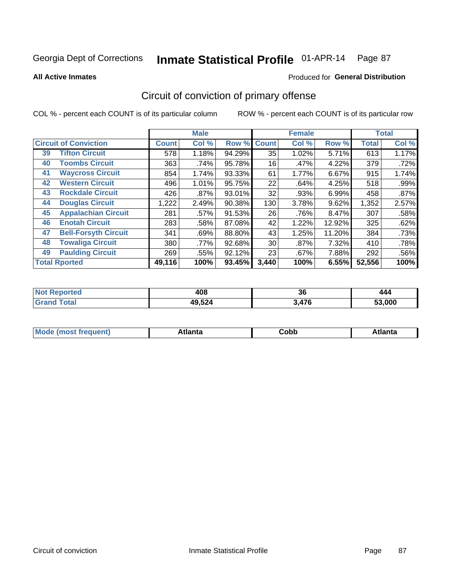Produced for **General Distribution**

#### **All Active Inmates**

## Circuit of conviction of primary offense

|                                   |              | <b>Male</b> |        |              | <b>Female</b> |        |              | <b>Total</b> |
|-----------------------------------|--------------|-------------|--------|--------------|---------------|--------|--------------|--------------|
| <b>Circuit of Conviction</b>      | <b>Count</b> | Col %       | Row %  | <b>Count</b> | Col %         | Row %  | <b>Total</b> | Col %        |
| <b>Tifton Circuit</b><br>39       | 578          | 1.18%       | 94.29% | 35           | 1.02%         | 5.71%  | 613          | 1.17%        |
| <b>Toombs Circuit</b><br>40       | 363          | .74%        | 95.78% | 16           | .47%          | 4.22%  | 379          | .72%         |
| <b>Waycross Circuit</b><br>41     | 854          | 1.74%       | 93.33% | 61           | 1.77%         | 6.67%  | 915          | 1.74%        |
| <b>Western Circuit</b><br>42      | 496          | 1.01%       | 95.75% | 22           | .64%          | 4.25%  | 518          | .99%         |
| <b>Rockdale Circuit</b><br>43     | 426          | .87%        | 93.01% | 32           | .93%          | 6.99%  | 458          | .87%         |
| <b>Douglas Circuit</b><br>44      | 1,222        | 2.49%       | 90.38% | 130          | 3.78%         | 9.62%  | 1,352        | 2.57%        |
| <b>Appalachian Circuit</b><br>45  | 281          | .57%        | 91.53% | 26           | .76%          | 8.47%  | 307          | .58%         |
| <b>Enotah Circuit</b><br>46       | 283          | .58%        | 87.08% | 42           | 1.22%         | 12.92% | 325          | .62%         |
| 47<br><b>Bell-Forsyth Circuit</b> | 341          | .69%        | 88.80% | 43           | 1.25%         | 11.20% | 384          | .73%         |
| <b>Towaliga Circuit</b><br>48     | 380          | .77%        | 92.68% | 30           | .87%          | 7.32%  | 410          | .78%         |
| <b>Paulding Circuit</b><br>49     | 269          | .55%        | 92.12% | 23           | .67%          | 7.88%  | 292          | .56%         |
| <b>Total Rported</b>              | 49,116       | 100%        | 93.45% | 3,440        | 100%          | 6.55%  | 52,556       | 100%         |

| тео | 408    | n,    | 444    |
|-----|--------|-------|--------|
|     | __     | კე    |        |
|     | 49,524 | 3.476 | 53.000 |

| M<br>- - -<br>.<br>.<br>∪opp<br>нс |
|------------------------------------|
|------------------------------------|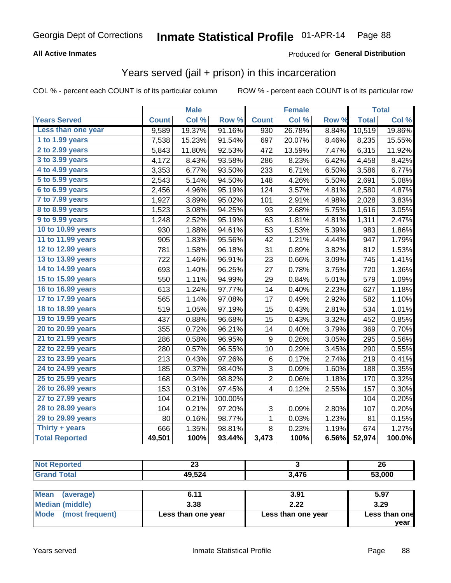### **All Active Inmates**

### Produced for **General Distribution**

### Years served (jail + prison) in this incarceration

|                       |              | <b>Male</b> |                  |              | <b>Female</b> |       |              | <b>Total</b> |
|-----------------------|--------------|-------------|------------------|--------------|---------------|-------|--------------|--------------|
| <b>Years Served</b>   | <b>Count</b> | Col %       | Row <sup>%</sup> | <b>Count</b> | Col %         | Row % | <b>Total</b> | Col %        |
| Less than one year    | 9,589        | 19.37%      | 91.16%           | 930          | 26.78%        | 8.84% | 10,519       | 19.86%       |
| 1 to 1.99 years       | 7,538        | 15.23%      | 91.54%           | 697          | 20.07%        | 8.46% | 8,235        | 15.55%       |
| 2 to 2.99 years       | 5,843        | 11.80%      | 92.53%           | 472          | 13.59%        | 7.47% | 6,315        | 11.92%       |
| 3 to 3.99 years       | 4,172        | 8.43%       | 93.58%           | 286          | 8.23%         | 6.42% | 4,458        | 8.42%        |
| 4 to 4.99 years       | 3,353        | 6.77%       | 93.50%           | 233          | 6.71%         | 6.50% | 3,586        | 6.77%        |
| 5 to 5.99 years       | 2,543        | 5.14%       | 94.50%           | 148          | 4.26%         | 5.50% | 2,691        | 5.08%        |
| 6 to 6.99 years       | 2,456        | 4.96%       | 95.19%           | 124          | 3.57%         | 4.81% | 2,580        | 4.87%        |
| 7 to 7.99 years       | 1,927        | 3.89%       | 95.02%           | 101          | 2.91%         | 4.98% | 2,028        | 3.83%        |
| 8 to 8.99 years       | 1,523        | 3.08%       | 94.25%           | 93           | 2.68%         | 5.75% | 1,616        | 3.05%        |
| 9 to 9.99 years       | 1,248        | 2.52%       | 95.19%           | 63           | 1.81%         | 4.81% | 1,311        | 2.47%        |
| 10 to 10.99 years     | 930          | 1.88%       | 94.61%           | 53           | 1.53%         | 5.39% | 983          | 1.86%        |
| 11 to 11.99 years     | 905          | 1.83%       | 95.56%           | 42           | 1.21%         | 4.44% | 947          | 1.79%        |
| 12 to 12.99 years     | 781          | 1.58%       | 96.18%           | 31           | 0.89%         | 3.82% | 812          | 1.53%        |
| 13 to 13.99 years     | 722          | 1.46%       | 96.91%           | 23           | 0.66%         | 3.09% | 745          | 1.41%        |
| 14 to 14.99 years     | 693          | 1.40%       | 96.25%           | 27           | 0.78%         | 3.75% | 720          | 1.36%        |
| 15 to 15.99 years     | 550          | 1.11%       | 94.99%           | 29           | 0.84%         | 5.01% | 579          | 1.09%        |
| 16 to 16.99 years     | 613          | 1.24%       | 97.77%           | 14           | 0.40%         | 2.23% | 627          | 1.18%        |
| 17 to 17.99 years     | 565          | 1.14%       | 97.08%           | 17           | 0.49%         | 2.92% | 582          | 1.10%        |
| 18 to 18.99 years     | 519          | 1.05%       | 97.19%           | 15           | 0.43%         | 2.81% | 534          | 1.01%        |
| 19 to 19.99 years     | 437          | 0.88%       | 96.68%           | 15           | 0.43%         | 3.32% | 452          | 0.85%        |
| 20 to 20.99 years     | 355          | 0.72%       | 96.21%           | 14           | 0.40%         | 3.79% | 369          | 0.70%        |
| 21 to 21.99 years     | 286          | 0.58%       | 96.95%           | 9            | 0.26%         | 3.05% | 295          | 0.56%        |
| 22 to 22.99 years     | 280          | 0.57%       | 96.55%           | 10           | 0.29%         | 3.45% | 290          | 0.55%        |
| 23 to 23.99 years     | 213          | 0.43%       | 97.26%           | 6            | 0.17%         | 2.74% | 219          | 0.41%        |
| 24 to 24.99 years     | 185          | 0.37%       | 98.40%           | 3            | 0.09%         | 1.60% | 188          | 0.35%        |
| 25 to 25.99 years     | 168          | 0.34%       | 98.82%           | 2            | 0.06%         | 1.18% | 170          | 0.32%        |
| 26 to 26.99 years     | 153          | 0.31%       | 97.45%           | 4            | 0.12%         | 2.55% | 157          | 0.30%        |
| 27 to 27.99 years     | 104          | 0.21%       | 100.00%          |              |               |       | 104          | 0.20%        |
| 28 to 28.99 years     | 104          | 0.21%       | 97.20%           | 3            | 0.09%         | 2.80% | 107          | 0.20%        |
| 29 to 29.99 years     | 80           | 0.16%       | 98.77%           | 1            | 0.03%         | 1.23% | 81           | 0.15%        |
| Thirty + years        | 666          | 1.35%       | 98.81%           | 8            | 0.23%         | 1.19% | 674          | 1.27%        |
| <b>Total Reported</b> | 49,501       | 100%        | 93.44%           | 3,473        | 100%          | 6.56% | 52,974       | 100.0%       |

| 26     |       | Zυ     | <b>Anorted</b>      |
|--------|-------|--------|---------------------|
| 53,000 | 3,476 | 49,524 | <b>Total</b><br>Cro |
|        |       |        |                     |

| <b>Mean</b><br>(average) | 6.11               | 3.91               | 5.97          |
|--------------------------|--------------------|--------------------|---------------|
| Median (middle)          | 3.38               | 2.22               | 3.29          |
| Mode (most frequent)     | Less than one year | Less than one year | Less than one |
|                          |                    |                    | year          |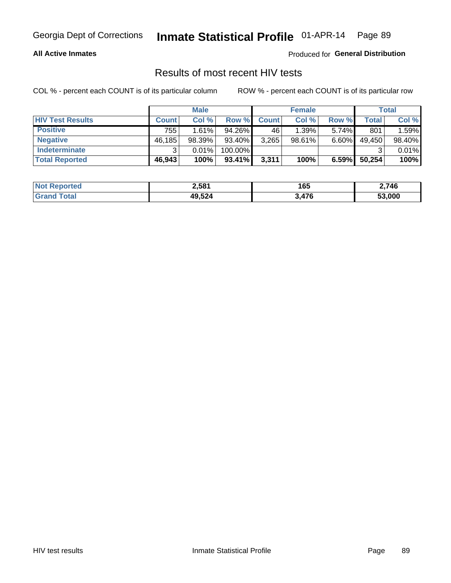### **All Active Inmates**

Produced for **General Distribution**

### Results of most recent HIV tests

|                         | <b>Male</b>  |        |         | <b>Female</b> |        |          | Total  |        |
|-------------------------|--------------|--------|---------|---------------|--------|----------|--------|--------|
| <b>HIV Test Results</b> | <b>Count</b> | Col %  | Row %I  | <b>Count</b>  | Col %  | Row %    | Total  | Col %  |
| <b>Positive</b>         | 755          | 1.61%  | 94.26%  | 46            | 1.39%  | $5.74\%$ | 801    | 1.59%  |
| <b>Negative</b>         | 46,185       | 98.39% | 93.40%  | 3,265         | 98.61% | $6.60\%$ | 49,450 | 98.40% |
| Indeterminate           | ີ            | 0.01%  | 100.00% |               |        |          |        | 0.01%  |
| <b>Total Reported</b>   | 46,943       | 100%   | 93.41%  | 3,311         | 100%   | 6.59%    | 50,254 | 100%   |

| <b>Not Reported</b> | 2,581  | $\sim$<br>165 | 2,746  |
|---------------------|--------|---------------|--------|
| Total<br>Gran       | 49,524 | 3,476         | 53.000 |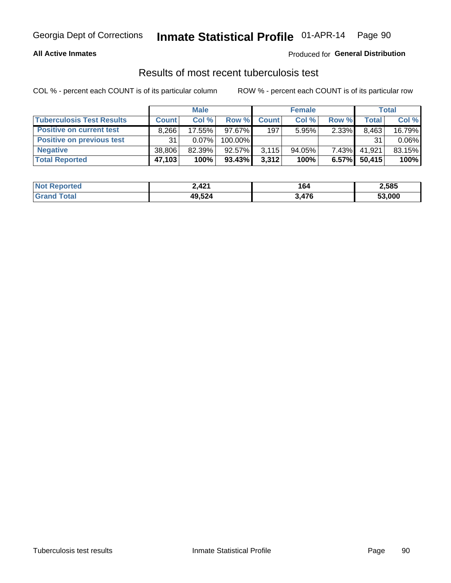### **All Active Inmates**

### Produced for **General Distribution**

### Results of most recent tuberculosis test

|                                  | <b>Male</b>  |           |           | <b>Female</b> |           |          | Total  |          |
|----------------------------------|--------------|-----------|-----------|---------------|-----------|----------|--------|----------|
| <b>Tuberculosis Test Results</b> | <b>Count</b> | Col%      | Row %     | <b>Count</b>  | Col %     | Row %    | Total  | Col %    |
| <b>Positive on current test</b>  | 8,266        | 17.55%    | $97.67\%$ | 197           | 5.95%     | 2.33%    | 8,463  | 16.79%   |
| <b>Positive on previous test</b> | 31           | 0.07%     | 100.00%   |               |           |          | 31     | $0.06\%$ |
| <b>Negative</b>                  | 38.806       | $82.39\%$ | $92.57\%$ | 3,115         | $94.05\%$ | $7.43\%$ | 41,921 | 83.15%   |
| <b>Total Reported</b>            | 47,103       | 100%      | $93.43\%$ | 3,312         | 100%      | 6.57%    | 50,415 | 100%     |

| <b>Not Reported</b> | 2,421  | 164   | 2,585  |
|---------------------|--------|-------|--------|
| Total<br>Gran       | 49,524 | 3,476 | 53,000 |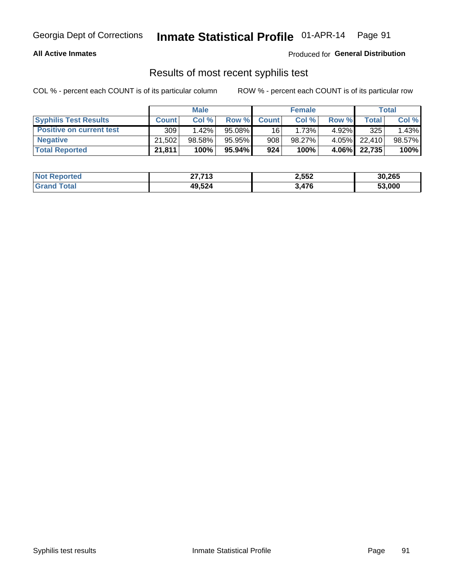### **All Active Inmates**

Produced for **General Distribution**

### Results of most recent syphilis test

|                                 | <b>Male</b>  |           |           | <b>Female</b>   |           |          | Total   |        |
|---------------------------------|--------------|-----------|-----------|-----------------|-----------|----------|---------|--------|
| <b>Syphilis Test Results</b>    | <b>Count</b> | Col%      | Row %     | <b>Count</b>    | Col %     | Row %    | Total I | Col %  |
| <b>Positive on current test</b> | 309          | $1.42\%$  | $95.08\%$ | 16 <sup>1</sup> | 1.73%     | $4.92\%$ | 325     | 1.43%  |
| <b>Negative</b>                 | 21,502       | $98.58\%$ | 95.95%    | 908             | $98.27\%$ | 4.05%    | 22.410  | 98.57% |
| <b>Total Reported</b>           | 21,811       | 100%      | 95.94% I  | 924             | 100%      | $4.06\%$ | 22,735  | 100%   |

| <b>Not Reported</b> | 27,713 | 2,552 | 30,265 |
|---------------------|--------|-------|--------|
| <b>Srand Total</b>  | 49,524 | 3,476 | 53,000 |